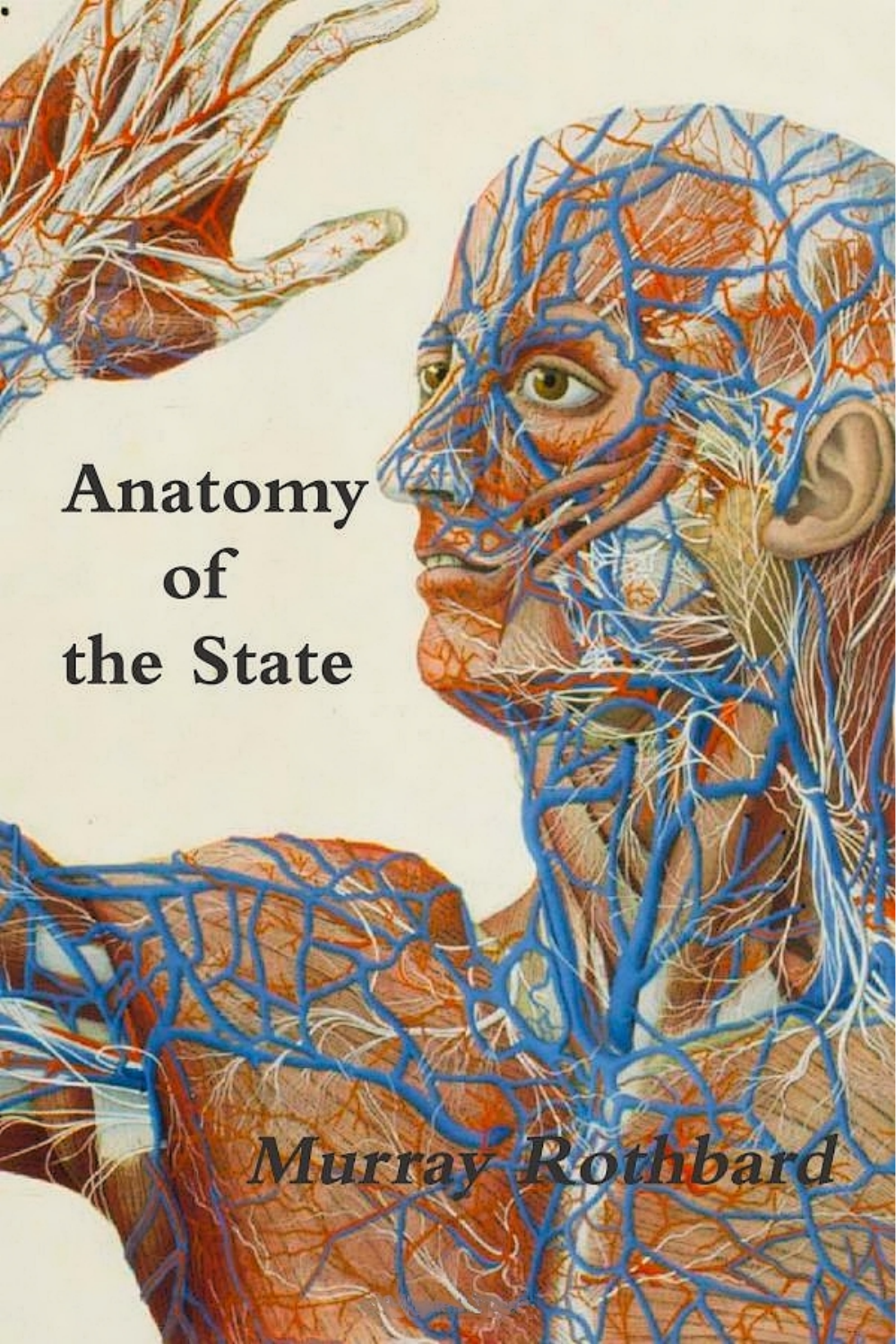# **Anatomy** of the State

Murray Rothbard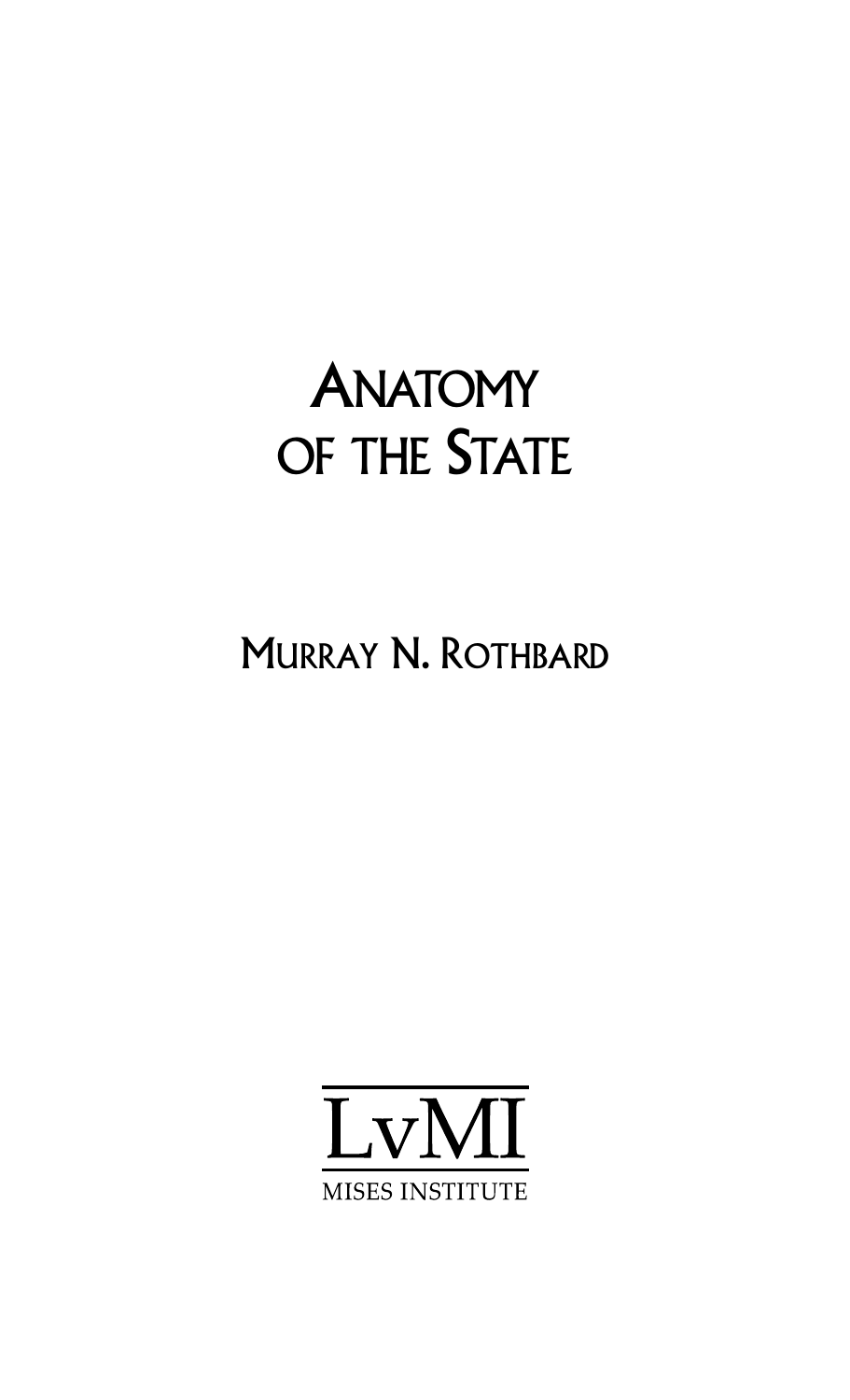# ANATOMY OF THE STATE

#### MURRAY N. ROTHBARD

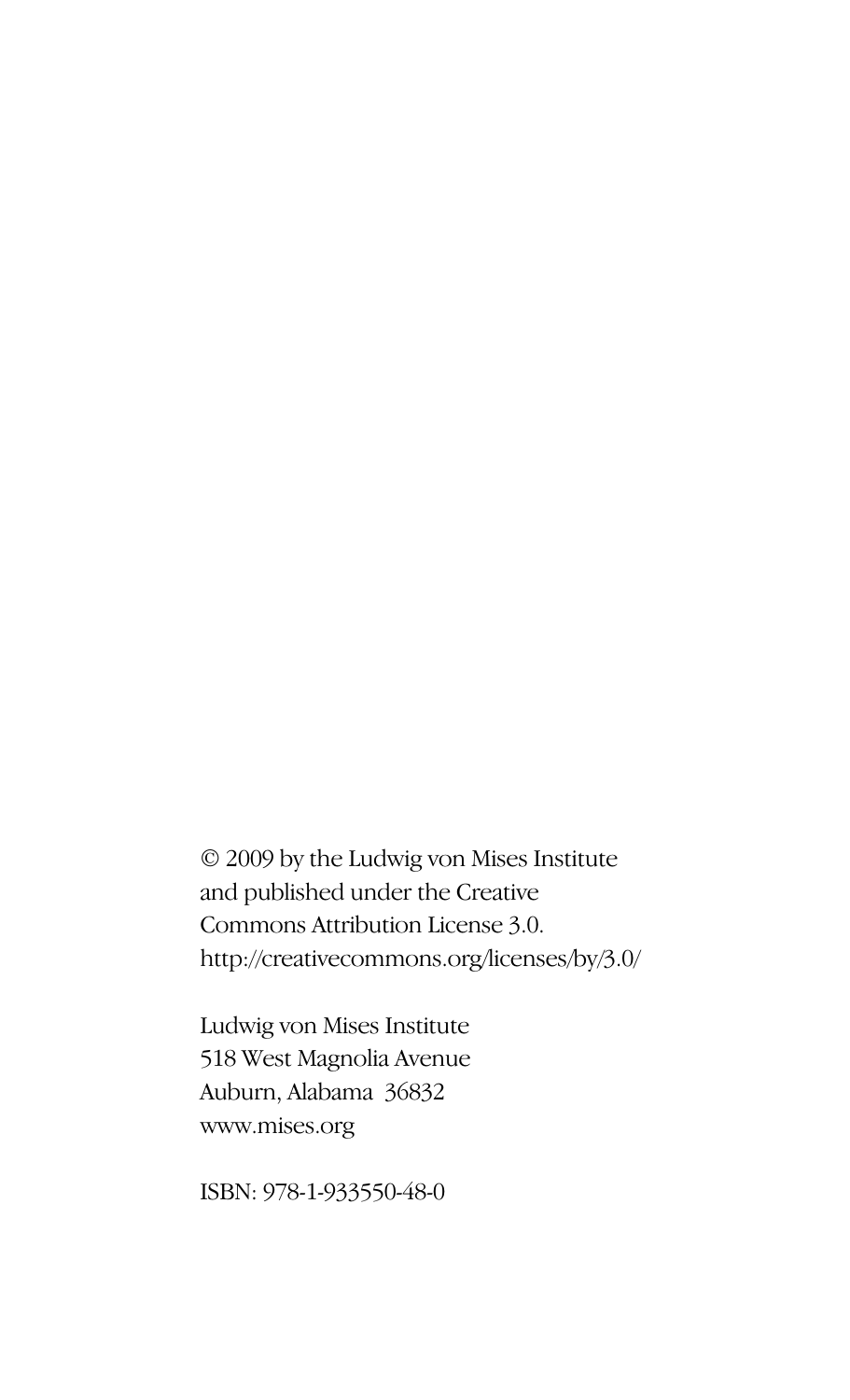© 2009 by the Ludwig von Mises Institute and published under the Creative Commons Attribution License 3.0. http://creativecommons.org/licenses/by/3.0/

Ludwig von Mises Institute 518 West Magnolia Avenue Auburn, Alabama 36832 www.mises.org

ISBN: 978-1-933550-48-0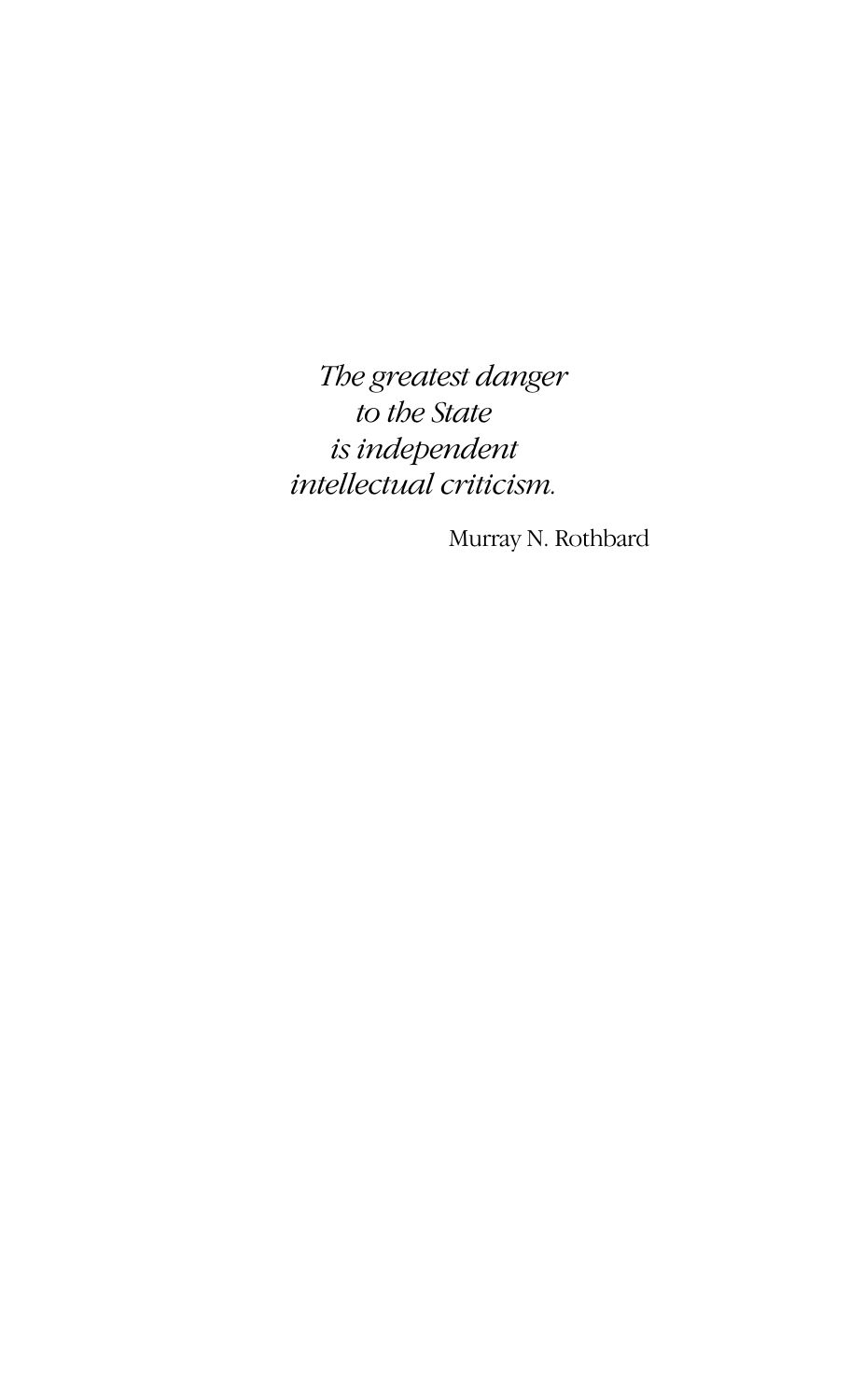*The greatest danger to the State is independent intellectual criticism.*

Murray N. Rothbard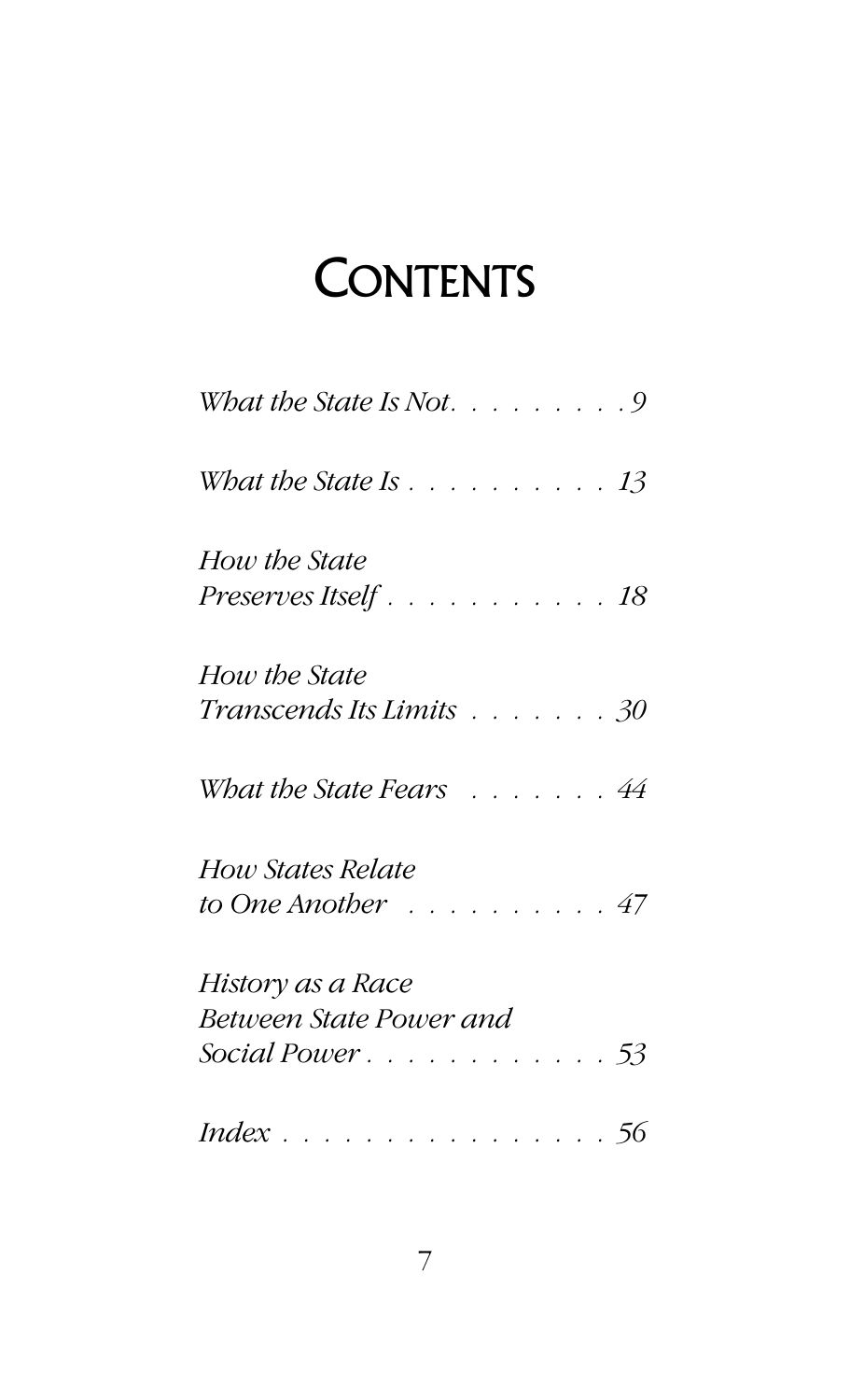# **CONTENTS**

| What the State Is Not. $\ldots$ , $\ldots$ , $\ldots$                                           |
|-------------------------------------------------------------------------------------------------|
| What the State $Is \ldots \ldots \ldots \ldots 13$                                              |
| How the State<br>Preserves Itself 18                                                            |
| How the State<br>Transcends Its Limits 30                                                       |
| What the State Fears $\ldots \ldots$ 44                                                         |
| How States Relate<br>to One Another $\ldots \ldots \ldots \ldots 47$                            |
| History as a Race<br>Between State Power and<br>Social Power. $\ldots$ . $\ldots$ . $\ldots$ 53 |
| $Index \ldots \ldots \ldots \ldots \ldots \ldots 56$                                            |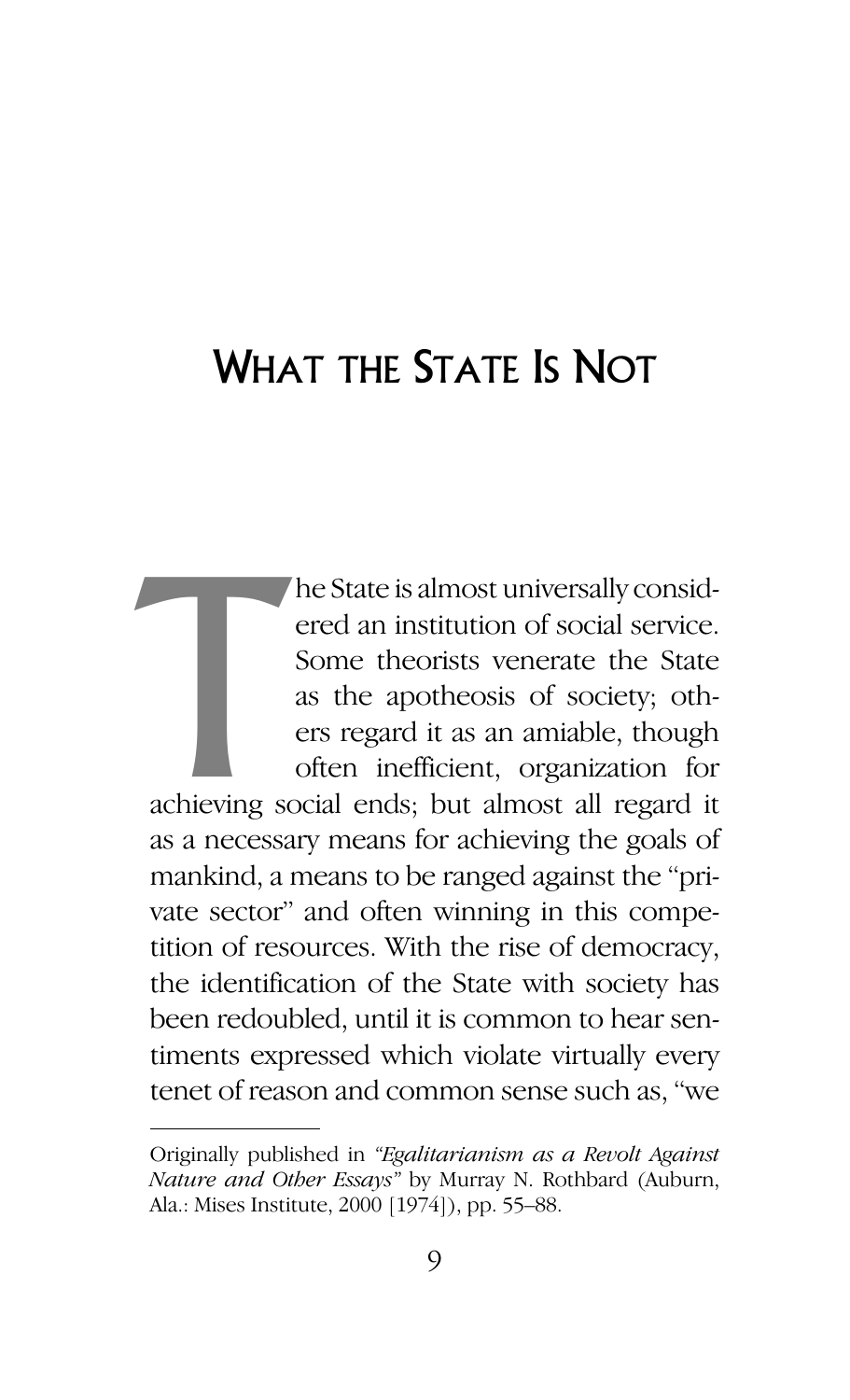#### WHAT THE STATE IS NOT

T he State is almost universally considered an institution of social service. Some theorists venerate the State as the apotheosis of society; others regard it as an amiable, though often inefficient, organization for achieving social ends; but almost all regard it as a necessary means for achieving the goals of mankind, a means to be ranged against the "private sector" and often winning in this competition of resources. With the rise of democracy, the identification of the State with society has been redoubled, until it is common to hear sentiments expressed which violate virtually every tenet of reason and common sense such as, "we

Originally published in *"Egalitarianism as a Revolt Against Nature and Other Essays"* by Murray N. Rothbard (Auburn, Ala.: Mises Institute, 2000 [1974]), pp. 55–88.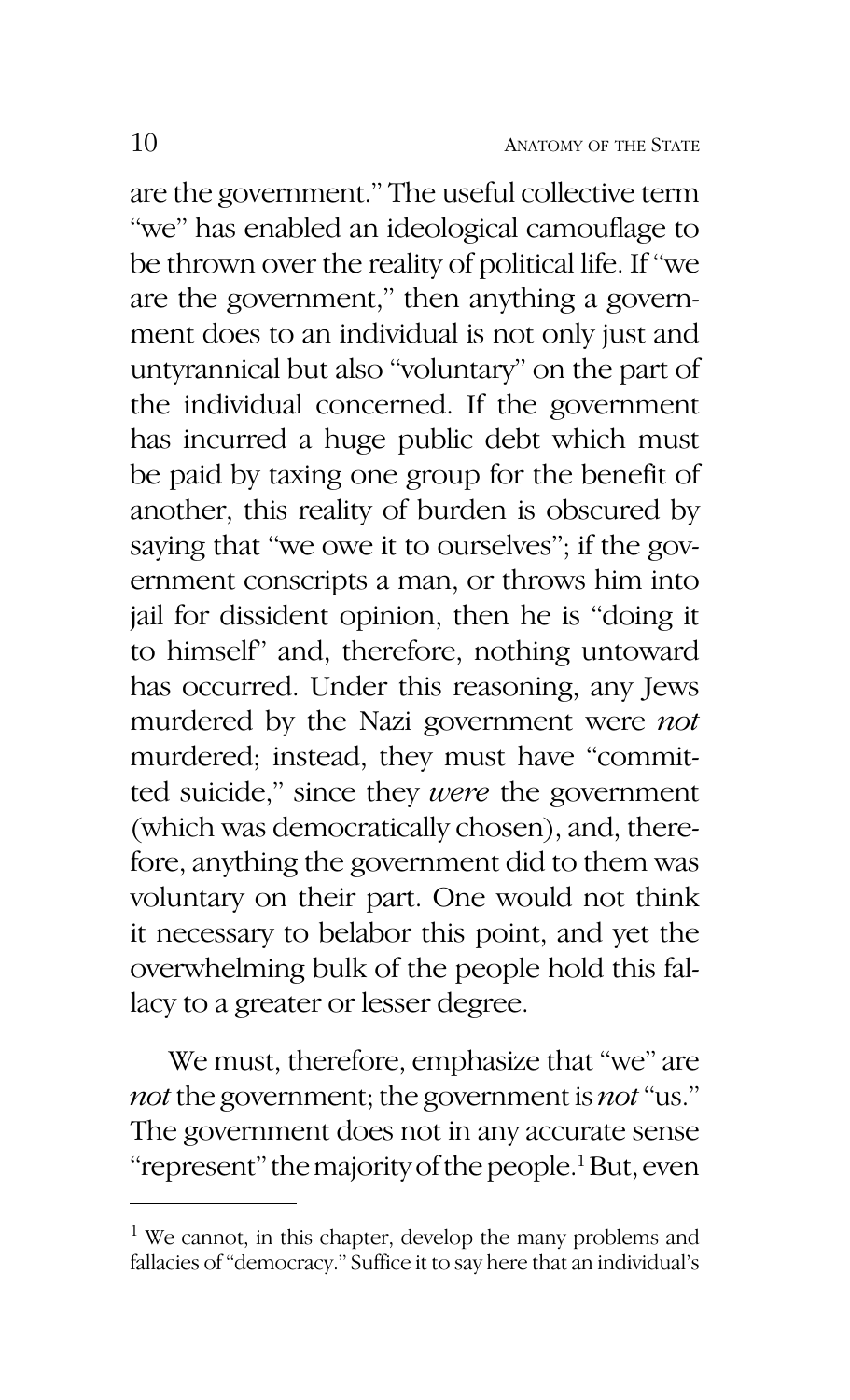are the government." The useful collective term "we" has enabled an ideological camouflage to be thrown over the reality of political life. If "we are the government," then anything a government does to an individual is not only just and untyrannical but also "voluntary" on the part of the individual concerned. If the government has incurred a huge public debt which must be paid by taxing one group for the benefit of another, this reality of burden is obscured by saying that "we owe it to ourselves"; if the government conscripts a man, or throws him into jail for dissident opinion, then he is "doing it to himself" and, therefore, nothing untoward has occurred. Under this reasoning, any Jews murdered by the Nazi government were *not* murdered; instead, they must have "committed suicide," since they *were* the government (which was democratically chosen), and, therefore, anything the government did to them was voluntary on their part. One would not think it necessary to belabor this point, and yet the overwhelming bulk of the people hold this fallacy to a greater or lesser degree.

We must, therefore, emphasize that "we" are *not* the government; the government is *not* "us." The government does not in any accurate sense "represent" the majority of the people.<sup>1</sup> But, even

 $1$  We cannot, in this chapter, develop the many problems and fallacies of "democracy." Suffice it to say here that an individual's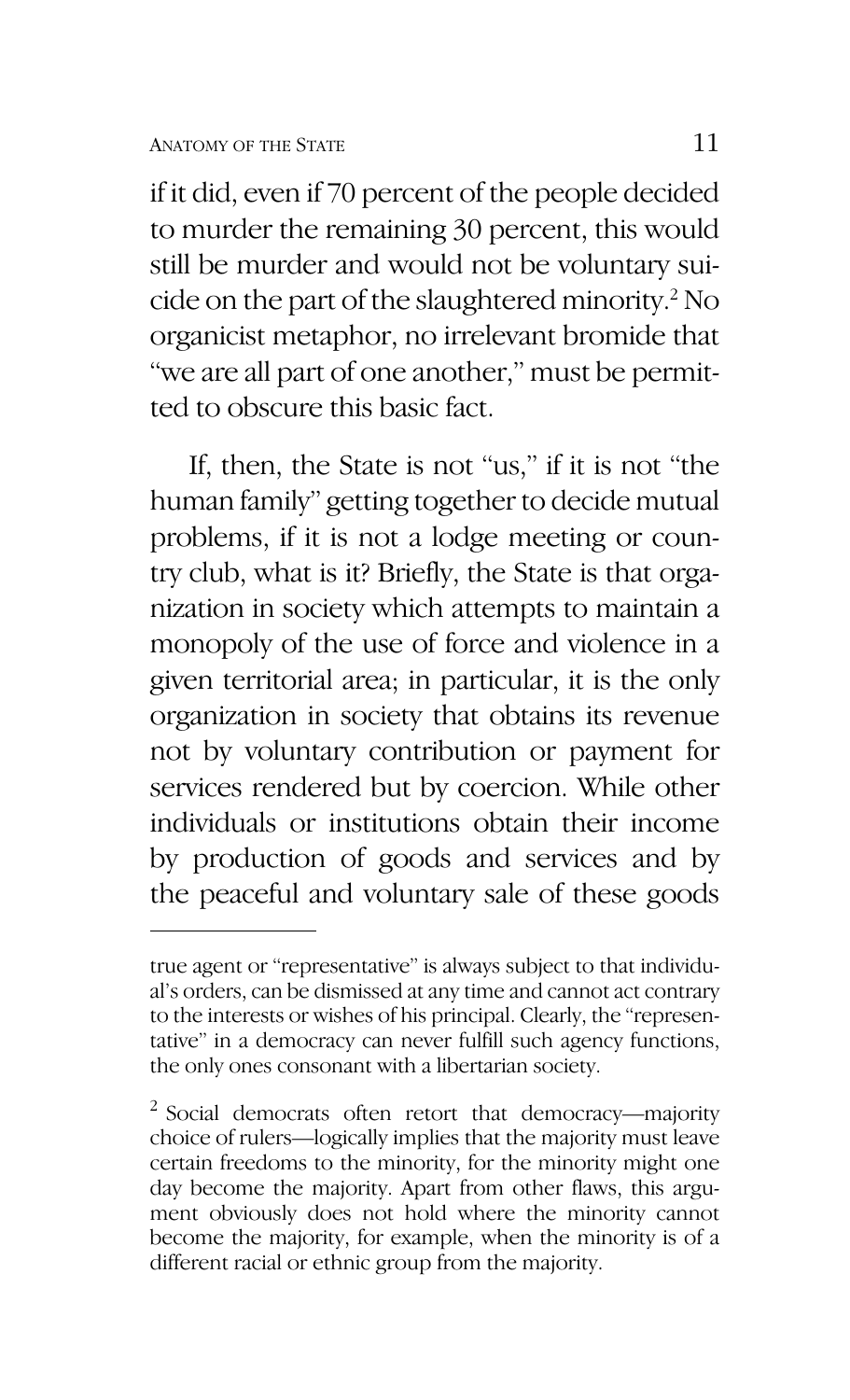if it did, even if 70 percent of the people decided to murder the remaining 30 percent, this would still be murder and would not be voluntary suicide on the part of the slaughtered minority.2 No organicist metaphor, no irrelevant bromide that "we are all part of one another," must be permitted to obscure this basic fact.

If, then, the State is not "us," if it is not "the human family" getting together to decide mutual problems, if it is not a lodge meeting or country club, what is it? Briefly, the State is that organization in society which attempts to maintain a monopoly of the use of force and violence in a given territorial area; in particular, it is the only organization in society that obtains its revenue not by voluntary contribution or payment for services rendered but by coercion. While other individuals or institutions obtain their income by production of goods and services and by the peaceful and voluntary sale of these goods

true agent or "representative" is always subject to that individual's orders, can be dismissed at any time and cannot act contrary to the interests or wishes of his principal. Clearly, the "representative" in a democracy can never fulfill such agency functions, the only ones consonant with a libertarian society.

<sup>&</sup>lt;sup>2</sup> Social democrats often retort that democracy—majority choice of rulers—logically implies that the majority must leave certain freedoms to the minority, for the minority might one day become the majority. Apart from other flaws, this argument obviously does not hold where the minority cannot become the majority, for example, when the minority is of a different racial or ethnic group from the majority.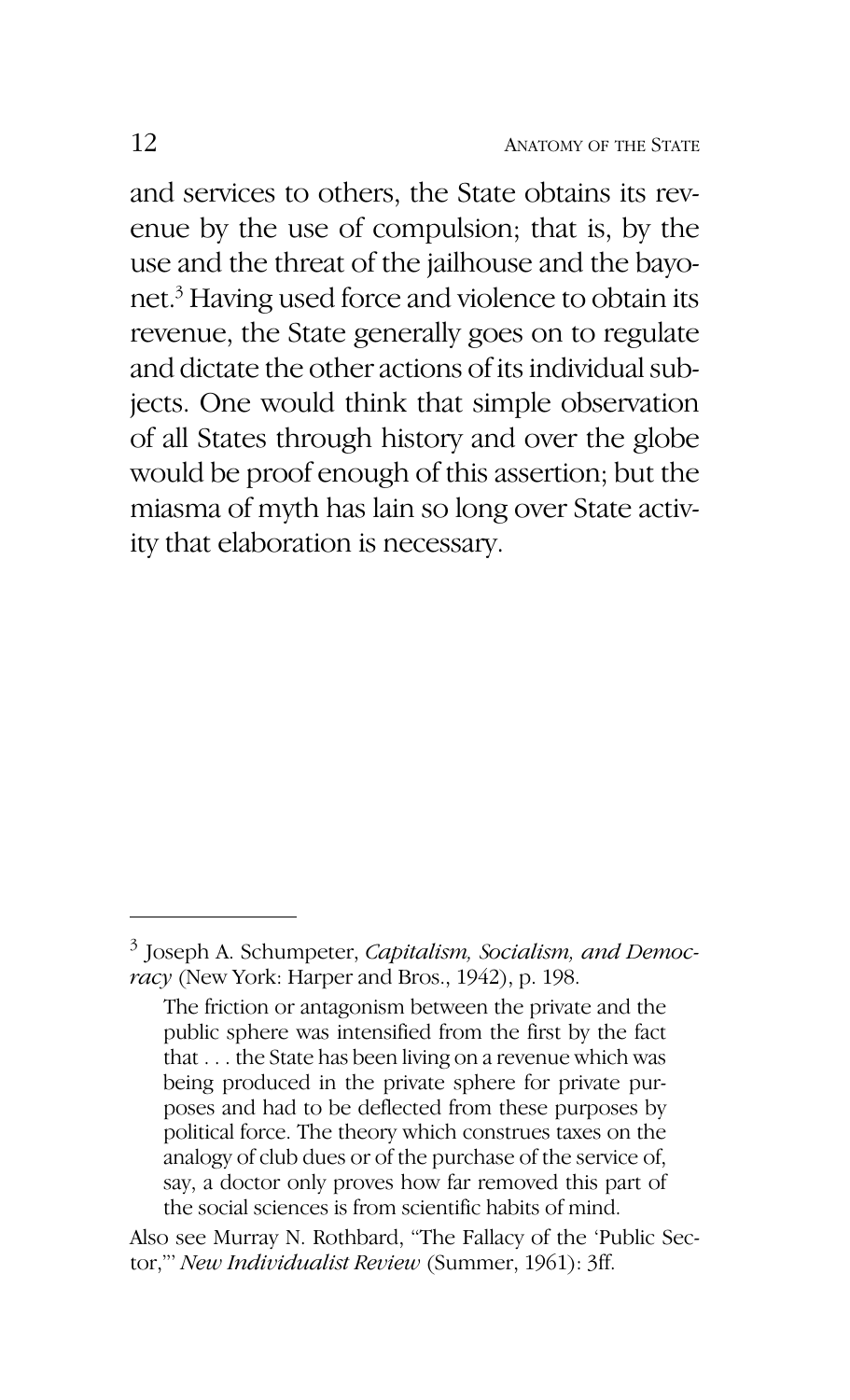and services to others, the State obtains its revenue by the use of compulsion; that is, by the use and the threat of the jailhouse and the bayonet.3 Having used force and violence to obtain its revenue, the State generally goes on to regulate and dictate the other actions of its individual subjects. One would think that simple observation of all States through history and over the globe would be proof enough of this assertion; but the miasma of myth has lain so long over State activity that elaboration is necessary.

Also see Murray N. Rothbard, "The Fallacy of the 'Public Sector,"' *New Individualist Review* (Summer, 1961): 3ff.

<sup>3</sup> Joseph A. Schumpeter, *Capitalism, Socialism, and Democracy* (New York: Harper and Bros., 1942), p. 198.

The friction or antagonism between the private and the public sphere was intensified from the first by the fact that . . . the State has been living on a revenue which was being produced in the private sphere for private purposes and had to be deflected from these purposes by political force. The theory which construes taxes on the analogy of club dues or of the purchase of the service of, say, a doctor only proves how far removed this part of the social sciences is from scientific habits of mind.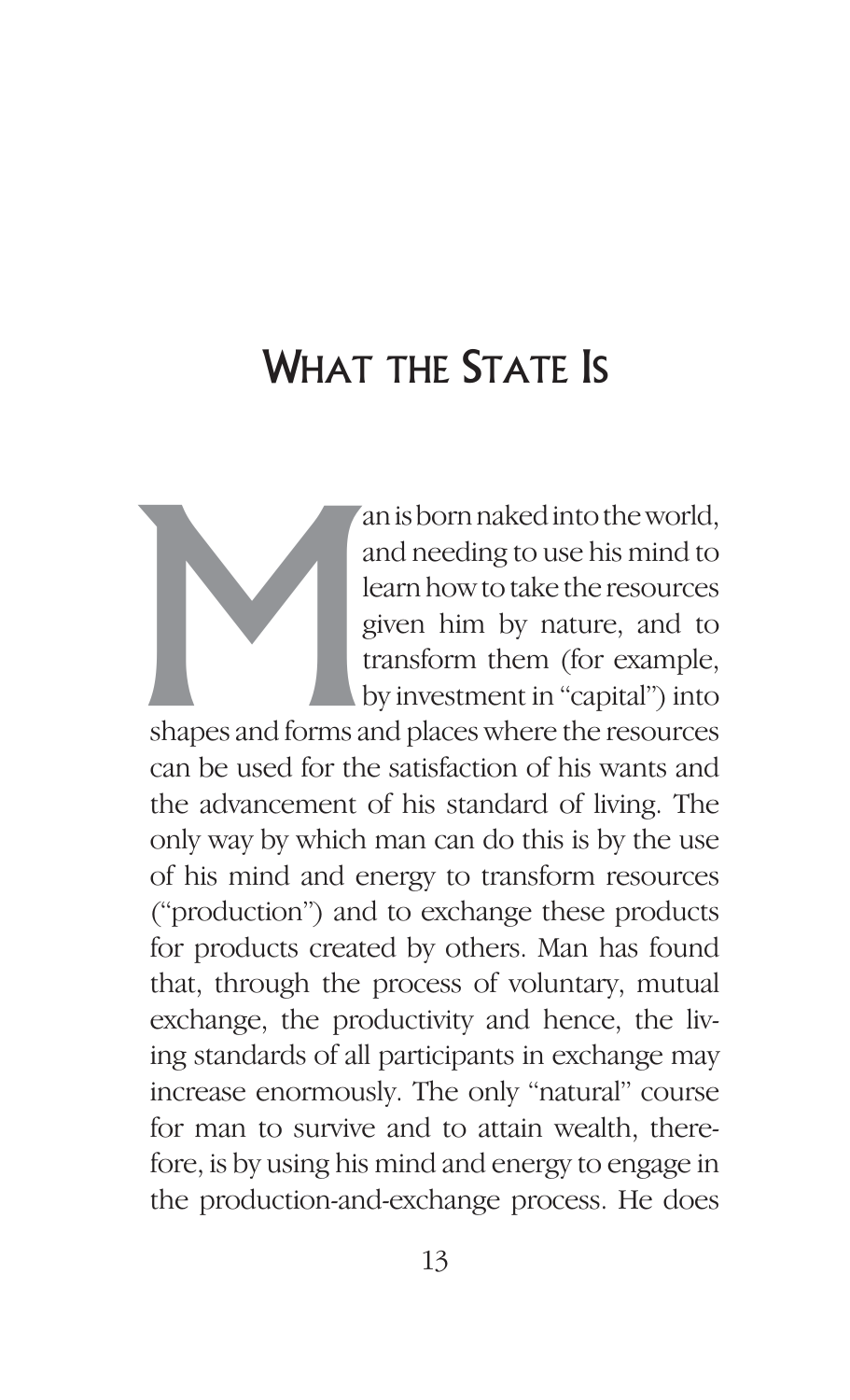#### WHAT THE STATE IS

an is born naked into the world,<br>
and needing to use his mind to<br>
learn how to take the resources<br>
given him by nature, and to<br>
transform them (for example,<br>
by investment in "capital") into<br>
shapes and forms and places wh and needing to use his mind to learn how to take the resources given him by nature, and to transform them (for example, by investment in "capital") into

can be used for the satisfaction of his wants and the advancement of his standard of living. The only way by which man can do this is by the use of his mind and energy to transform resources ("production") and to exchange these products for products created by others. Man has found that, through the process of voluntary, mutual exchange, the productivity and hence, the living standards of all participants in exchange may increase enormously. The only "natural" course for man to survive and to attain wealth, therefore, is by using his mind and energy to engage in the production-and-exchange process. He does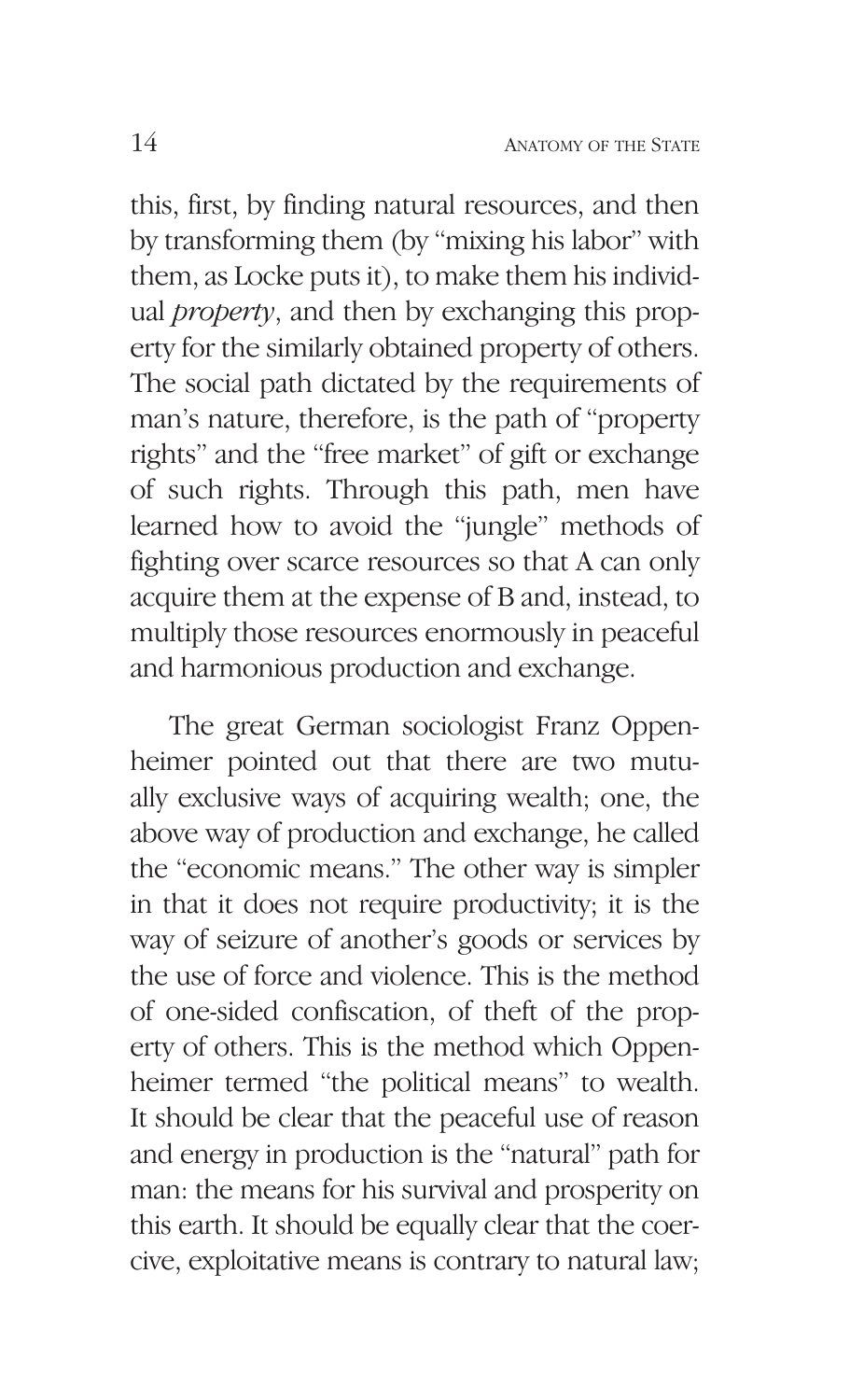this, first, by finding natural resources, and then by transforming them (by "mixing his labor" with them, as Locke puts it), to make them his individual *property*, and then by exchanging this property for the similarly obtained property of others. The social path dictated by the requirements of man's nature, therefore, is the path of "property rights" and the "free market" of gift or exchange of such rights. Through this path, men have learned how to avoid the "jungle" methods of fighting over scarce resources so that A can only acquire them at the expense of B and, instead, to multiply those resources enormously in peaceful and harmonious production and exchange.

The great German sociologist Franz Oppenheimer pointed out that there are two mutually exclusive ways of acquiring wealth; one, the above way of production and exchange, he called the "economic means." The other way is simpler in that it does not require productivity; it is the way of seizure of another's goods or services by the use of force and violence. This is the method of one-sided confiscation, of theft of the property of others. This is the method which Oppenheimer termed "the political means" to wealth. It should be clear that the peaceful use of reason and energy in production is the "natural" path for man: the means for his survival and prosperity on this earth. It should be equally clear that the coercive, exploitative means is contrary to natural law;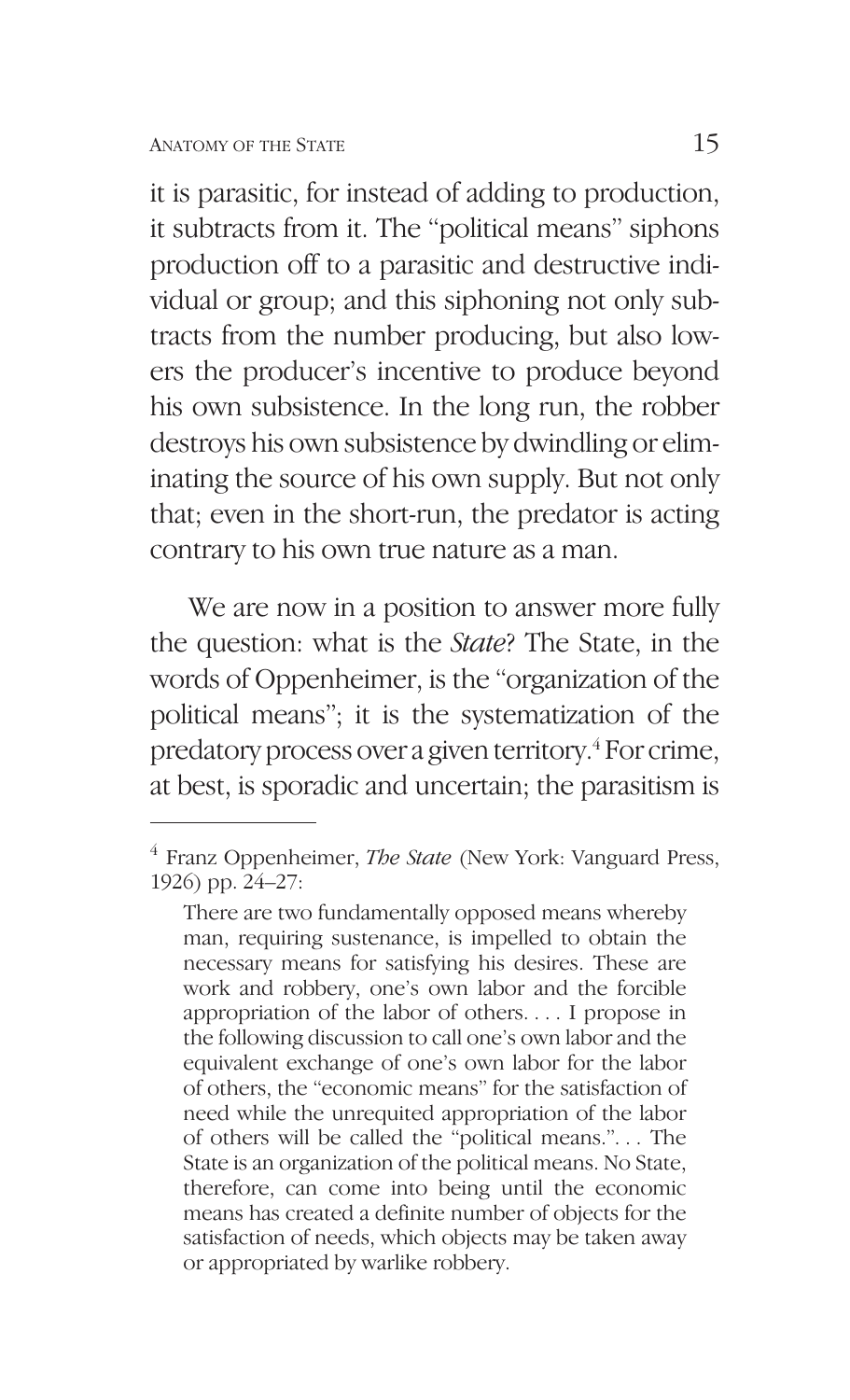it is parasitic, for instead of adding to production, it subtracts from it. The "political means" siphons production off to a parasitic and destructive individual or group; and this siphoning not only subtracts from the number producing, but also lowers the producer's incentive to produce beyond his own subsistence. In the long run, the robber destroys his own subsistence by dwindling or eliminating the source of his own supply. But not only that; even in the short-run, the predator is acting contrary to his own true nature as a man.

We are now in a position to answer more fully the question: what is the *State*? The State, in the words of Oppenheimer, is the "organization of the political means"; it is the systematization of the predatory process over a given territory.<sup>4</sup> For crime, at best, is sporadic and uncertain; the parasitismis

<sup>4</sup> Franz Oppenheimer, *The State* (New York: Vanguard Press, 1926) pp. 24-27:

There are two fundamentally opposed means whereby man, requiring sustenance, is impelled to obtain the necessary means for satisfying his desires. These are work and robbery, one's own labor and the forcible appropriation of the labor of others. . . . I propose in the following discussion to call one's own labor and the equivalent exchange of one's own labor for the labor of others, the "economic means" for the satisfaction of need while the unrequited appropriation of the labor of others will be called the "political means.". . . The State is an organization of the political means. No State, therefore, can come into being until the economic means has created a definite number of objects for the satisfaction of needs, which objects may be taken away or appropriated by warlike robbery.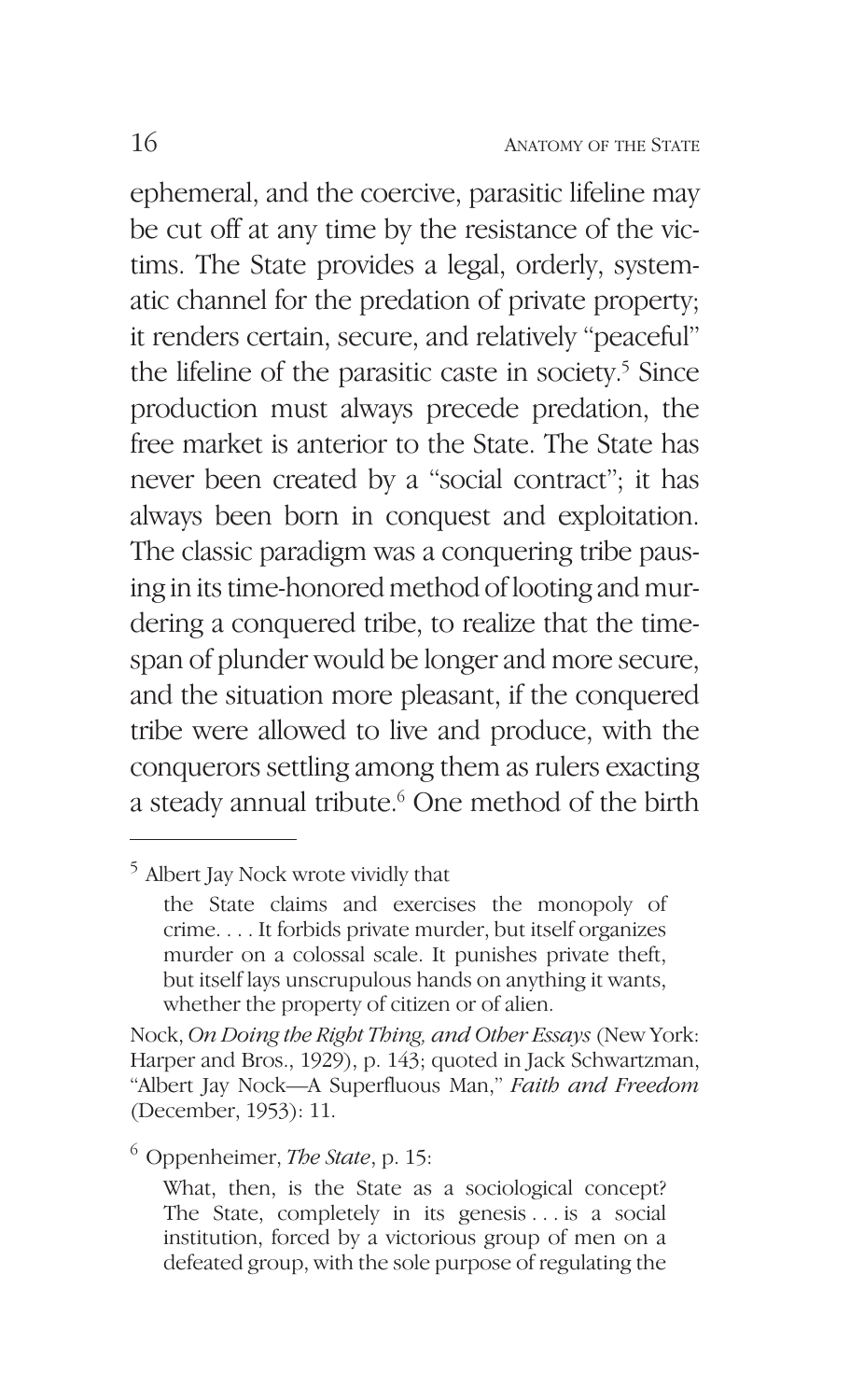ephemeral, and the coercive, parasitic lifeline may be cut off at any time by the resistance of the victims. The State provides a legal, orderly, systematic channel for the predation of private property; it renders certain, secure, and relatively "peaceful" the lifeline of the parasitic caste in society.<sup>5</sup> Since production must always precede predation, the free market is anterior to the State. The State has never been created by a "social contract"; it has always been born in conquest and exploitation. The classic paradigm was a conquering tribe pausing in its time-honored method of looting and murdering a conquered tribe, to realize that the timespan of plunder would be longer and more secure, and the situation more pleasant, if the conquered tribe were allowed to live and produce, with the conquerors settling among them as rulers exacting a steady annual tribute.6 One method of the birth

Nock, *On Doing the Right Thing, and Other Essays* (New York: Harper and Bros., 1929), p. 143; quoted in Jack Schwartzman, "Albert Jay Nock—A Superfluous Man," *Faith and Freedom*  (December, 1953): 11.

6 Oppenheimer, *The State*, p. 15:

What, then, is the State as a sociological concept? The State, completely in its genesis . . . is a social institution, forced by a victorious group of men on a defeated group, with the sole purpose of regulating the

<sup>5</sup> Albert Jay Nock wrote vividly that

the State claims and exercises the monopoly of crime. . . . It forbids private murder, but itself organizes murder on a colossal scale. It punishes private theft, but itself lays unscrupulous hands on anything it wants, whether the property of citizen or of alien.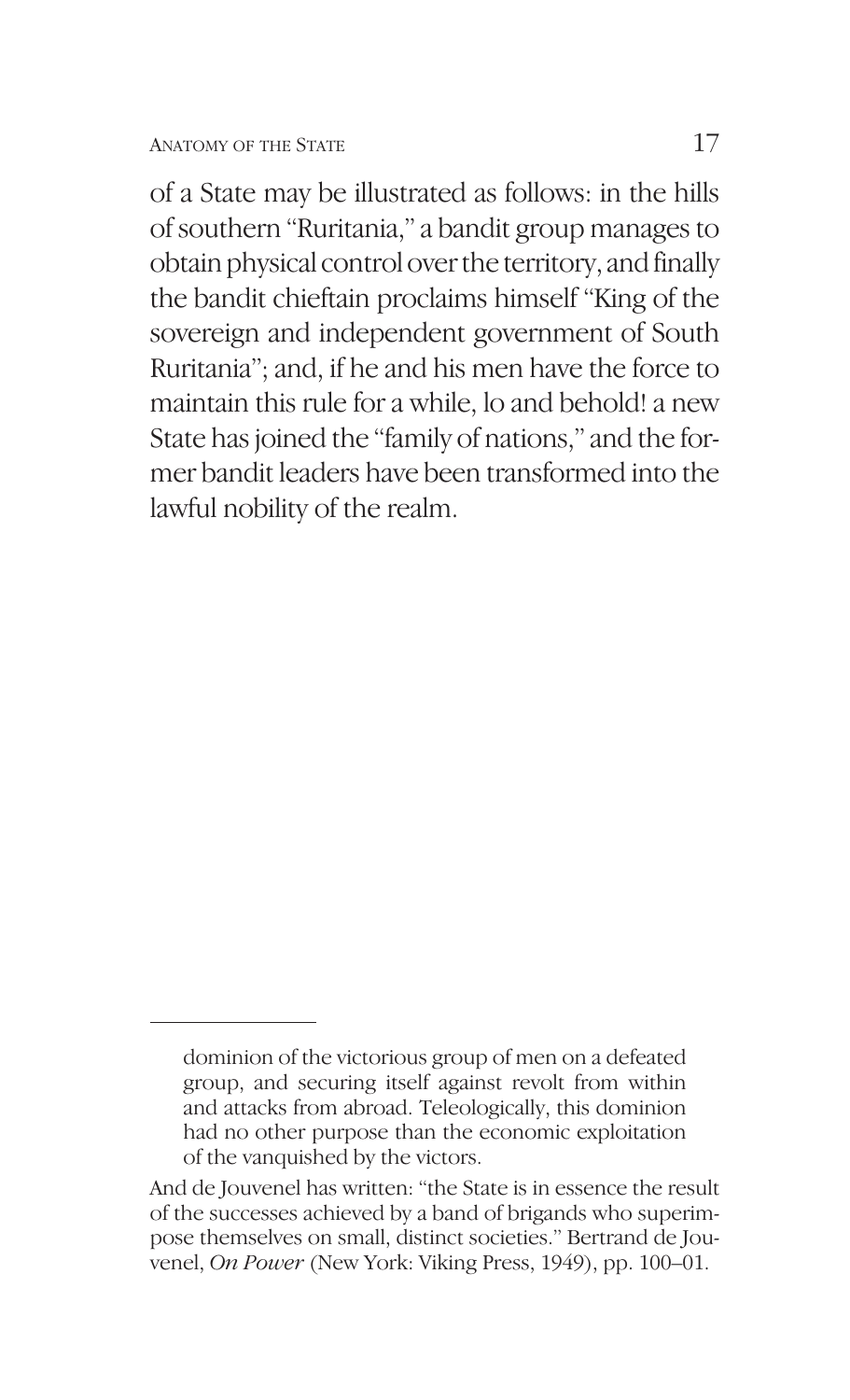of a State may be illustrated as follows: in the hills of southern "Ruritania," a bandit group manages to obtain physical control over the territory, and finally the bandit chieftain proclaims himself "King of the sovereign and independent government of South Ruritania"; and, if he and his men have the force to maintain this rule for a while, lo and behold! a new State has joined the "family of nations," and the former bandit leaders have been transformed into the lawful nobility of the realm.

dominion of the victorious group of men on a defeated group, and securing itself against revolt from within and attacks from abroad. Teleologically, this dominion had no other purpose than the economic exploitation of the vanquished by the victors.

And de Jouvenel has written: "the State is in essence the result of the successes achieved by a band of brigands who superimpose themselves on small, distinct societies." Bertrand de Jouvenel, *On Power* (New York: Viking Press, 1949), pp. 100–01.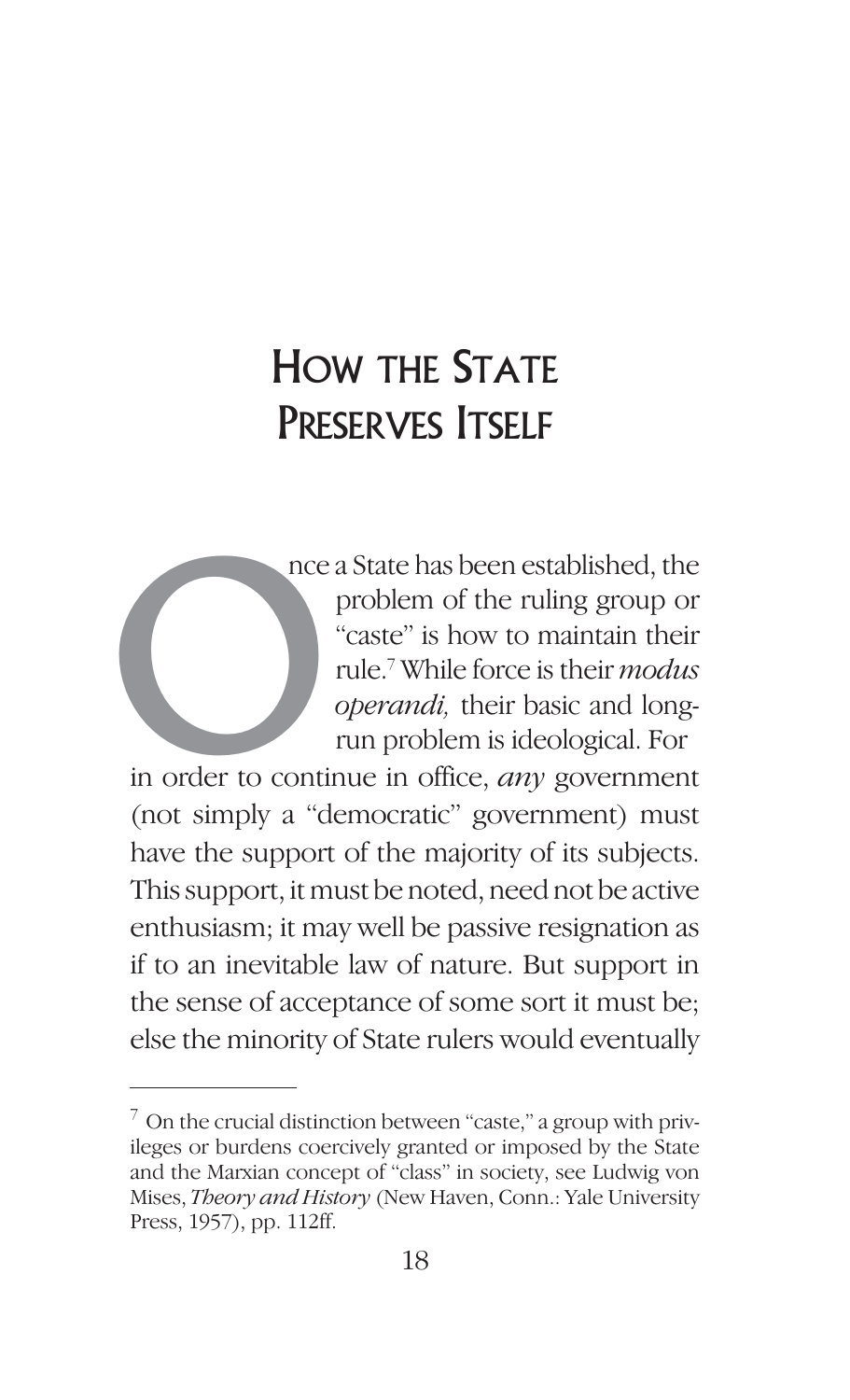## HOW THE STATE PRESERVES **TESELE**

nce a State has been established, the problem of the ruling group or "caste" is how to maintain their rule.<sup>7</sup> While force is their *modus* operandi, their basic and long-run problem is ideological. For in order to continu problem of the ruling group or "caste" is how to maintain their rule.7 While force is their *modus operandi,* their basic and longrun problem is ideological. For

(not simply a "democratic" government) must have the support of the majority of its subjects. This support, it must be noted, need not be active enthusiasm; it may well be passive resignation as if to an inevitable law of nature. But support in the sense of acceptance of some sort it must be; else the minority of State rulers would eventually

 $<sup>7</sup>$  On the crucial distinction between "caste," a group with priv-</sup> ileges or burdens coercively granted or imposed by the State and the Marxian concept of "class" in society, see Ludwig von Mises, *Theory and History* (New Haven, Conn.: Yale University Press, 1957), pp. 112ff.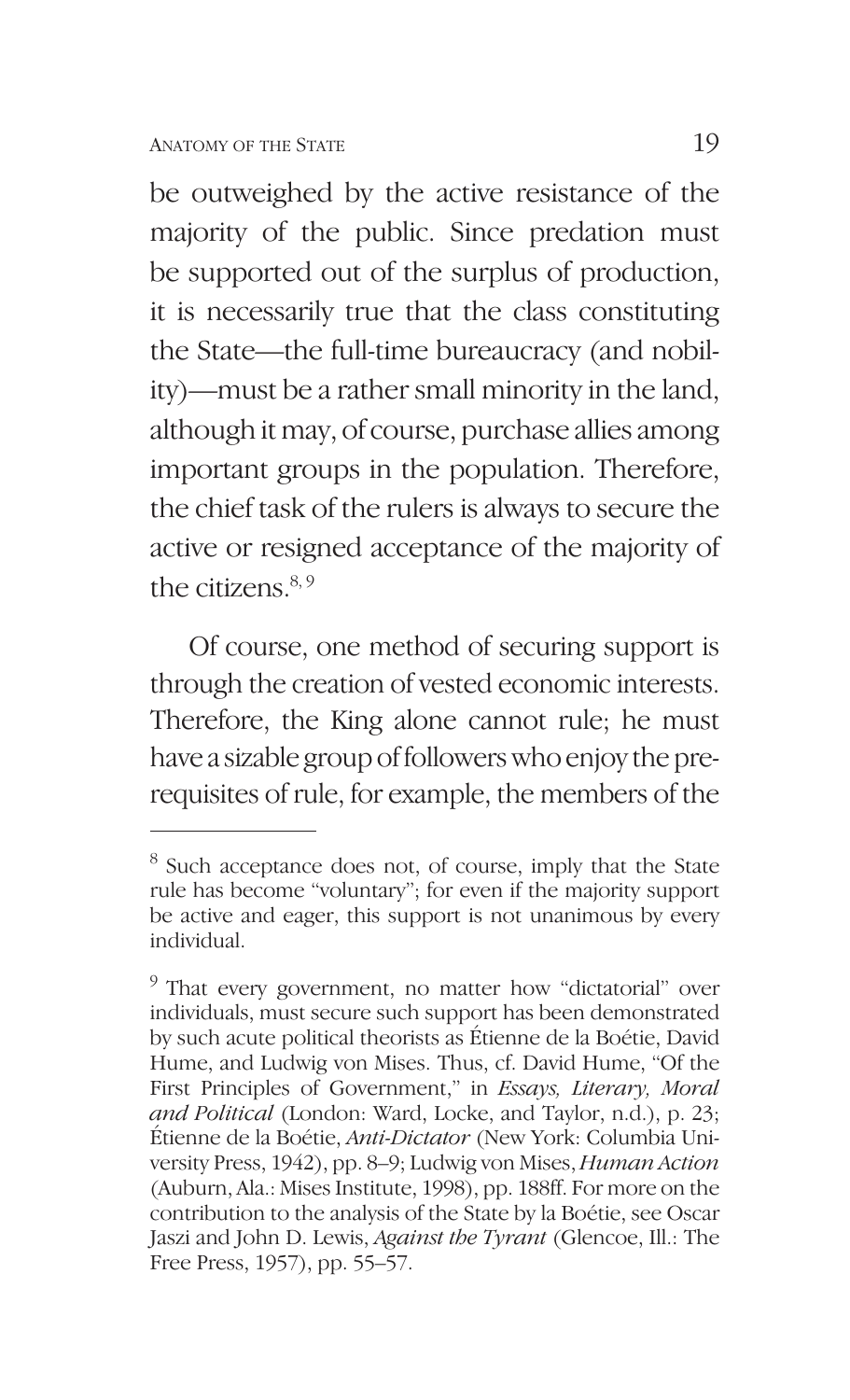be outweighed by the active resistance of the majority of the public. Since predation must be supported out of the surplus of production, it is necessarily true that the class constituting the State—the full-time bureaucracy (and nobility)—must be a rather small minority in the land, although it may, of course, purchase allies among important groups in the population. Therefore, the chief task of the rulers is always to secure the active or resigned acceptance of the majority of the citizens  $8,9$ 

Of course, one method of securing support is through the creation of vested economic interests. Therefore, the King alone cannot rule; he must have a sizable group of followers who enjoy the prerequisites of rule, for example, the members of the

<sup>8</sup> Such acceptance does not, of course, imply that the State rule has become "voluntary"; for even if the majority support be active and eager, this support is not unanimous by every individual.

<sup>&</sup>lt;sup>9</sup> That every government, no matter how "dictatorial" over individuals, must secure such support has been demonstrated by such acute political theorists as Étienne de la Boétie, David Hume, and Ludwig von Mises. Thus, cf. David Hume, "Of the First Principles of Government," in *Essays, Literary, Moral and Political* (London: Ward, Locke, and Taylor, n.d.), p. 23; Étienne de la Boétie, *Anti-Dictator* (New York: Columbia University Press, 1942), pp. 8–9; Ludwig von Mises, *Human Action*  (Auburn, Ala.: Mises Institute, 1998), pp. 188ff. For more on the contribution to the analysis of the State by la Boétie, see Oscar Jaszi and John D. Lewis, *Against the Tyrant* (Glencoe, Ill.: The Free Press, 1957), pp. 55–57.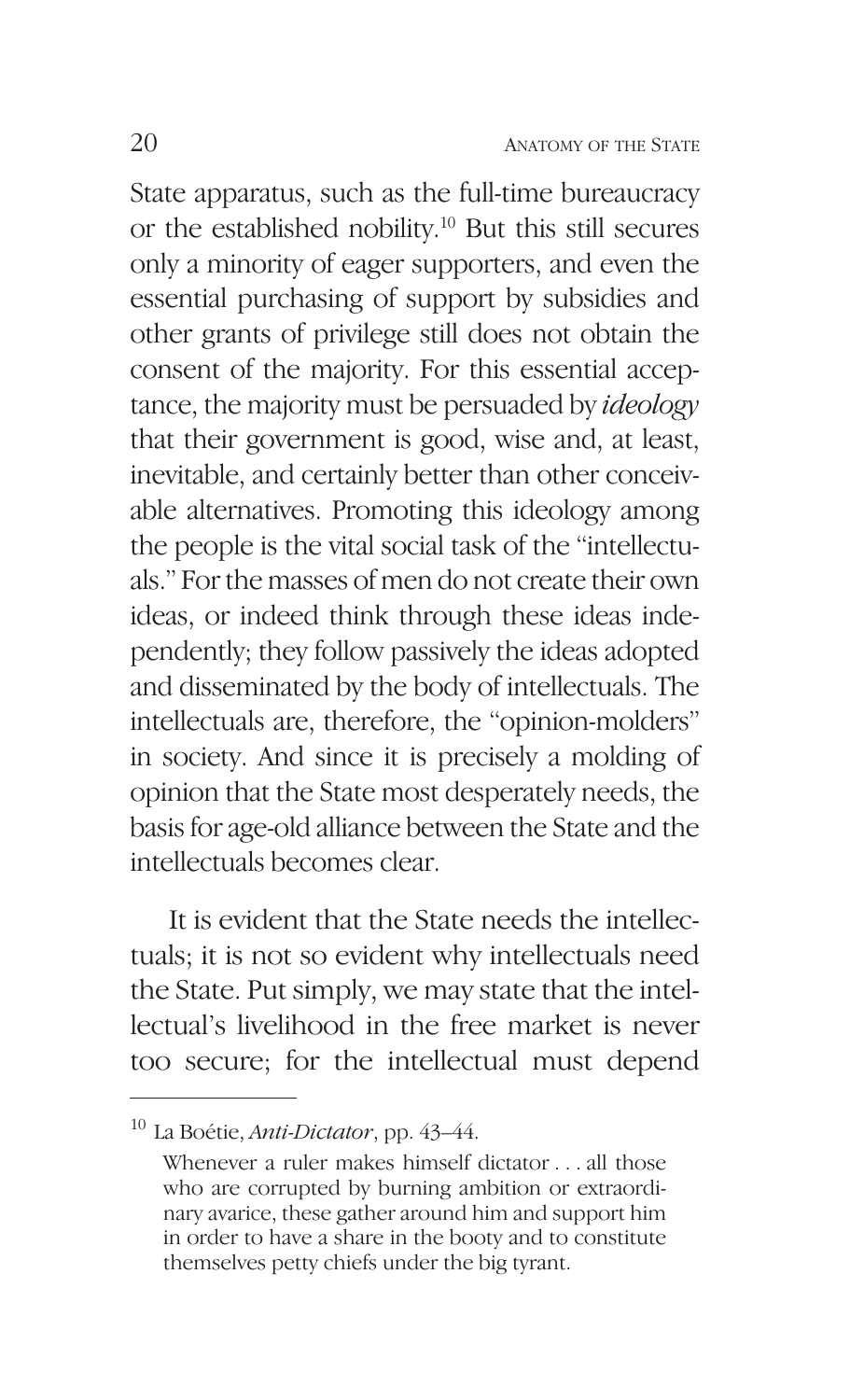State apparatus, such as the full-time bureaucracy or the established nobility.10 But this still secures only a minority of eager supporters, and even the essential purchasing of support by subsidies and other grants of privilege still does not obtain the consent of the majority. For this essential acceptance, the majority must be persuaded by *ideology* that their government is good, wise and, at least, inevitable, and certainly better than other conceivable alternatives. Promoting this ideology among the people is the vital social task of the "intellectuals." For the masses of men do not create their own ideas, or indeed think through these ideas independently; they follow passively the ideas adopted and disseminated by the body of intellectuals. The intellectuals are, therefore, the "opinion-molders" in society. And since it is precisely a molding of opinion that the State most desperately needs, the basis for age-old alliance between the State and the intellectuals becomes clear.

It is evident that the State needs the intellectuals; it is not so evident why intellectuals need the State. Put simply, we may state that the intellectual's livelihood in the free market is never too secure; for the intellectual must depend

<sup>10</sup> La Boétie, *Anti-Dictator*, pp. 43–44.

Whenever a ruler makes himself dictator . . . all those who are corrupted by burning ambition or extraordinary avarice, these gather around him and support him in order to have a share in the booty and to constitute themselves petty chiefs under the big tyrant.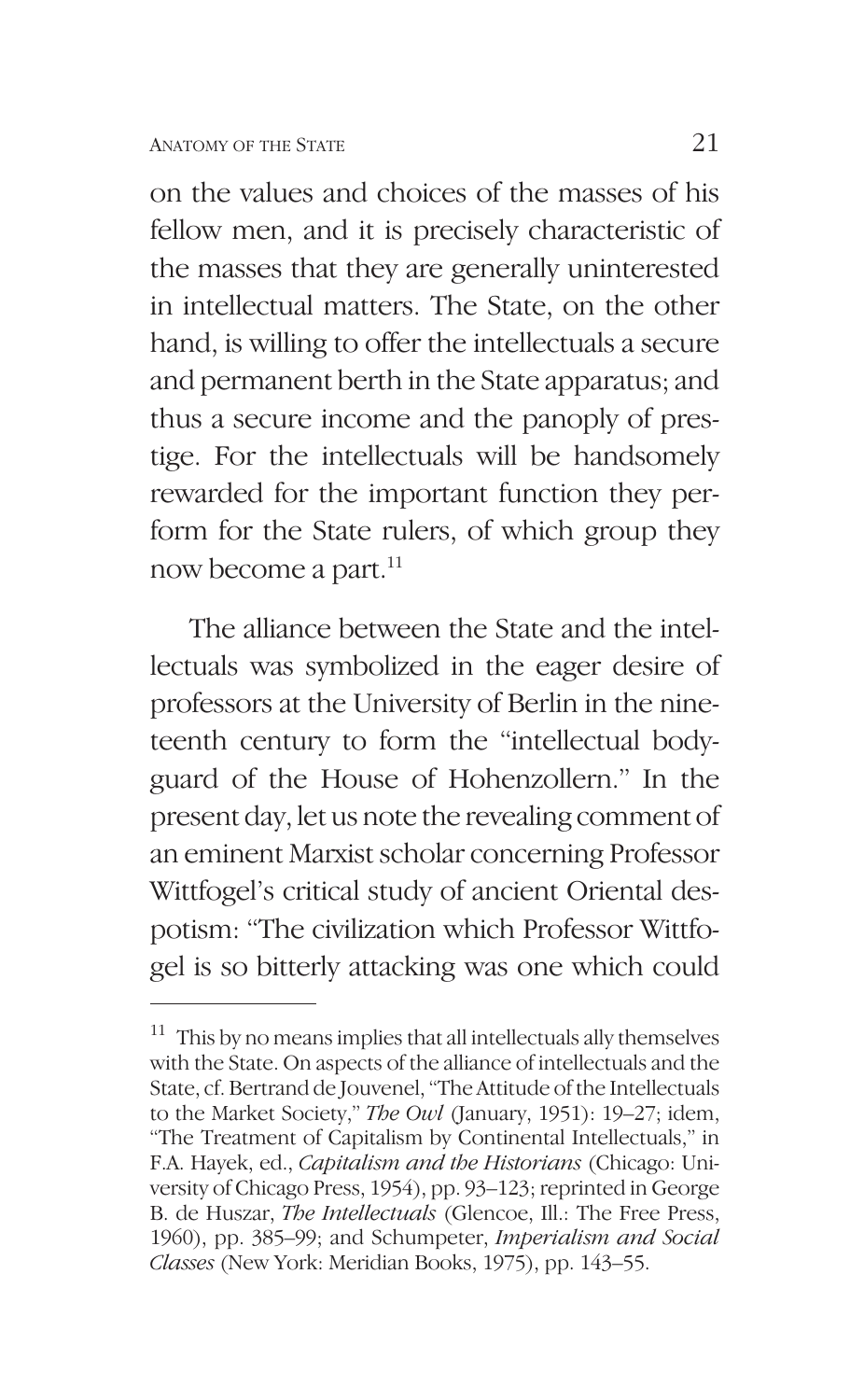on the values and choices of the masses of his fellow men, and it is precisely characteristic of the masses that they are generally uninterested in intellectual matters. The State, on the other hand, is willing to offer the intellectuals a secure and permanent berth in the State apparatus; and thus a secure income and the panoply of prestige. For the intellectuals will be handsomely rewarded for the important function they perform for the State rulers, of which group they now become a part.<sup>11</sup>

The alliance between the State and the intellectuals was symbolized in the eager desire of professors at the University of Berlin in the nineteenth century to form the "intellectual bodyguard of the House of Hohenzollern." In the present day, let us note the revealing comment of an eminent Marxist scholar concerning Professor Wittfogel's critical study of ancient Oriental despotism: "The civilization which Professor Wittfogel is so bitterly attacking was one which could

 $11$  This by no means implies that all intellectuals ally themselves with the State. On aspects of the alliance of intellectuals and the State, cf. Bertrand de Jouvenel, "The Attitude of the Intellectuals to the Market Society," *The Owl* (January, 1951): 19–27; idem, "The Treatment of Capitalism by Continental Intellectuals," in F.A. Hayek, ed., *Capitalism and the Historians* (Chicago: University of Chicago Press, 1954), pp. 93–123; reprinted in George B. de Huszar, *The Intellectuals* (Glencoe, Ill.: The Free Press, 1960), pp. 385–99; and Schumpeter, *Imperialism and Social Classes* (New York: Meridian Books, 1975), pp. 143–55.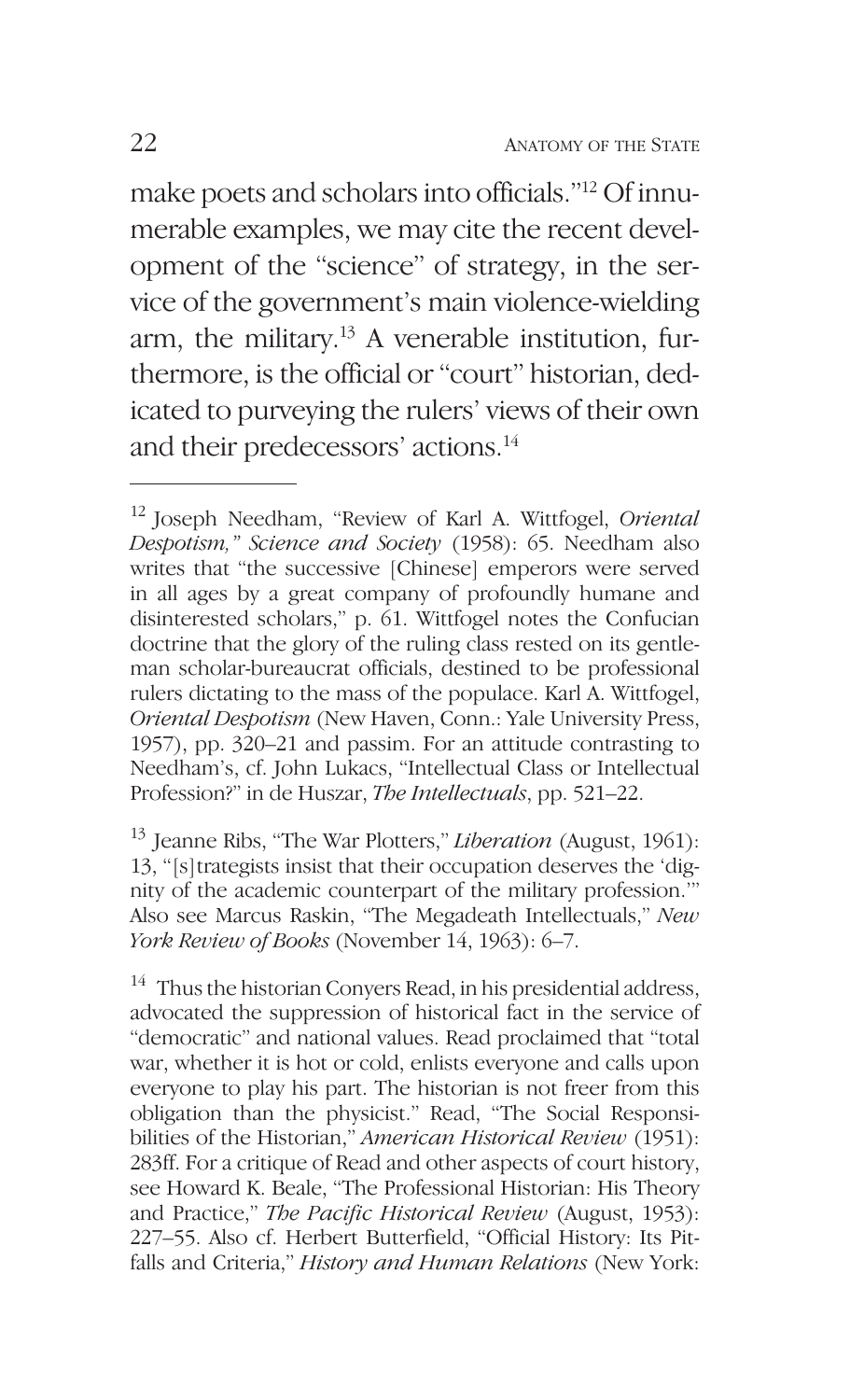make poets and scholars into officials."12 Of innumerable examples, we may cite the recent development of the "science" of strategy, in the service of the government's main violence-wielding arm, the military.<sup>13</sup> A venerable institution, furthermore, is the official or "court" historian, dedicated to purveying the rulers' views of their own and their predecessors' actions.14

13 Jeanne Ribs, "The War Plotters," *Liberation* (August, 1961): 13, "[s]trategists insist that their occupation deserves the 'dignity of the academic counterpart of the military profession.'" Also see Marcus Raskin, "The Megadeath Intellectuals," *New York Review of Books* (November 14, 1963): 6–7.

<sup>14</sup> Thus the historian Conyers Read, in his presidential address, advocated the suppression of historical fact in the service of "democratic" and national values. Read proclaimed that "total war, whether it is hot or cold, enlists everyone and calls upon everyone to play his part. The historian is not freer from this obligation than the physicist." Read, "The Social Responsibilities of the Historian," *American Historical Review* (1951): 283ff. For a critique of Read and other aspects of court history, see Howard K. Beale, "The Professional Historian: His Theory and Practice," *The Pacific Historical Review* (August, 1953): 227–55. Also cf. Herbert Butterfield, "Official History: Its Pitfalls and Criteria," *History and Human Relations* (New York:

<sup>12</sup> Joseph Needham, "Review of Karl A. Wittfogel, *Oriental Despotism," Science and Society* (1958): 65. Needham also writes that "the successive [Chinese] emperors were served in all ages by a great company of profoundly humane and disinterested scholars," p. 61. Wittfogel notes the Confucian doctrine that the glory of the ruling class rested on its gentleman scholar-bureaucrat officials, destined to be professional rulers dictating to the mass of the populace. Karl A. Wittfogel, *Oriental Despotism* (New Haven, Conn.: Yale University Press, 1957), pp. 320–21 and passim. For an attitude contrasting to Needham's, cf. John Lukacs, "Intellectual Class or Intellectual Profession?" in de Huszar, *The Intellectuals*, pp. 521–22.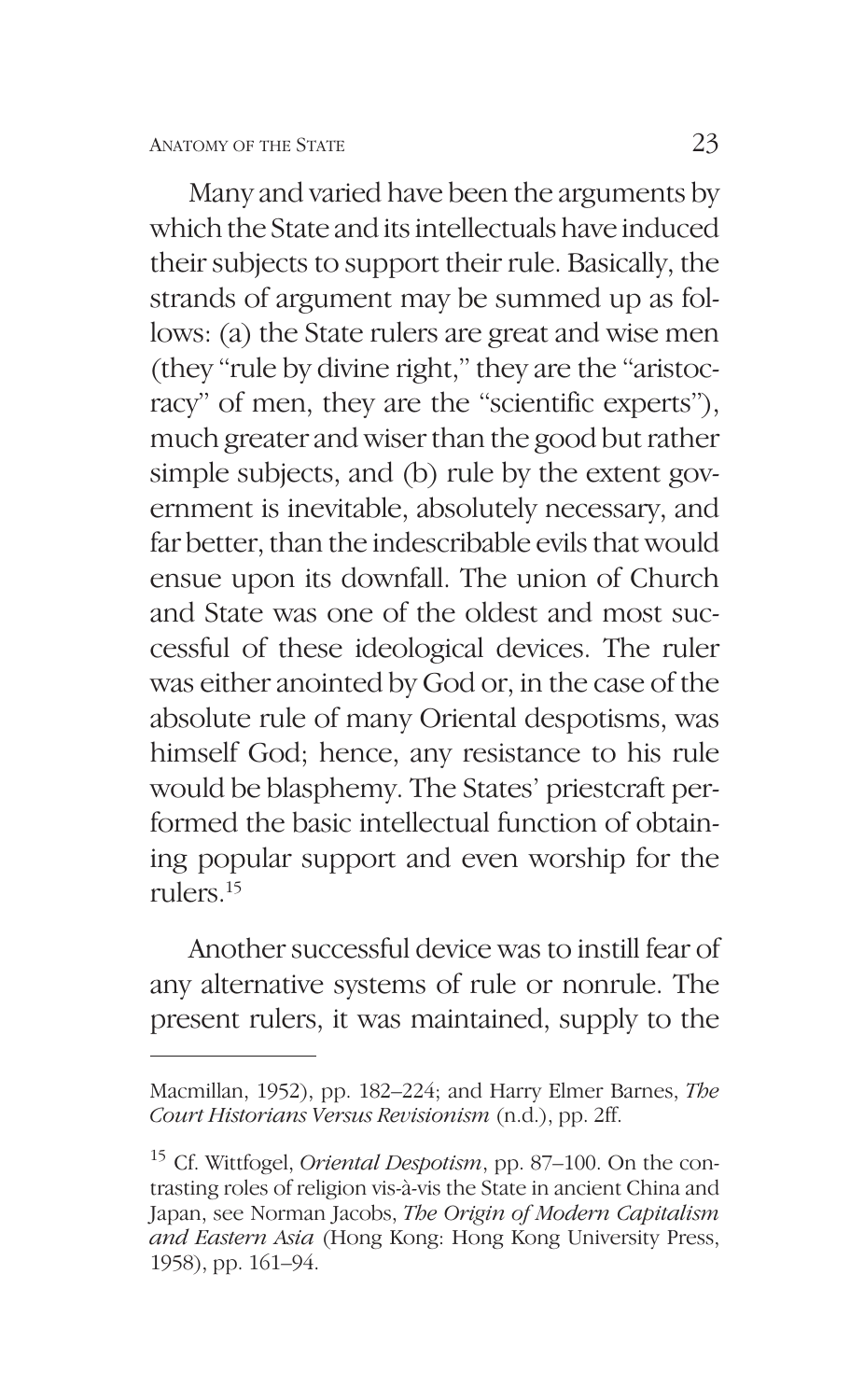Many and varied have been the arguments by which the State and its intellectuals have induced their subjects to support their rule. Basically, the strands of argument may be summed up as follows: (a) the State rulers are great and wise men (they "rule by divine right," they are the "aristocracy" of men, they are the "scientific experts"), much greater and wiser than the good but rather simple subjects, and (b) rule by the extent government is inevitable, absolutely necessary, and far better, than the indescribable evils that would ensue upon its downfall. The union of Church and State was one of the oldest and most successful of these ideological devices. The ruler was either anointed by God or, in the case of the absolute rule of many Oriental despotisms, was himself God; hence, any resistance to his rule would be blasphemy. The States' priestcraft performed the basic intellectual function of obtaining popular support and even worship for the rulers.15

Another successful device was to instill fear of any alternative systems of rule or nonrule. The present rulers, it was maintained, supply to the

Macmillan, 1952), pp. 182–224; and Harry Elmer Barnes, *The Court Historians Versus Revisionism* (n.d.), pp. 2ff.

<sup>15</sup> Cf. Wittfogel, *Oriental Despotism*, pp. 87–100. On the contrasting roles of religion vis-à-vis the State in ancient China and Japan, see Norman Jacobs, *The Origin of Modern Capitalism and Eastern Asia* (Hong Kong: Hong Kong University Press, 1958), pp. 161–94.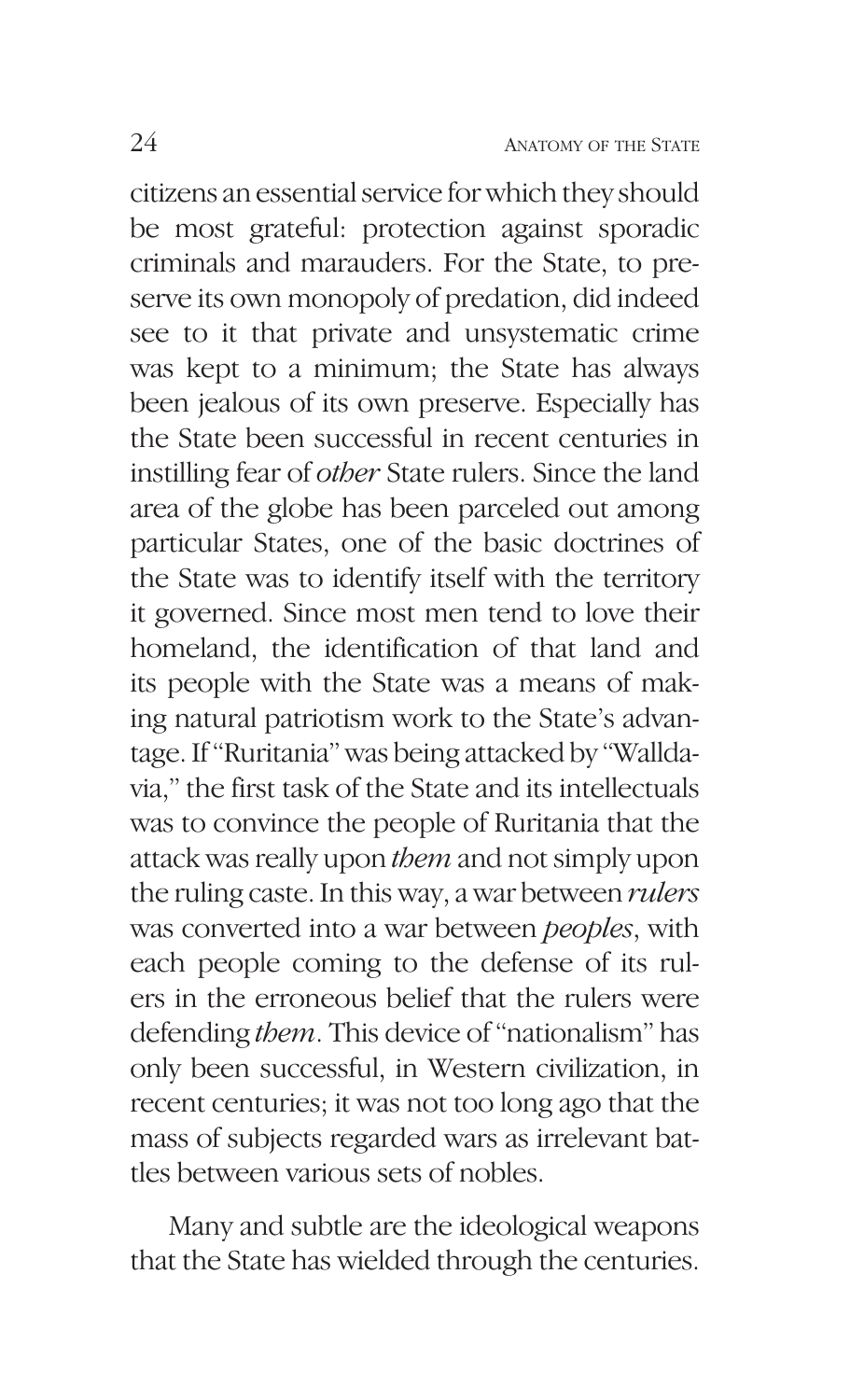citizens an essential service for which they should be most grateful: protection against sporadic criminals and marauders. For the State, to preserve its own monopoly of predation, did indeed see to it that private and unsystematic crime was kept to a minimum; the State has always been jealous of its own preserve. Especially has the State been successful in recent centuries in instilling fear of *other* State rulers. Since the land area of the globe has been parceled out among particular States, one of the basic doctrines of the State was to identify itself with the territory it governed. Since most men tend to love their homeland, the identification of that land and its people with the State was a means of making natural patriotism work to the State's advantage. If "Ruritania" was being attacked by "Walldavia," the first task of the State and its intellectuals was to convince the people of Ruritania that the attack was really upon *them* and not simply upon the ruling caste. In this way, a war between *rulers* was converted into a war between *peoples*, with each people coming to the defense of its rulers in the erroneous belief that the rulers were defending *them*. This device of "nationalism" has only been successful, in Western civilization, in recent centuries; it was not too long ago that the mass of subjects regarded wars as irrelevant battles between various sets of nobles.

Many and subtle are the ideological weapons that the State has wielded through the centuries.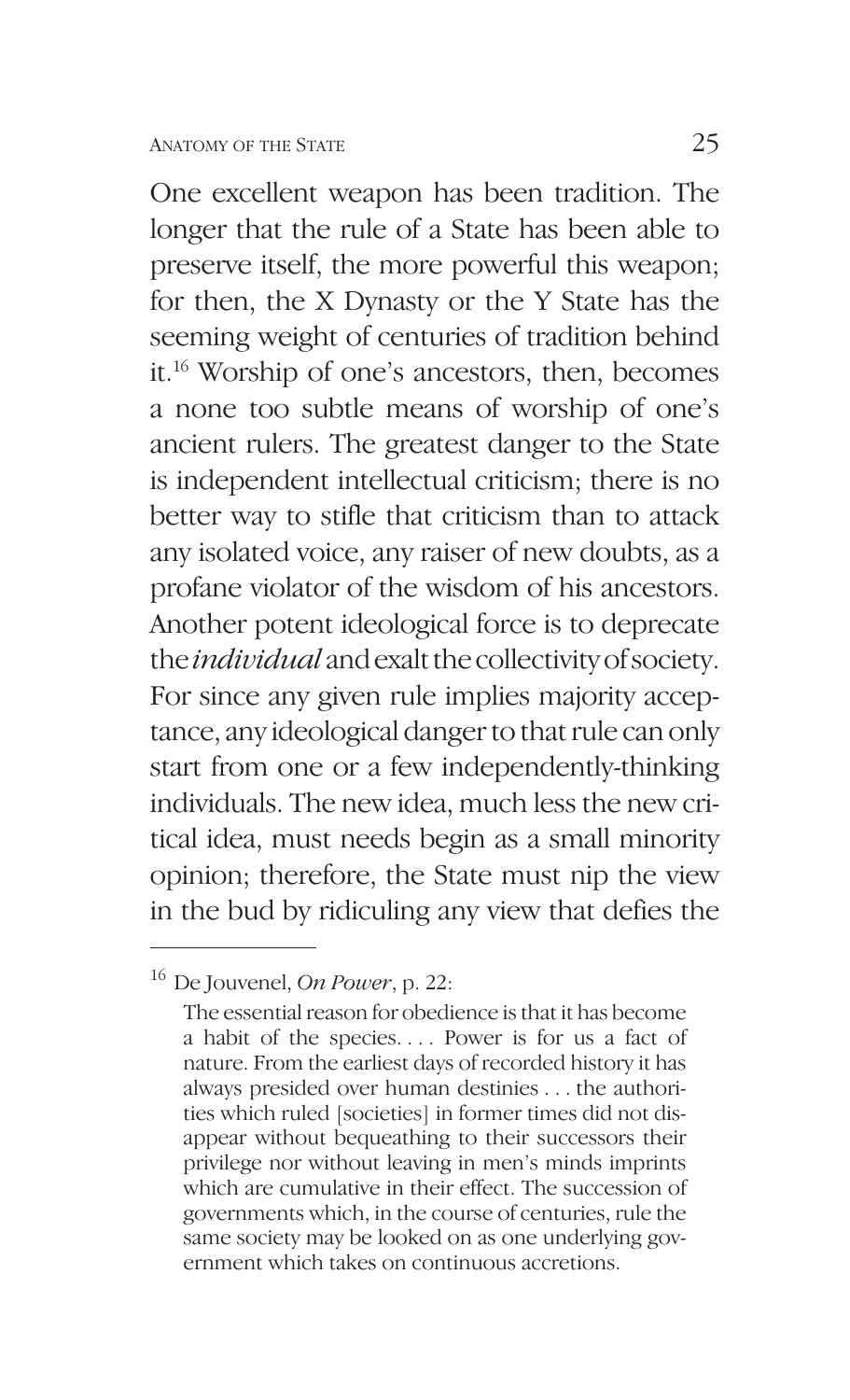One excellent weapon has been tradition. The longer that the rule of a State has been able to preserve itself, the more powerful this weapon; for then, the X Dynasty or the Y State has the seeming weight of centuries of tradition behind it.16 Worship of one's ancestors, then, becomes a none too subtle means of worship of one's ancient rulers. The greatest danger to the State is independent intellectual criticism; there is no better way to stifle that criticism than to attack any isolated voice, any raiser of new doubts, as a profane violator of the wisdom of his ancestors. Another potent ideological force is to deprecate the *individual* and exalt the collectivity of society. For since any given rule implies majority acceptance, any ideological danger to that rule can only start from one or a few independently-thinking individuals. The new idea, much less the new critical idea, must needs begin as a small minority opinion; therefore, the State must nip the view in the bud by ridiculing any view that defies the

<sup>16</sup> De Jouvenel, *On Power*, p. 22:

The essential reason for obedience is that it has become a habit of the species. . . . Power is for us a fact of nature. From the earliest days of recorded history it has always presided over human destinies . . . the authorities which ruled [societies] in former times did not disappear without bequeathing to their successors their privilege nor without leaving in men's minds imprints which are cumulative in their effect. The succession of governments which, in the course of centuries, rule the same society may be looked on as one underlying government which takes on continuous accretions.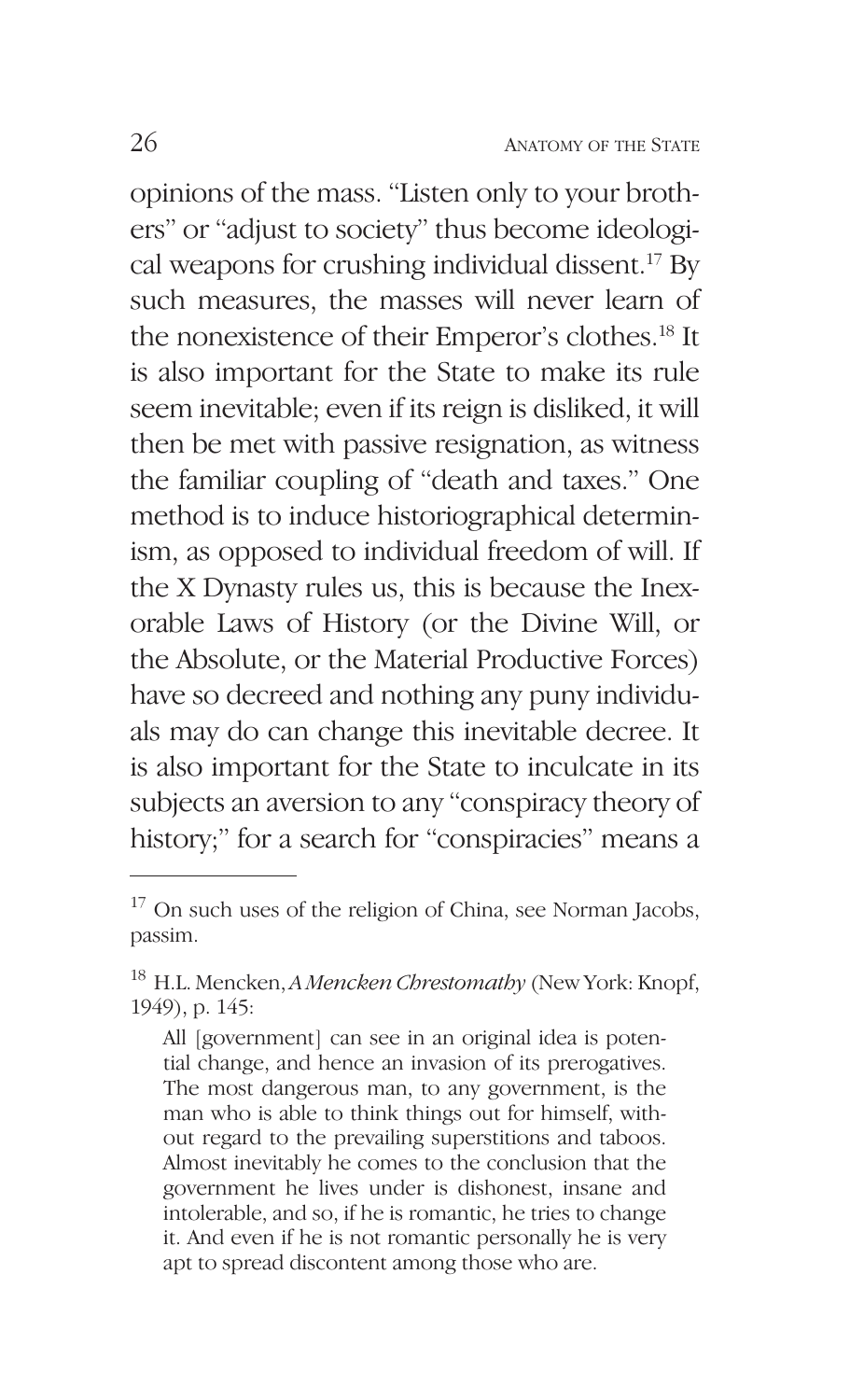opinions of the mass. "Listen only to your brothers" or "adjust to society" thus become ideological weapons for crushing individual dissent.17 By such measures, the masses will never learn of the nonexistence of their Emperor's clothes.18 It is also important for the State to make its rule seem inevitable; even if its reign is disliked, it will then be met with passive resignation, as witness the familiar coupling of "death and taxes." One method is to induce historiographical determinism, as opposed to individual freedom of will. If the X Dynasty rules us, this is because the Inexorable Laws of History (or the Divine Will, or the Absolute, or the Material Productive Forces) have so decreed and nothing any puny individuals may do can change this inevitable decree. It is also important for the State to inculcate in its subjects an aversion to any "conspiracy theory of history;" for a search for "conspiracies" means a

All [government] can see in an original idea is potential change, and hence an invasion of its prerogatives. The most dangerous man, to any government, is the man who is able to think things out for himself, without regard to the prevailing superstitions and taboos. Almost inevitably he comes to the conclusion that the government he lives under is dishonest, insane and intolerable, and so, if he is romantic, he tries to change it. And even if he is not romantic personally he is very apt to spread discontent among those who are.

<sup>&</sup>lt;sup>17</sup> On such uses of the religion of China, see Norman Jacobs, passim.

<sup>18</sup> H.L. Mencken, *A Mencken Chrestomathy* (New York: Knopf, 1949), p. 145: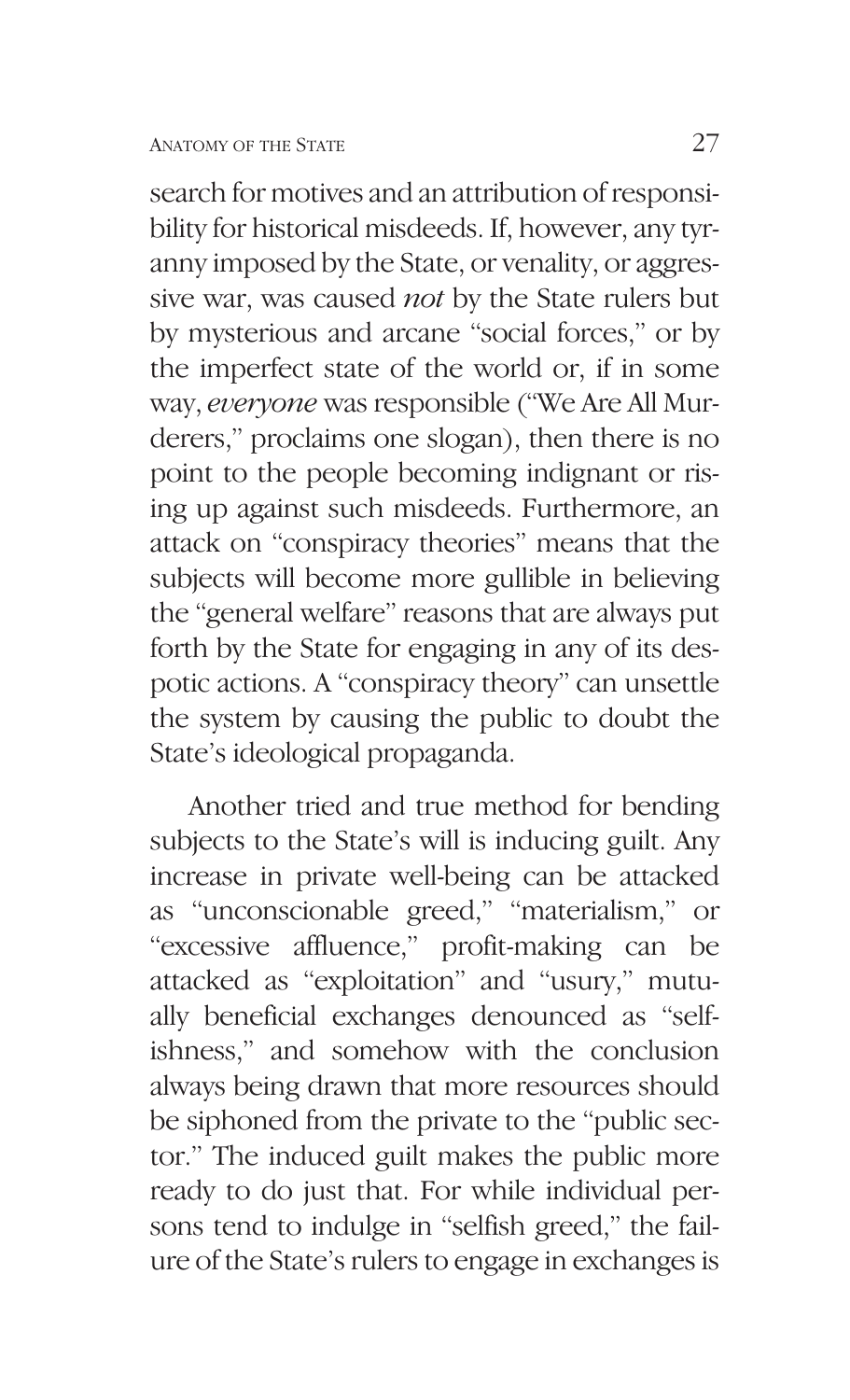search for motives and an attribution of responsibility for historical misdeeds. If, however, any tyranny imposed by the State, or venality, or aggressive war, was caused *not* by the State rulers but by mysterious and arcane "social forces," or by the imperfect state of the world or, if in some way, *everyone* was responsible ("We Are All Murderers," proclaims one slogan), then there is no point to the people becoming indignant or rising up against such misdeeds. Furthermore, an attack on "conspiracy theories" means that the subjects will become more gullible in believing the "general welfare" reasons that are always put forth by the State for engaging in any of its despotic actions. A "conspiracy theory" can unsettle the system by causing the public to doubt the State's ideological propaganda.

Another tried and true method for bending subjects to the State's will is inducing guilt. Any increase in private well-being can be attacked as "unconscionable greed," "materialism," or "excessive affluence," profit-making can be attacked as "exploitation" and "usury," mutually beneficial exchanges denounced as "selfishness," and somehow with the conclusion always being drawn that more resources should be siphoned from the private to the "public sector." The induced guilt makes the public more ready to do just that. For while individual persons tend to indulge in "selfish greed," the failure of the State's rulers to engage in exchanges is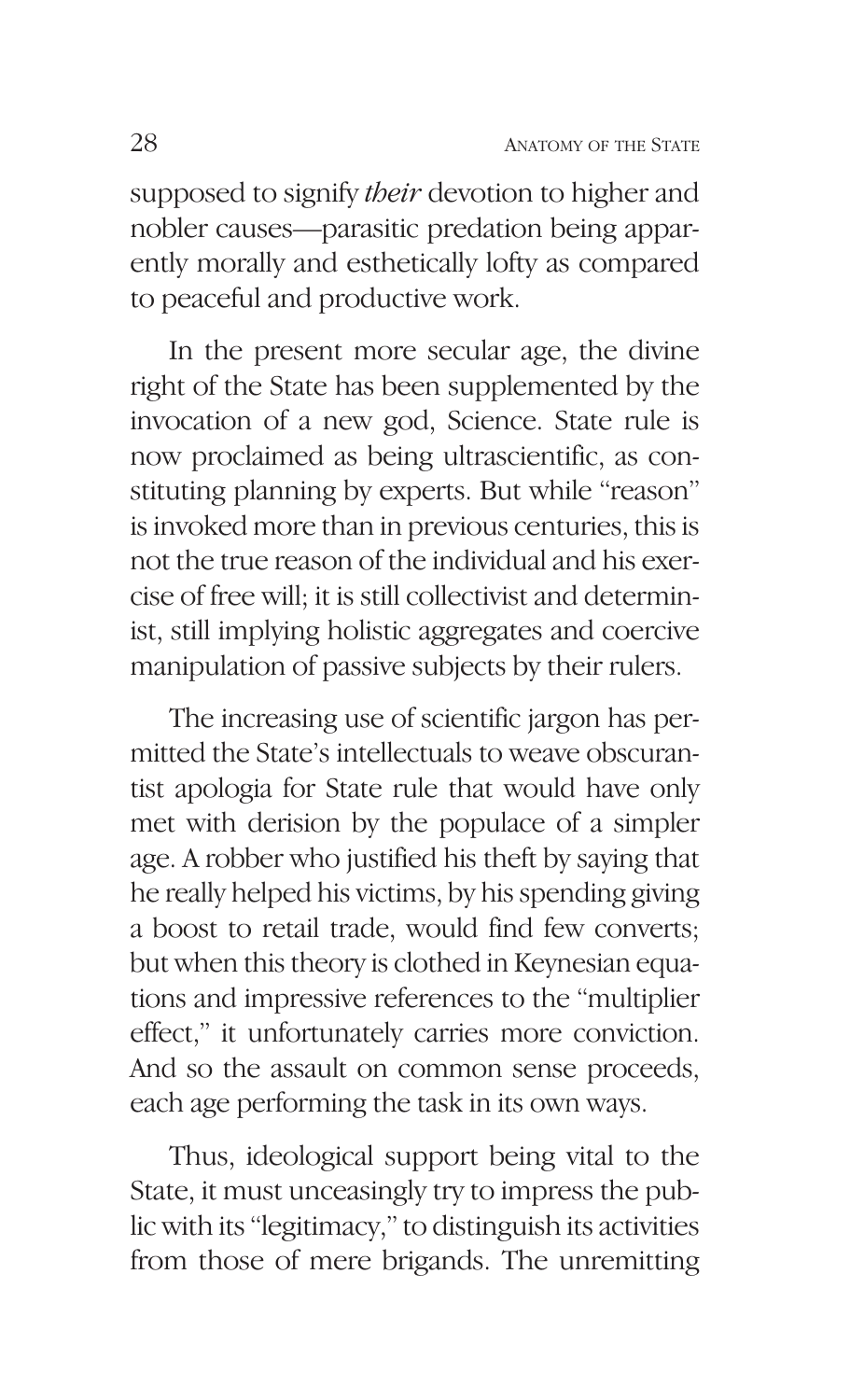supposed to signify *their* devotion to higher and nobler causes—parasitic predation being apparently morally and esthetically lofty as compared to peaceful and productive work.

In the present more secular age, the divine right of the State has been supplemented by the invocation of a new god, Science. State rule is now proclaimed as being ultrascientific, as constituting planning by experts. But while "reason" is invoked more than in previous centuries, this is not the true reason of the individual and his exercise of free will; it is still collectivist and determinist, still implying holistic aggregates and coercive manipulation of passive subjects by their rulers.

The increasing use of scientific jargon has permitted the State's intellectuals to weave obscurantist apologia for State rule that would have only met with derision by the populace of a simpler age. A robber who justified his theft by saying that he really helped his victims, by his spending giving a boost to retail trade, would find few converts; but when this theory is clothed in Keynesian equations and impressive references to the "multiplier effect," it unfortunately carries more conviction. And so the assault on common sense proceeds, each age performing the task in its own ways.

Thus, ideological support being vital to the State, it must unceasingly try to impress the public with its "legitimacy," to distinguish its activities from those of mere brigands. The unremitting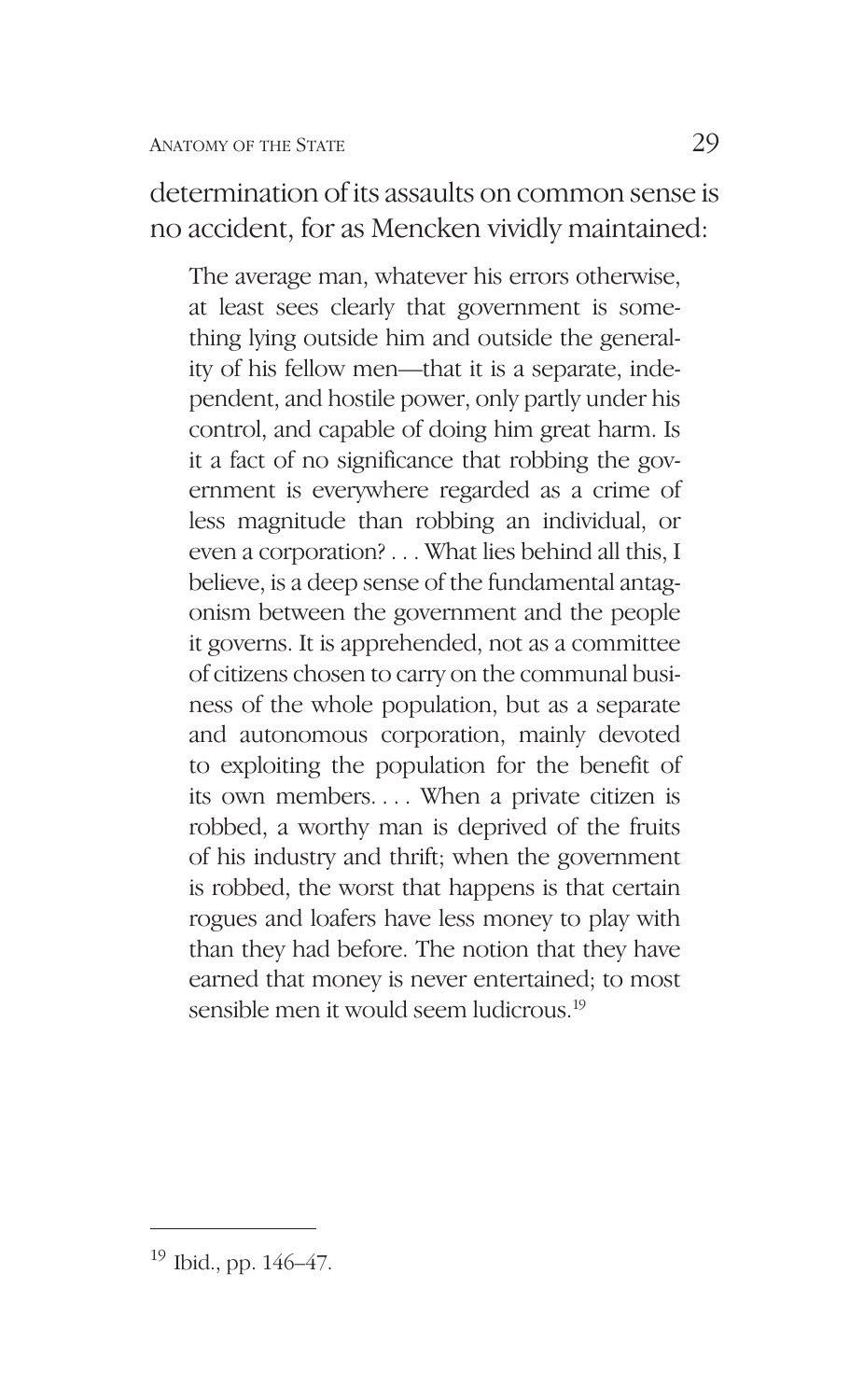determination of its assaults on common sense is no accident, for as Mencken vividly maintained:

The average man, whatever his errors otherwise, at least sees clearly that government is something lying outside him and outside the generality of his fellow men—that it is a separate, independent, and hostile power, only partly under his control, and capable of doing him great harm. Is it a fact of no significance that robbing the government is everywhere regarded as a crime of less magnitude than robbing an individual, or even a corporation? . . . What lies behind all this, I believe, is a deep sense of the fundamental antagonism between the government and the people it governs. It is apprehended, not as a committee of citizens chosen to carry on the communal business of the whole population, but as a separate and autonomous corporation, mainly devoted to exploiting the population for the benefit of its own members. . . . When a private citizen is robbed, a worthy man is deprived of the fruits of his industry and thrift; when the government is robbed, the worst that happens is that certain rogues and loafers have less money to play with than they had before. The notion that they have earned that money is never entertained; to most sensible men it would seem ludicrous.<sup>19</sup>

<sup>19</sup> Ibid., pp. 146–47.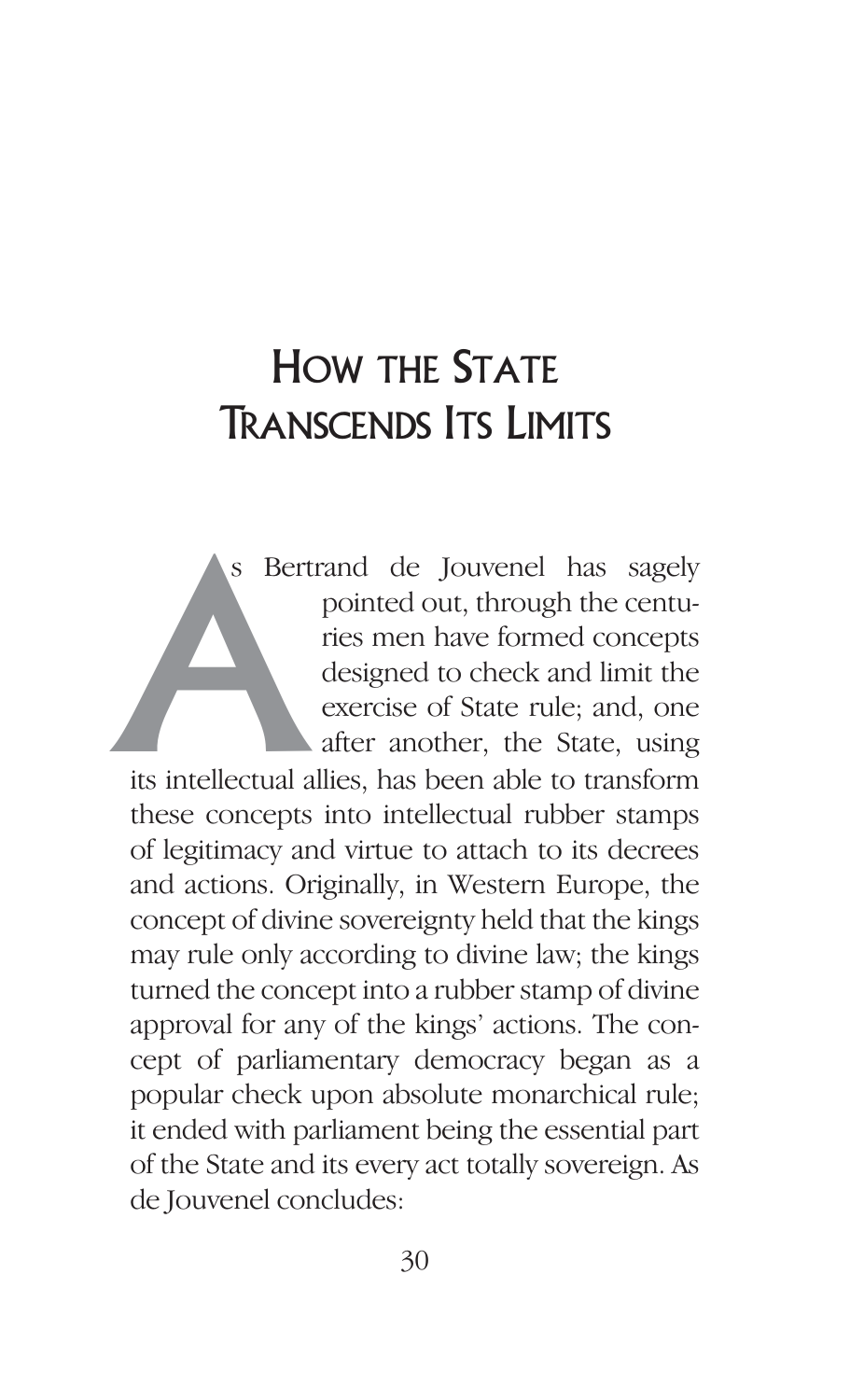### HOW THE STATE TRANSCENDS ITS LIMITS

S<br>Bert<br>its intellectual a Bertrand de Jouvenel has sagely pointed out, through the centuries men have formed concepts designed to check and limit the exercise of State rule; and, one after another, the State, using

its intellectual allies, has been able to transform these concepts into intellectual rubber stamps of legitimacy and virtue to attach to its decrees and actions. Originally, in Western Europe, the concept of divine sovereignty held that the kings may rule only according to divine law; the kings turned the concept into a rubber stamp of divine approval for any of the kings' actions. The concept of parliamentary democracy began as a popular check upon absolute monarchical rule; it ended with parliament being the essential part of the State and its every act totally sovereign. As de Jouvenel concludes: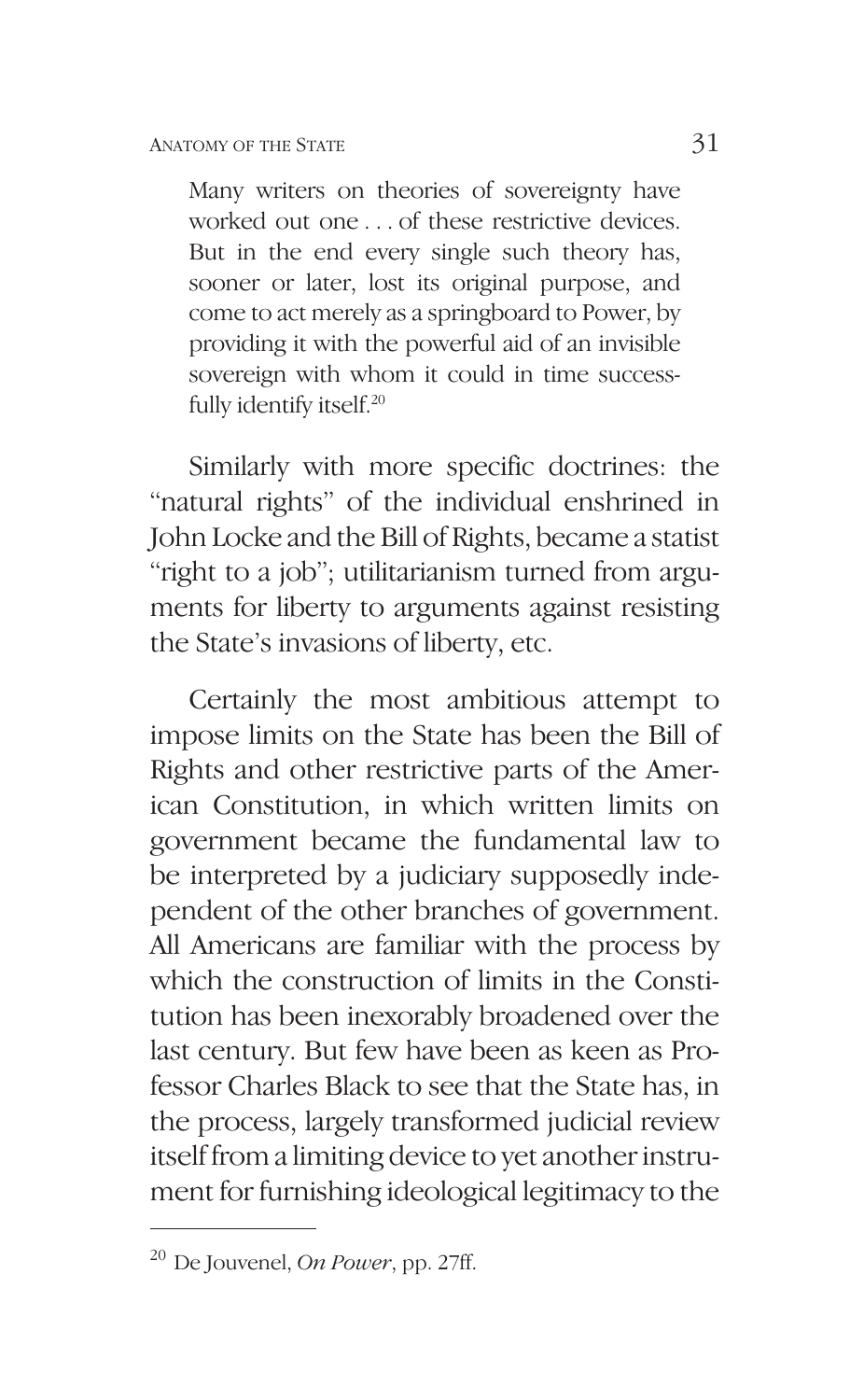Many writers on theories of sovereignty have worked out one . . . of these restrictive devices. But in the end every single such theory has, sooner or later, lost its original purpose, and come to act merely as a springboard to Power, by providing it with the powerful aid of an invisible sovereign with whom it could in time successfully identify itself.<sup>20</sup>

Similarly with more specific doctrines: the "natural rights" of the individual enshrined in John Locke and the Bill of Rights, became a statist "right to a job"; utilitarianism turned from arguments for liberty to arguments against resisting the State's invasions of liberty, etc.

Certainly the most ambitious attempt to impose limits on the State has been the Bill of Rights and other restrictive parts of the American Constitution, in which written limits on government became the fundamental law to be interpreted by a judiciary supposedly independent of the other branches of government. All Americans are familiar with the process by which the construction of limits in the Constitution has been inexorably broadened over the last century. But few have been as keen as Professor Charles Black to see that the State has, in the process, largely transformed judicial review itself from a limiting device to yet another instrument for furnishing ideological legitimacy to the

<sup>20</sup> De Jouvenel, *On Power*, pp. 27ff.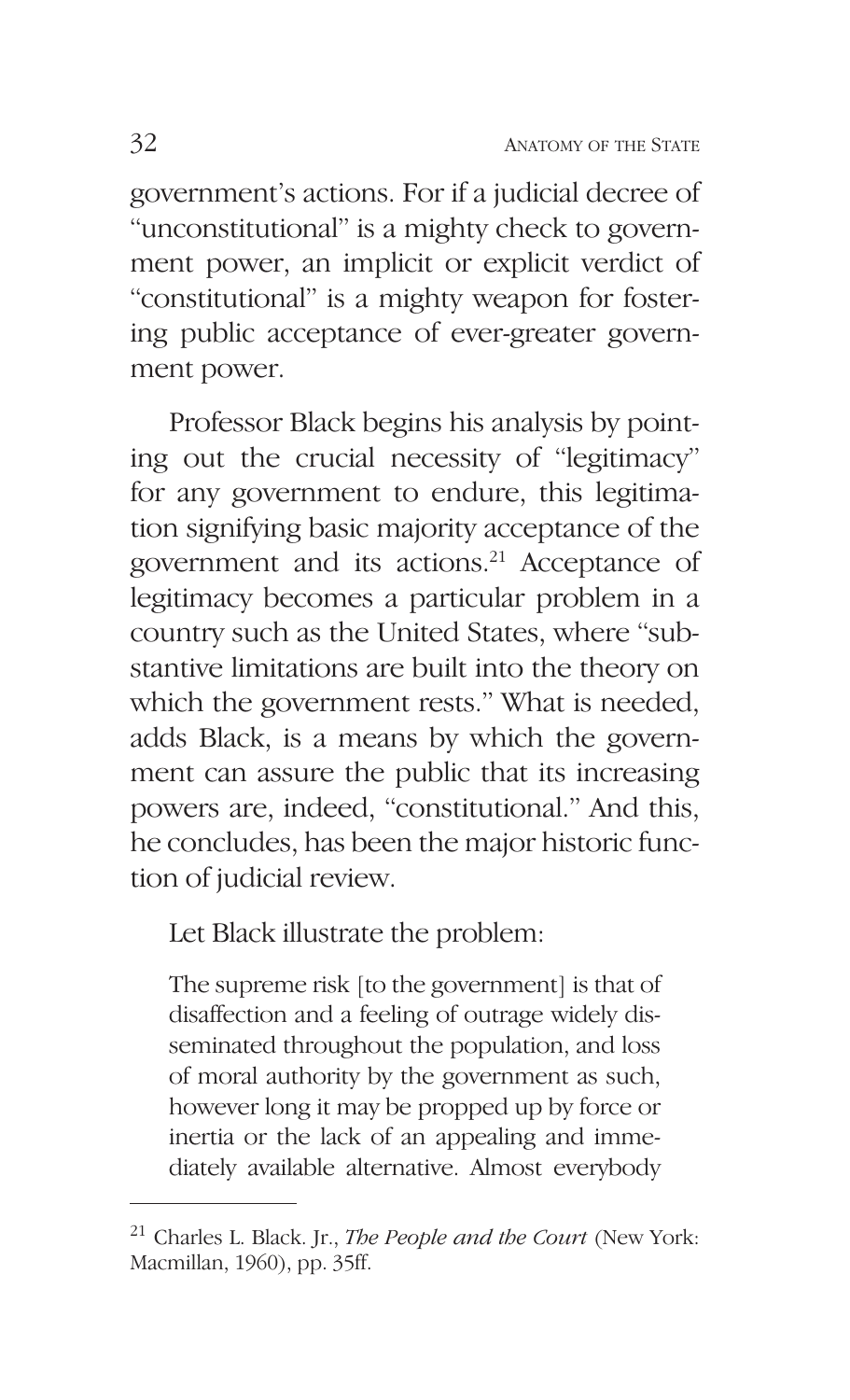government's actions. For if a judicial decree of "unconstitutional" is a mighty check to government power, an implicit or explicit verdict of "constitutional" is a mighty weapon for fostering public acceptance of ever-greater government power.

Professor Black begins his analysis by pointing out the crucial necessity of "legitimacy" for any government to endure, this legitimation signifying basic majority acceptance of the government and its actions.<sup>21</sup> Acceptance of legitimacy becomes a particular problem in a country such as the United States, where "substantive limitations are built into the theory on which the government rests." What is needed, adds Black, is a means by which the government can assure the public that its increasing powers are, indeed, "constitutional." And this, he concludes, has been the major historic function of judicial review.

Let Black illustrate the problem:

The supreme risk [to the government] is that of disaffection and a feeling of outrage widely disseminated throughout the population, and loss of moral authority by the government as such, however long it may be propped up by force or inertia or the lack of an appealing and immediately available alternative. Almost everybody

<sup>21</sup> Charles L. Black. Jr., *The People and the Court* (New York: Macmillan, 1960), pp. 35ff.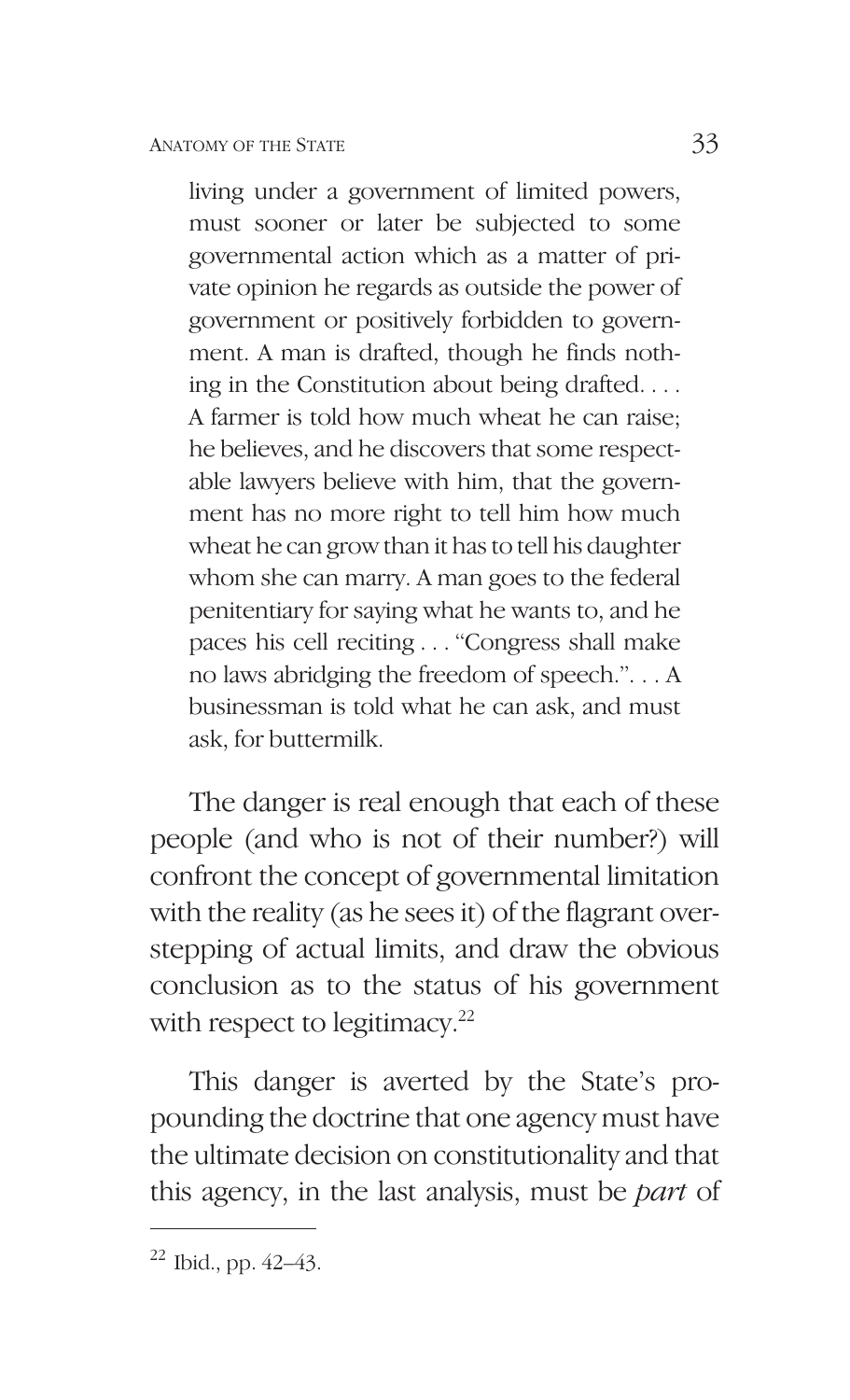living under a government of limited powers, must sooner or later be subjected to some governmental action which as a matter of private opinion he regards as outside the power of government or positively forbidden to government. A man is drafted, though he finds nothing in the Constitution about being drafted. . . . A farmer is told how much wheat he can raise; he believes, and he discovers that some respectable lawyers believe with him, that the government has no more right to tell him how much wheat he can grow than it has to tell his daughter whom she can marry. A man goes to the federal penitentiary for saying what he wants to, and he paces his cell reciting . . . "Congress shall make no laws abridging the freedom of speech.". . . A businessman is told what he can ask, and must ask, for buttermilk.

The danger is real enough that each of these people (and who is not of their number?) will confront the concept of governmental limitation with the reality (as he sees it) of the flagrant overstepping of actual limits, and draw the obvious conclusion as to the status of his government with respect to legitimacy.<sup>22</sup>

This danger is averted by the State's propounding the doctrine that one agency must have the ultimate decision on constitutionality and that this agency, in the last analysis, must be *part* of

 $22$  Ibid., pp.  $42-43$ .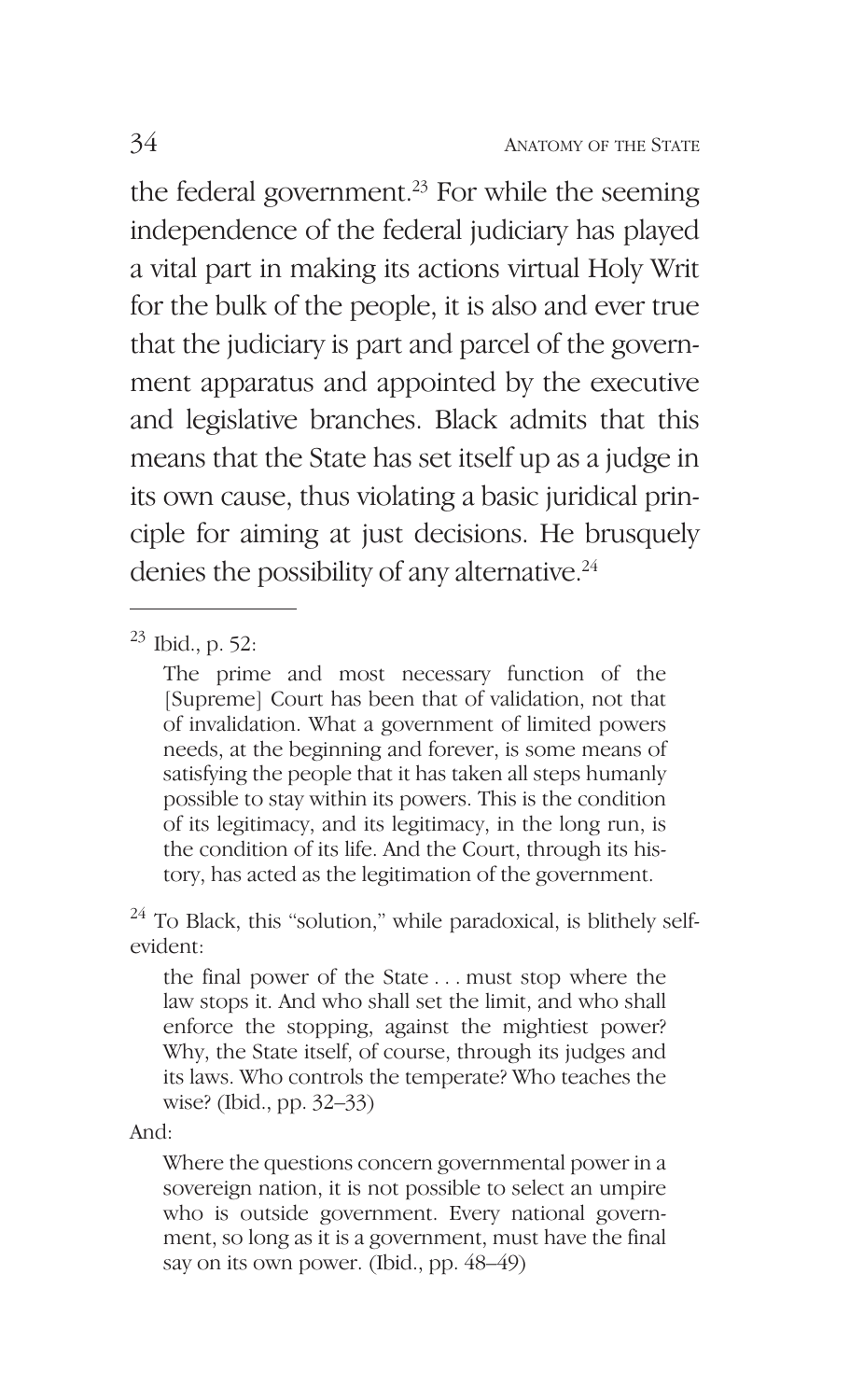the federal government.<sup>23</sup> For while the seeming independence of the federal judiciary has played a vital part in making its actions virtual Holy Writ for the bulk of the people, it is also and ever true that the judiciary is part and parcel of the government apparatus and appointed by the executive and legislative branches. Black admits that this means that the State has set itself up as a judge in its own cause, thus violating a basic juridical principle for aiming at just decisions. He brusquely denies the possibility of any alternative.<sup>24</sup>

And:

Where the questions concern governmental power in a sovereign nation, it is not possible to select an umpire who is outside government. Every national government, so long as it is a government, must have the final say on its own power. (Ibid., pp. 48–49)

 $^{23}$  Ibid., p. 52:

The prime and most necessary function of the [Supreme] Court has been that of validation, not that of invalidation. What a government of limited powers needs, at the beginning and forever, is some means of satisfying the people that it has taken all steps humanly possible to stay within its powers. This is the condition of its legitimacy, and its legitimacy, in the long run, is the condition of its life. And the Court, through its history, has acted as the legitimation of the government.

<sup>24</sup> To Black, this "solution," while paradoxical, is blithely selfevident:

the final power of the State . . . must stop where the law stops it. And who shall set the limit, and who shall enforce the stopping, against the mightiest power? Why, the State itself, of course, through its judges and its laws. Who controls the temperate? Who teaches the wise? (Ibid., pp. 32–33)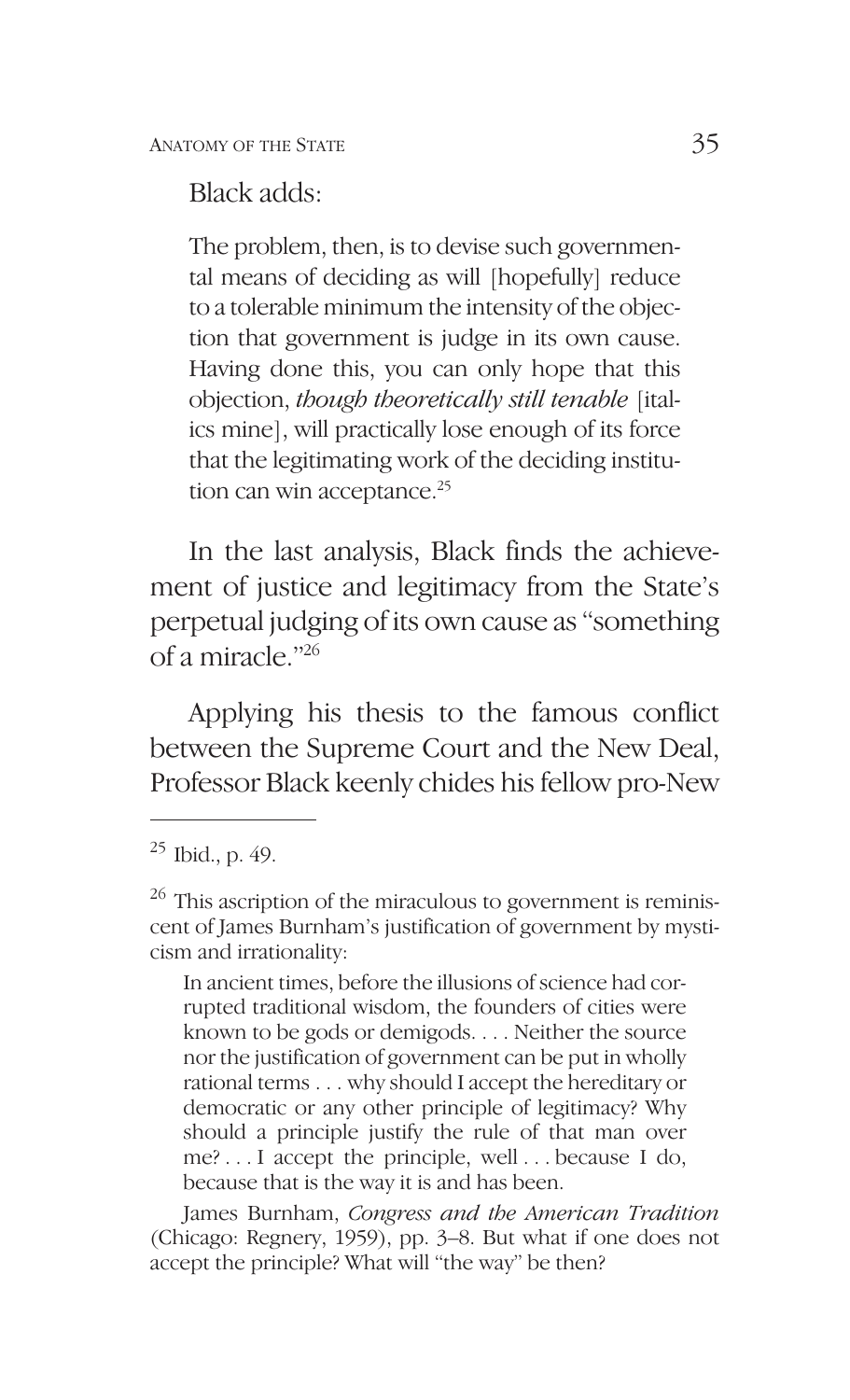Black adds:

The problem, then, is to devise such governmental means of deciding as will [hopefully] reduce to a tolerable minimum the intensity of the objection that government is judge in its own cause. Having done this, you can only hope that this objection, *though theoretically still tenable* [italics mine], will practically lose enough of its force that the legitimating work of the deciding institution can win acceptance.<sup>25</sup>

In the last analysis, Black finds the achievement of justice and legitimacy from the State's perpetual judging of its own cause as "something of a miracle."26

Applying his thesis to the famous conflict between the Supreme Court and the New Deal, Professor Black keenly chides his fellow pro-New

In ancient times, before the illusions of science had corrupted traditional wisdom, the founders of cities were known to be gods or demigods. . . . Neither the source nor the justification of government can be put in wholly rational terms . . . why should I accept the hereditary or democratic or any other principle of legitimacy? Why should a principle justify the rule of that man over me? . . . I accept the principle, well . . . because I do, because that is the way it is and has been.

James Burnham, *Congress and the American Tradition* (Chicago: Regnery, 1959), pp. 3–8. But what if one does not accept the principle? What will "the way" be then?

 $25$  Ibid., p. 49.

 $26$  This ascription of the miraculous to government is reminiscent of James Burnham's justification of government by mysticism and irrationality: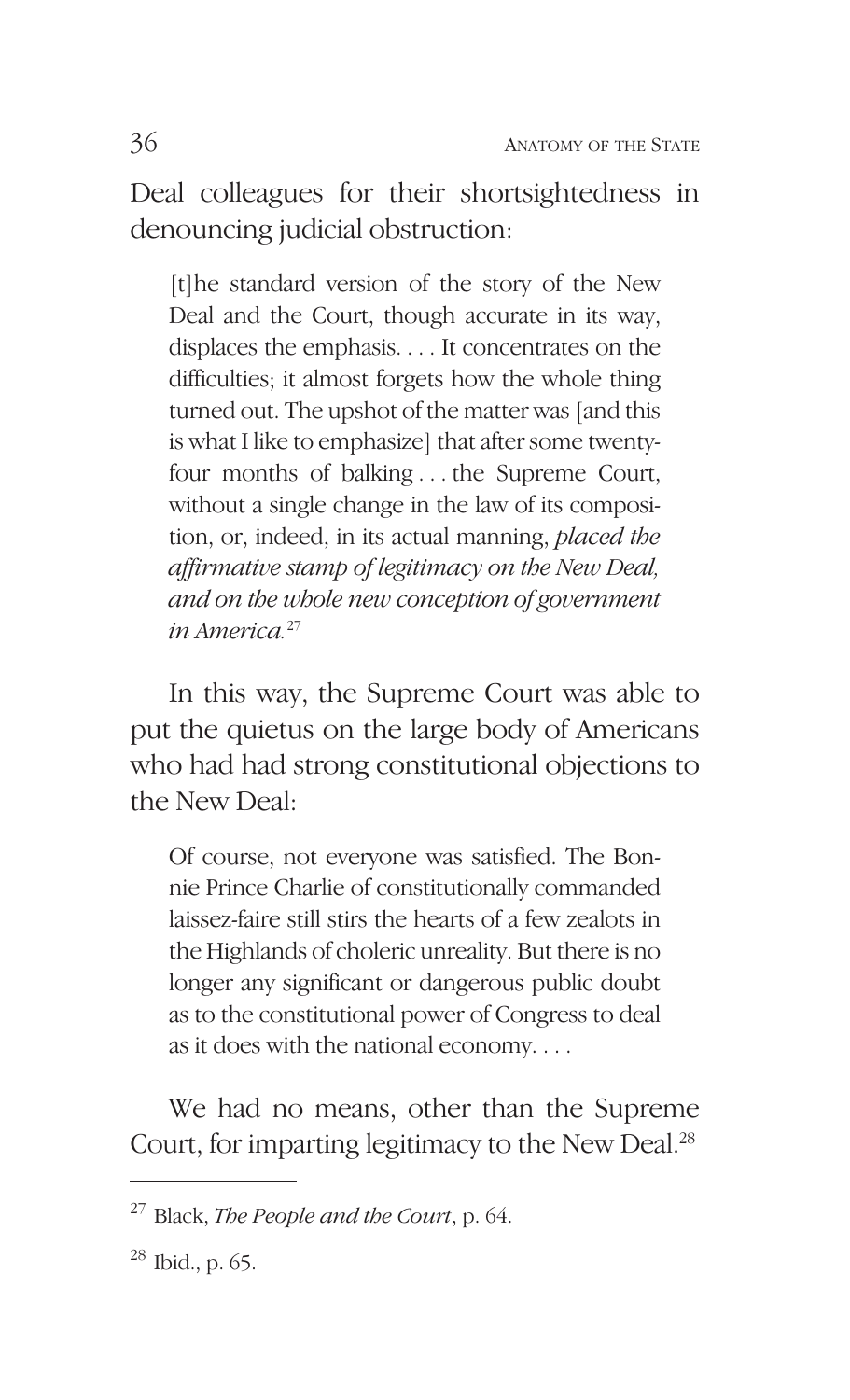Deal colleagues for their shortsightedness in denouncing judicial obstruction:

[t]he standard version of the story of the New Deal and the Court, though accurate in its way, displaces the emphasis. . . . It concentrates on the difficulties; it almost forgets how the whole thing turned out. The upshot of the matter was [and this is what I like to emphasize] that after some twentyfour months of balking . . . the Supreme Court, without a single change in the law of its composition, or, indeed, in its actual manning, *placed the affirmative stamp of legitimacy on the New Deal, and on the whole new conception of government in America.*<sup>27</sup>

In this way, the Supreme Court was able to put the quietus on the large body of Americans who had had strong constitutional objections to the New Deal:

Of course, not everyone was satisfied. The Bonnie Prince Charlie of constitutionally commanded laissez-faire still stirs the hearts of a few zealots in the Highlands of choleric unreality. But there is no longer any significant or dangerous public doubt as to the constitutional power of Congress to deal as it does with the national economy. . . .

We had no means, other than the Supreme Court, for imparting legitimacy to the New Deal.<sup>28</sup>

<sup>27</sup> Black, *The People and the Court*, p. 64.

 $^{28}$  Ibid., p. 65.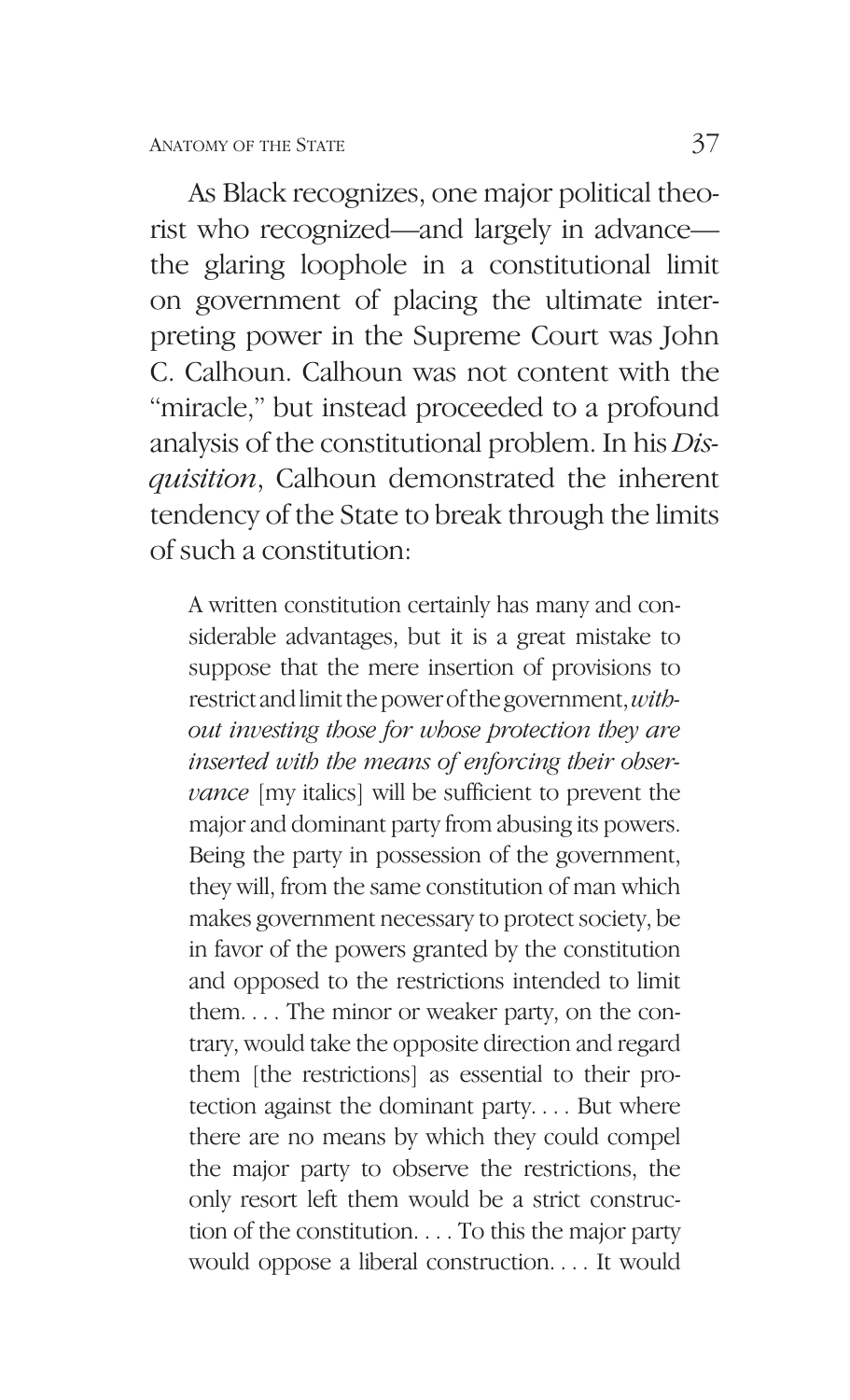As Black recognizes, one major political theorist who recognized—and largely in advance the glaring loophole in a constitutional limit on government of placing the ultimate interpreting power in the Supreme Court was John C. Calhoun. Calhoun was not content with the "miracle," but instead proceeded to a profound analysis of the constitutional problem. In his *Disquisition*, Calhoun demonstrated the inherent tendency of the State to break through the limits of such a constitution:

A written constitution certainly has many and considerable advantages, but it is a great mistake to suppose that the mere insertion of provisions to restrict and limit the power of the government, *without investing those for whose protection they are inserted with the means of enforcing their observance* [my italics] will be sufficient to prevent the major and dominant party from abusing its powers. Being the party in possession of the government, they will, from the same constitution of man which makes government necessary to protect society, be in favor of the powers granted by the constitution and opposed to the restrictions intended to limit them. . . . The minor or weaker party, on the contrary, would take the opposite direction and regard them [the restrictions] as essential to their protection against the dominant party. . . . But where there are no means by which they could compel the major party to observe the restrictions, the only resort left them would be a strict construction of the constitution. . . . To this the major party would oppose a liberal construction . . . . It would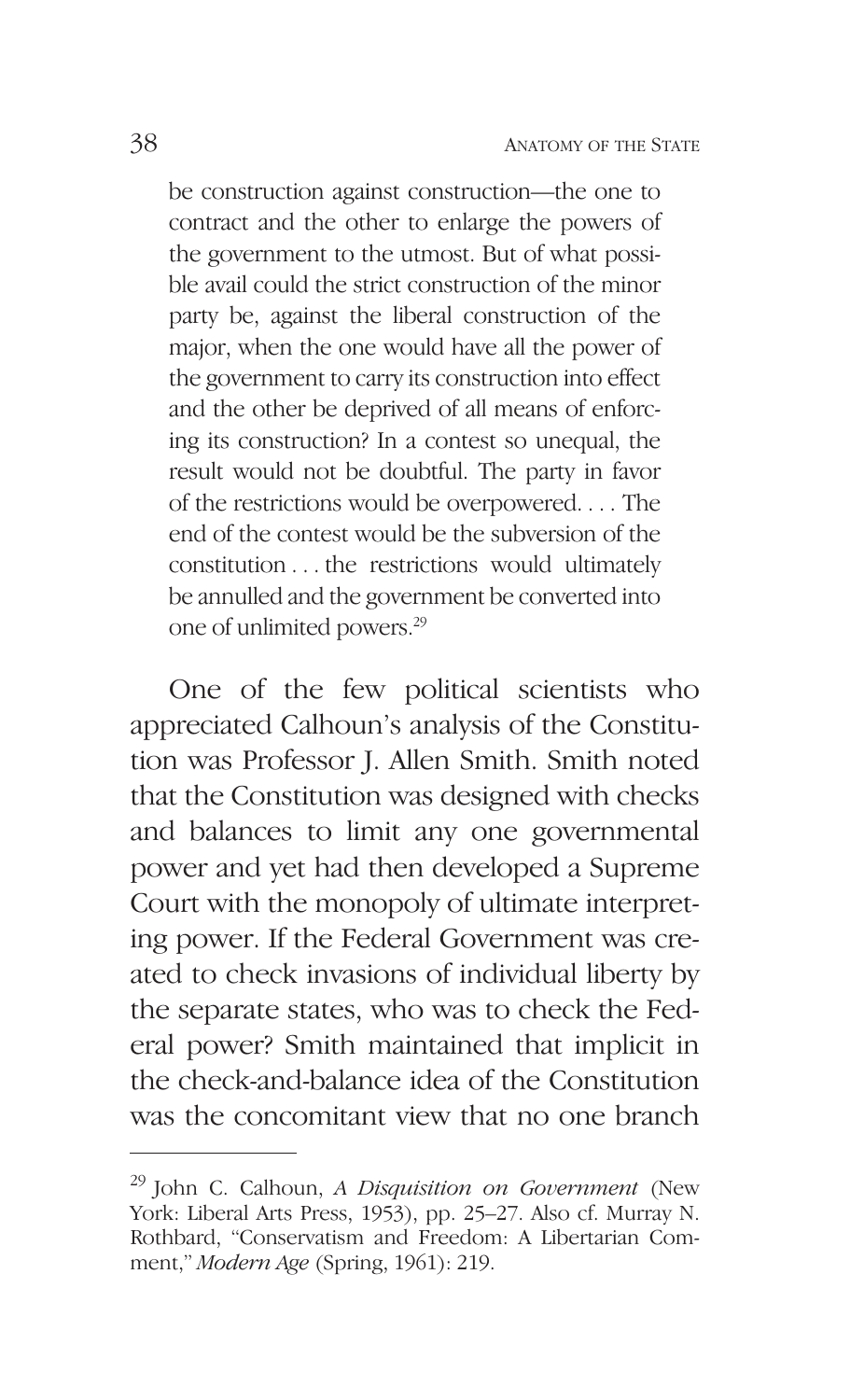be construction against construction—the one to contract and the other to enlarge the powers of the government to the utmost. But of what possible avail could the strict construction of the minor party be, against the liberal construction of the major, when the one would have all the power of the government to carry its construction into effect and the other be deprived of all means of enforcing its construction? In a contest so unequal, the result would not be doubtful. The party in favor of the restrictions would be overpowered. . . . The end of the contest would be the subversion of the constitution . . . the restrictions would ultimately be annulled and the government be converted into one of unlimited powers.29

One of the few political scientists who appreciated Calhoun's analysis of the Constitution was Professor J. Allen Smith. Smith noted that the Constitution was designed with checks and balances to limit any one governmental power and yet had then developed a Supreme Court with the monopoly of ultimate interpreting power. If the Federal Government was created to check invasions of individual liberty by the separate states, who was to check the Federal power? Smith maintained that implicit in the check-and-balance idea of the Constitution was the concomitant view that no one branch

<sup>29</sup> John C. Calhoun, *A Disquisition on Government* (New York: Liberal Arts Press, 1953), pp. 25–27. Also cf. Murray N. Rothbard, "Conservatism and Freedom: A Libertarian Comment," *Modern Age* (Spring, 1961): 219.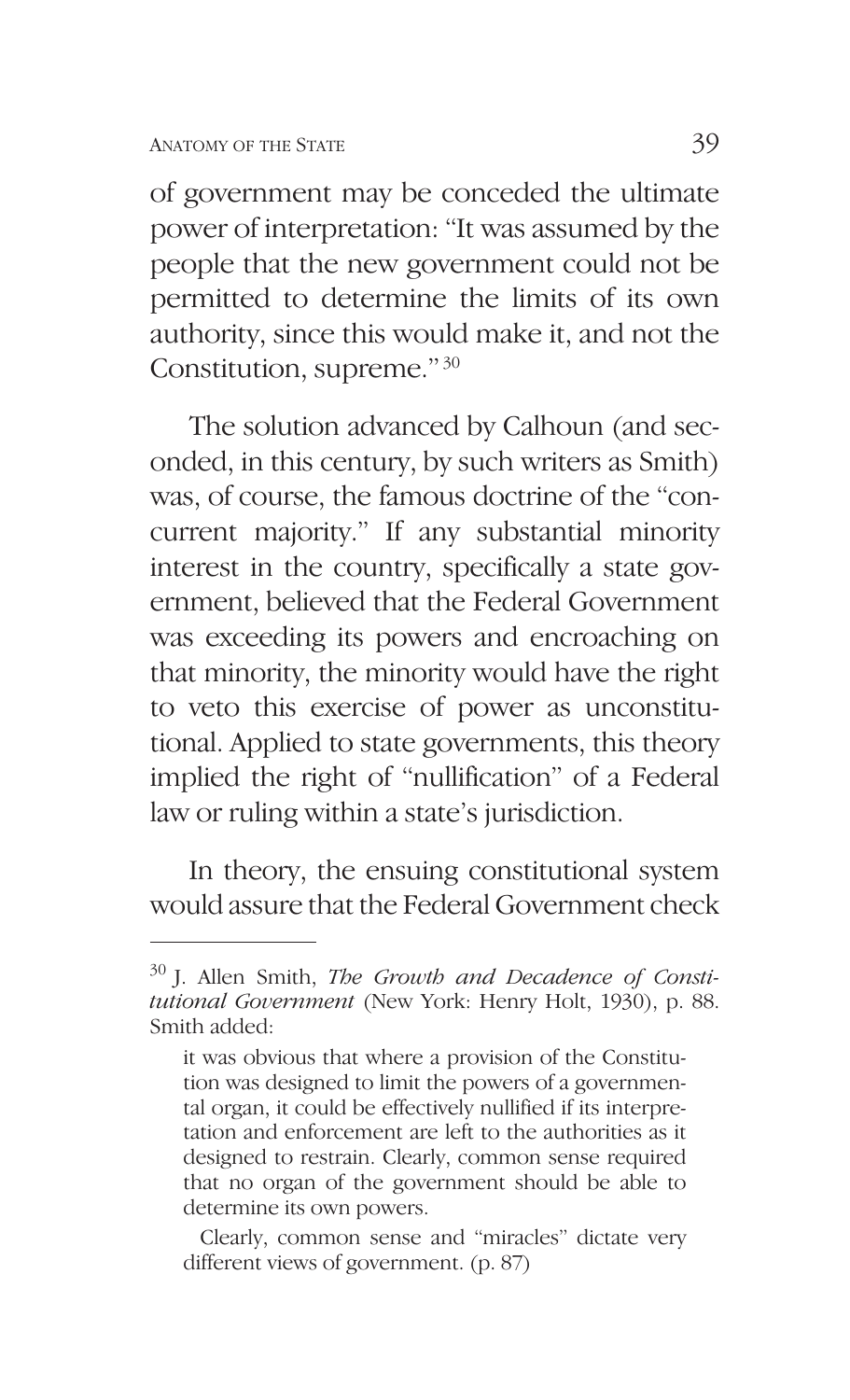of government may be conceded the ultimate power of interpretation: "It was assumed by the people that the new government could not be permitted to determine the limits of its own authority, since this would make it, and not the Constitution, supreme." <sup>30</sup>

The solution advanced by Calhoun (and seconded, in this century, by such writers as Smith) was, of course, the famous doctrine of the "concurrent majority." If any substantial minority interest in the country, specifically a state government, believed that the Federal Government was exceeding its powers and encroaching on that minority, the minority would have the right to veto this exercise of power as unconstitutional. Applied to state governments, this theory implied the right of "nullification" of a Federal law or ruling within a state's jurisdiction.

In theory, the ensuing constitutional system would assure that the Federal Government check

<sup>30</sup> J. Allen Smith, *The Growth and Decadence of Constitutional Government* (New York: Henry Holt, 1930), p. 88. Smith added:

it was obvious that where a provision of the Constitution was designed to limit the powers of a governmental organ, it could be effectively nullified if its interpretation and enforcement are left to the authorities as it designed to restrain. Clearly, common sense required that no organ of the government should be able to determine its own powers.

Clearly, common sense and "miracles" dictate very different views of government. (p. 87)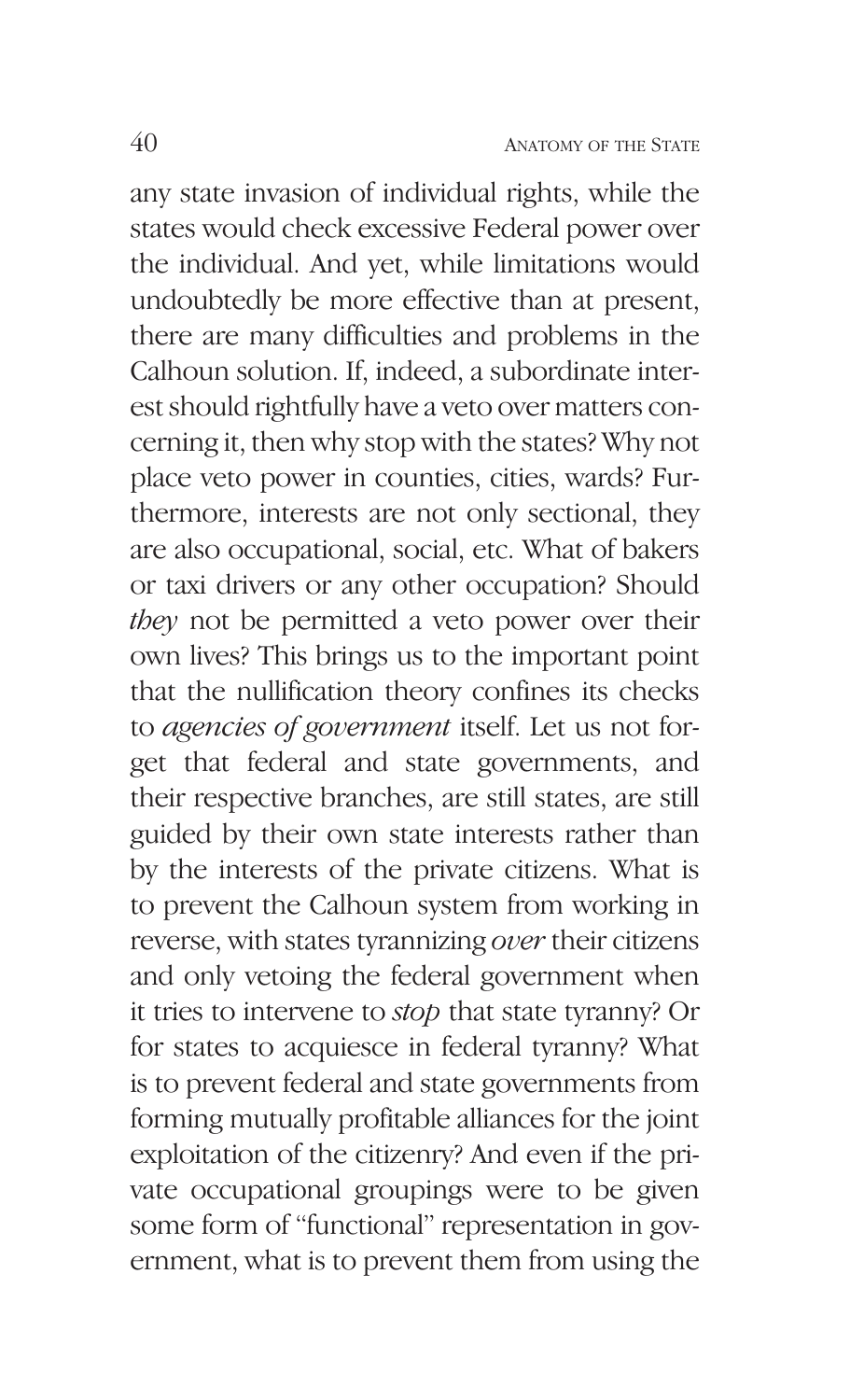any state invasion of individual rights, while the states would check excessive Federal power over the individual. And yet, while limitations would undoubtedly be more effective than at present, there are many difficulties and problems in the Calhoun solution. If, indeed, a subordinate interest should rightfully have a veto over matters concerning it, then why stop with the states? Why not place veto power in counties, cities, wards? Furthermore, interests are not only sectional, they are also occupational, social, etc. What of bakers or taxi drivers or any other occupation? Should *they* not be permitted a veto power over their own lives? This brings us to the important point that the nullification theory confines its checks to *agencies of government* itself. Let us not forget that federal and state governments, and their respective branches, are still states, are still guided by their own state interests rather than by the interests of the private citizens. What is to prevent the Calhoun system from working in reverse, with states tyrannizing *over* their citizens and only vetoing the federal government when it tries to intervene to *stop* that state tyranny? Or for states to acquiesce in federal tyranny? What is to prevent federal and state governments from forming mutually profitable alliances for the joint exploitation of the citizenry? And even if the private occupational groupings were to be given some form of "functional" representation in government, what is to prevent them from using the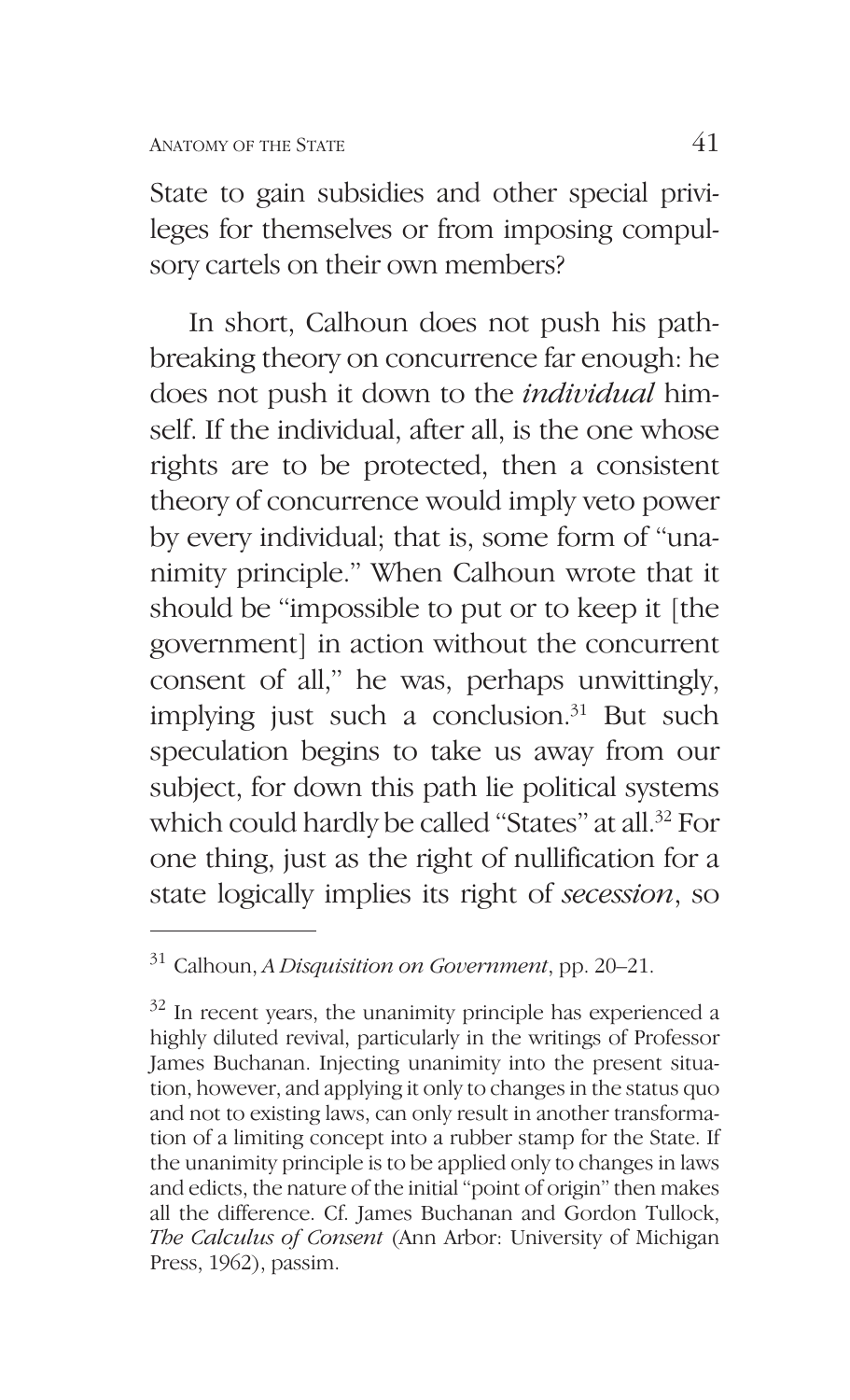State to gain subsidies and other special privileges for themselves or from imposing compulsory cartels on their own members?

In short, Calhoun does not push his pathbreaking theory on concurrence far enough: he does not push it down to the *individual* himself. If the individual, after all, is the one whose rights are to be protected, then a consistent theory of concurrence would imply veto power by every individual; that is, some form of "unanimity principle." When Calhoun wrote that it should be "impossible to put or to keep it [the government] in action without the concurrent consent of all," he was, perhaps unwittingly, implying just such a conclusion. $31$  But such speculation begins to take us away from our subject, for down this path lie political systems which could hardly be called "States" at all.<sup>32</sup> For one thing, just as the right of nullification for a state logically implies its right of *secession*, so

<sup>31</sup> Calhoun, *A Disquisition on Government*, pp. 20–21.

 $32$  In recent years, the unanimity principle has experienced a highly diluted revival, particularly in the writings of Professor James Buchanan. Injecting unanimity into the present situation, however, and applying it only to changes in the status quo and not to existing laws, can only result in another transformation of a limiting concept into a rubber stamp for the State. If the unanimity principle is to be applied only to changes in laws and edicts, the nature of the initial "point of origin" then makes all the difference. Cf. James Buchanan and Gordon Tullock, *The Calculus of Consent* (Ann Arbor: University of Michigan Press, 1962), passim.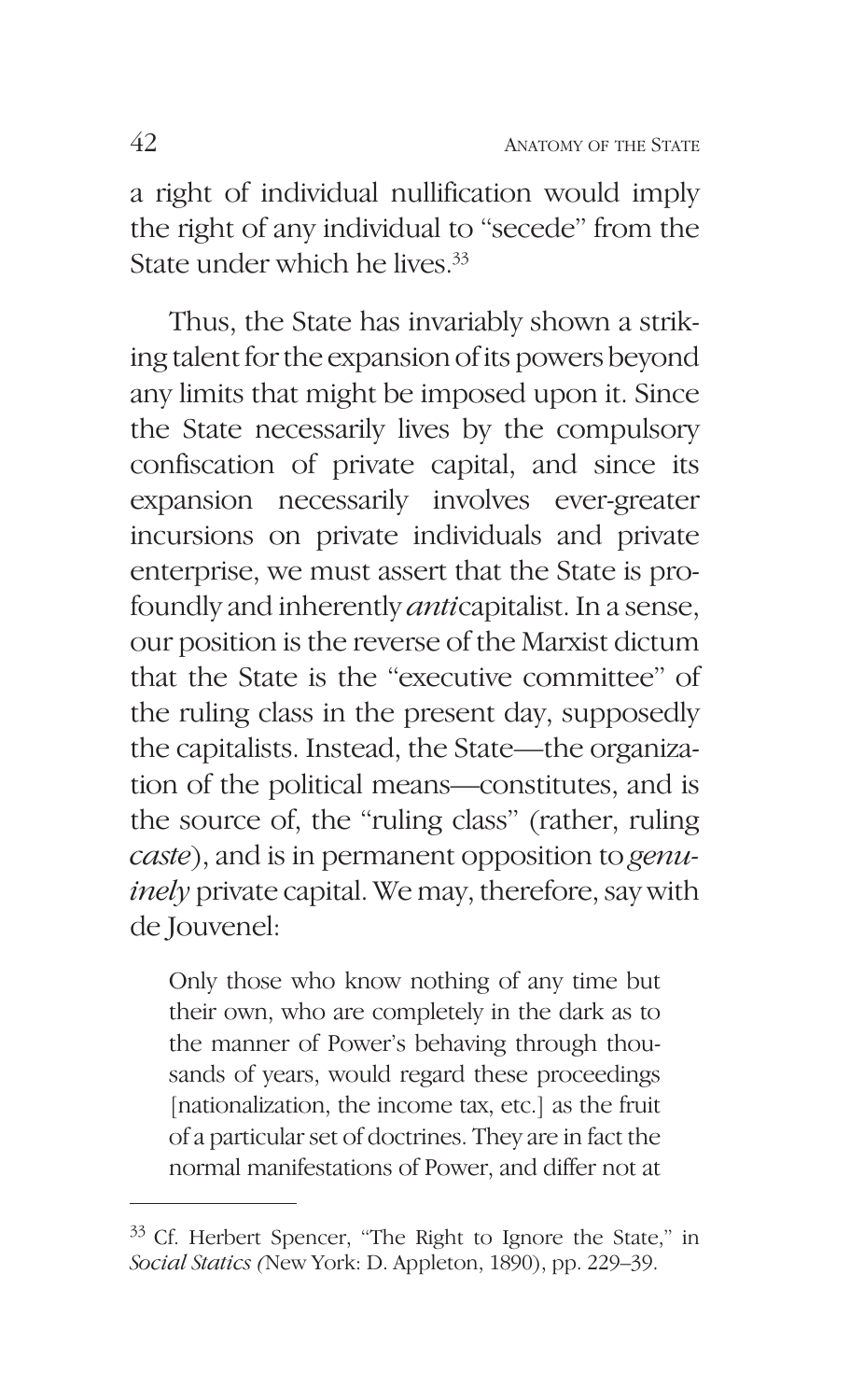a right of individual nullification would imply the right of any individual to "secede" from the State under which he lives.<sup>33</sup>

Thus, the State has invariably shown a striking talent for the expansion of its powers beyond any limits that might be imposed upon it. Since the State necessarily lives by the compulsory confiscation of private capital, and since its expansion necessarily involves ever-greater incursions on private individuals and private enterprise, we must assert that the State is profoundly and inherently *anti*capitalist. In a sense, our position is the reverse of the Marxist dictum that the State is the "executive committee" of the ruling class in the present day, supposedly the capitalists. Instead, the State—the organization of the political means—constitutes, and is the source of, the "ruling class" (rather, ruling *caste*), and is in permanent opposition to *genuinely* private capital. We may, therefore, say with de Jouvenel:

Only those who know nothing of any time but their own, who are completely in the dark as to the manner of Power's behaving through thousands of years, would regard these proceedings [nationalization, the income tax, etc.] as the fruit of a particular set of doctrines. They are in fact the normal manifestations of Power, and differ not at

<sup>&</sup>lt;sup>33</sup> Cf. Herbert Spencer, "The Right to Ignore the State," in *Social Statics (*New York: D. Appleton, 1890), pp. 229–39.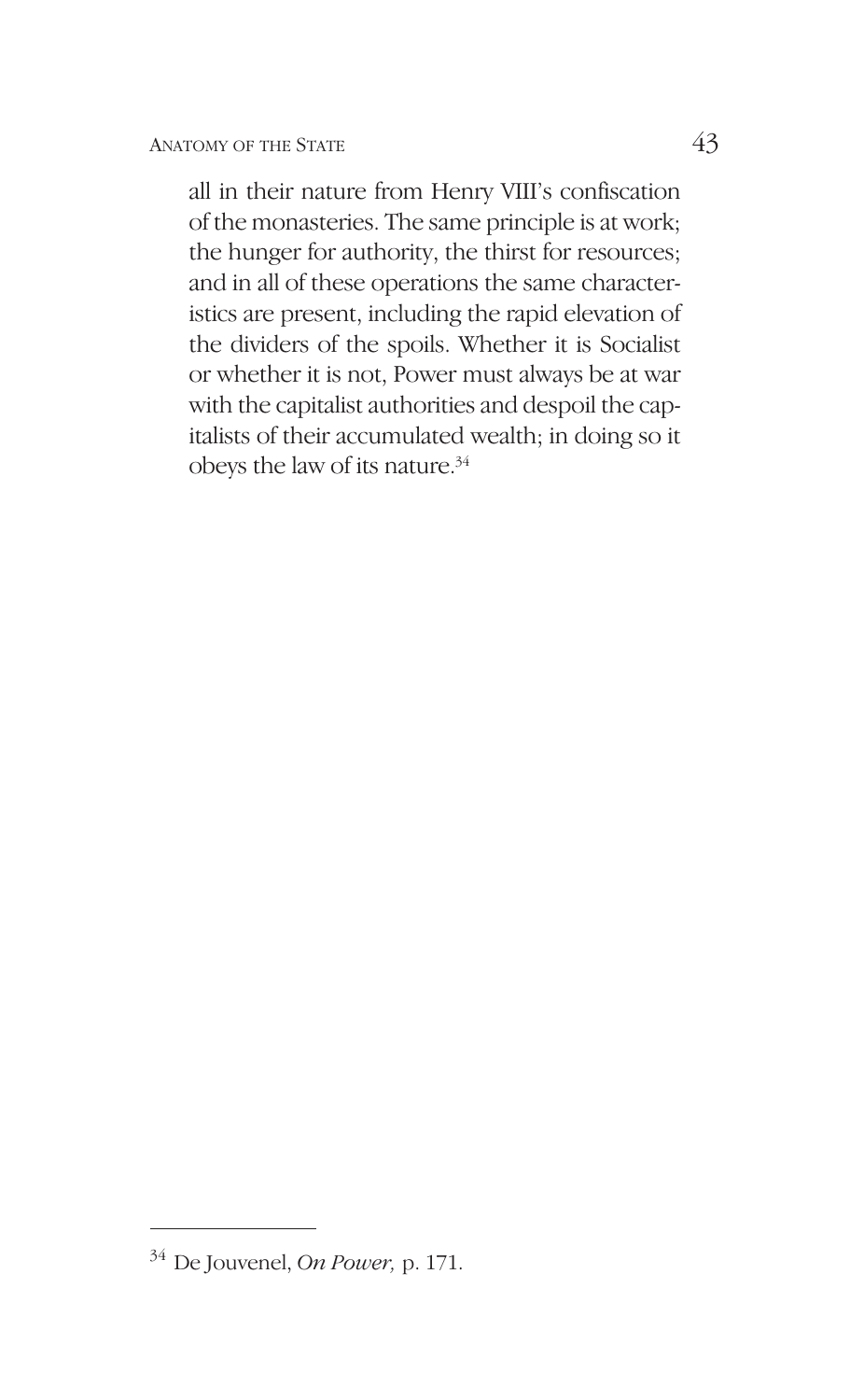all in their nature from Henry VIII's confiscation of the monasteries. The same principle is at work; the hunger for authority, the thirst for resources; and in all of these operations the same characteristics are present, including the rapid elevation of the dividers of the spoils. Whether it is Socialist or whether it is not, Power must always be at war with the capitalist authorities and despoil the capitalists of their accumulated wealth; in doing so it obeys the law of its nature.34

<sup>34</sup> De Jouvenel, *On Power,* p. 171.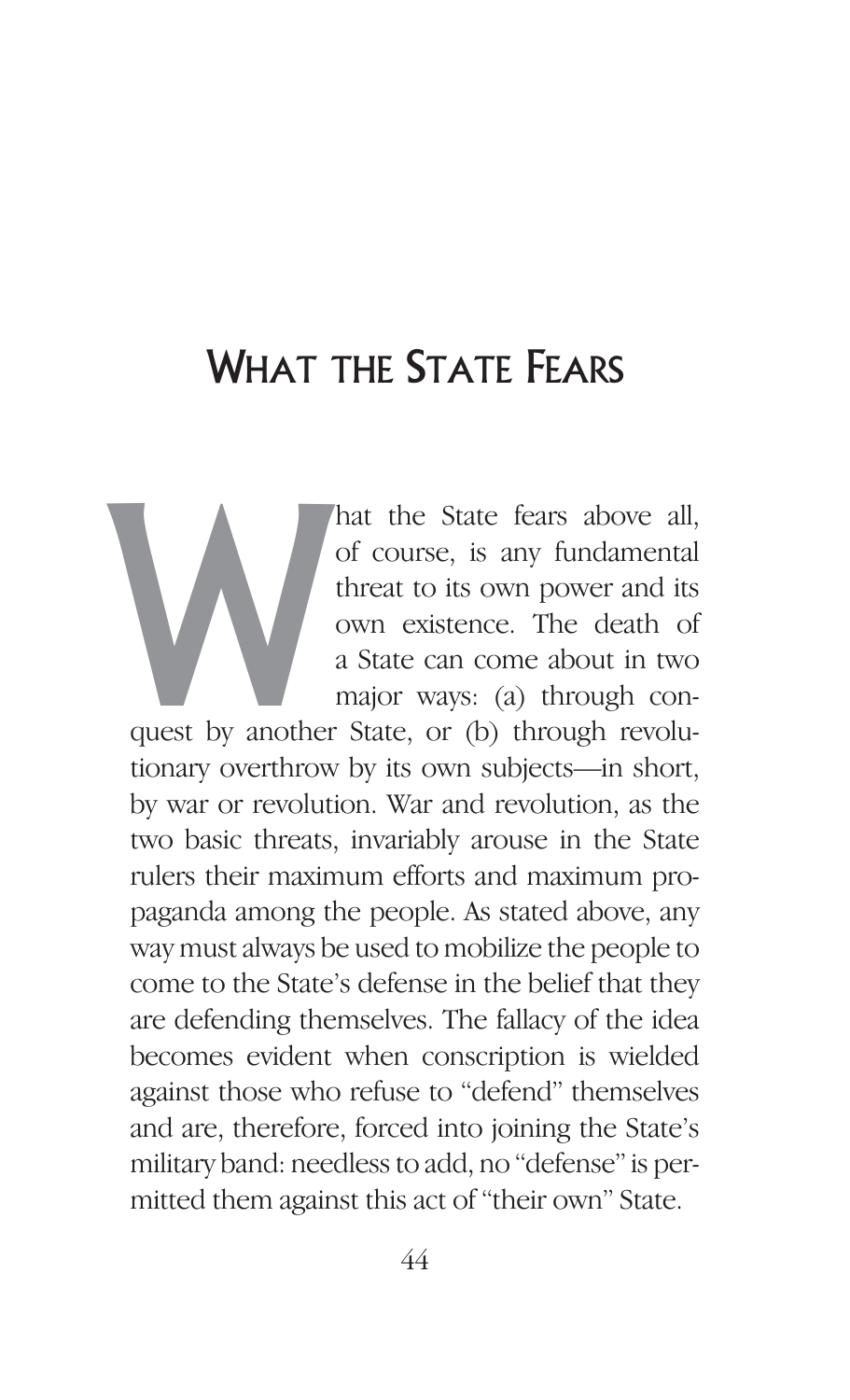#### WHAT THE STATE FFARS

Mat the State fears above all, of course, is any fundamental threat to its own power and its own existence. The death of a State can come about in two major ways: (a) through conquest by another State, or (b) through revol of course, is any fundamental threat to its own power and its own existence. The death of a State can come about in two major ways: (a) through con-

tionary overthrow by its own subjects—in short, by war or revolution. War and revolution, as the two basic threats, invariably arouse in the State rulers their maximum efforts and maximum propaganda among the people. As stated above, any way must always be used to mobilize the people to come to the State's defense in the belief that they are defending themselves. The fallacy of the idea becomes evident when conscription is wielded against those who refuse to "defend" themselves and are, therefore, forced into joining the State's military band: needless to add, no "defense" is permitted them against this act of "their own" State.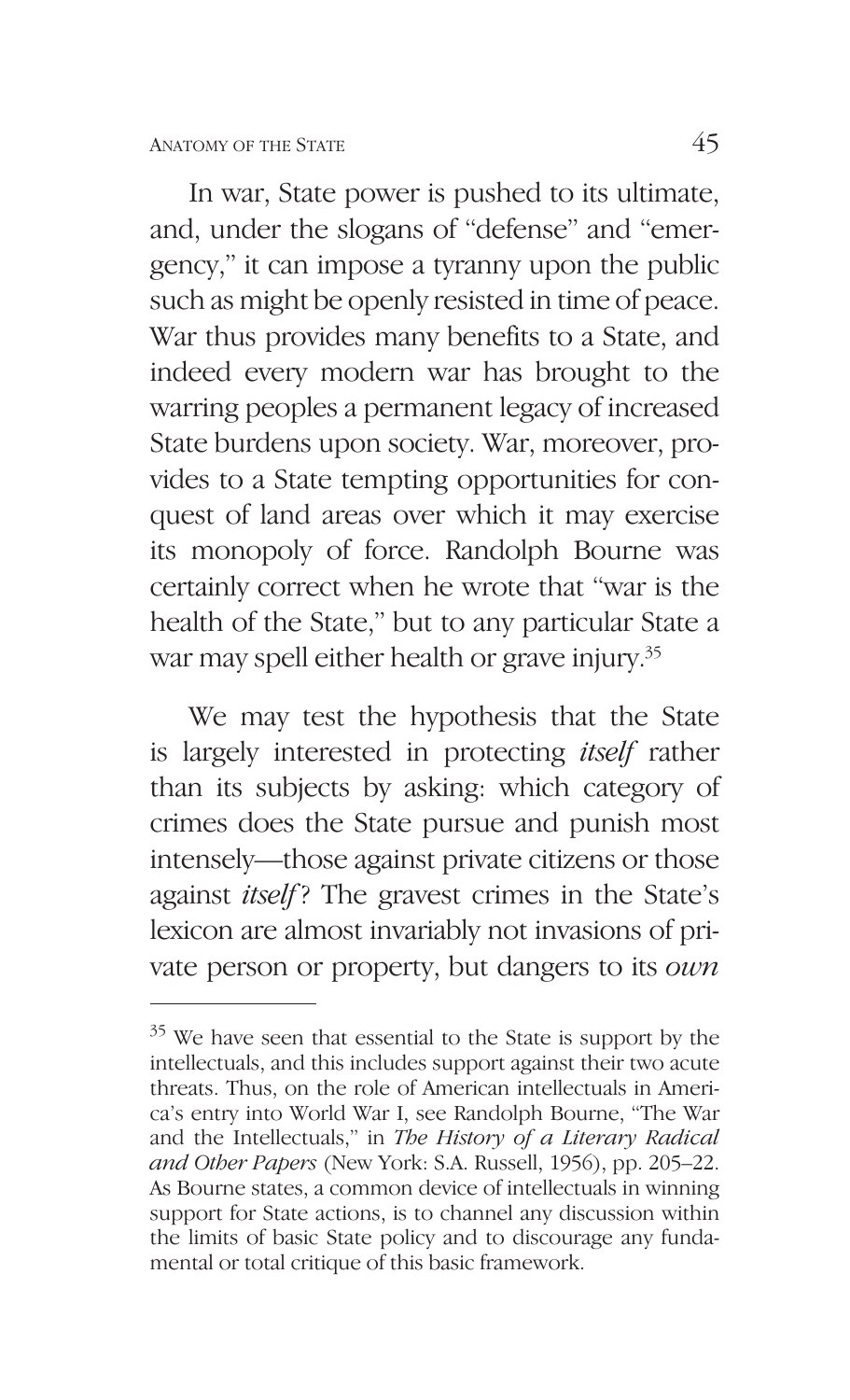In war, State power is pushed to its ultimate, and, under the slogans of "defense" and "emergency," it can impose a tyranny upon the public such as might be openly resisted in time of peace. War thus provides many benefits to a State, and indeed every modern war has brought to the warring peoples a permanent legacy of increased State burdens upon society. War, moreover, provides to a State tempting opportunities for conquest of land areas over which it may exercise its monopoly of force. Randolph Bourne was certainly correct when he wrote that "war is the health of the State," but to any particular State a war may spell either health or grave injury.<sup>35</sup>

We may test the hypothesis that the State is largely interested in protecting *itself* rather than its subjects by asking: which category of crimes does the State pursue and punish most intensely—those against private citizens or those against *itself*? The gravest crimes in the State's lexicon are almost invariably not invasions of private person or property, but dangers to its *own* 

<sup>&</sup>lt;sup>35</sup> We have seen that essential to the State is support by the intellectuals, and this includes support against their two acute threats. Thus, on the role of American intellectuals in America's entry into World War I, see Randolph Bourne, "The War and the Intellectuals," in *The History of a Literary Radical and Other Papers* (New York: S.A. Russell, 1956), pp. 205–22. As Bourne states, a common device of intellectuals in winning support for State actions, is to channel any discussion within the limits of basic State policy and to discourage any fundamental or total critique of this basic framework.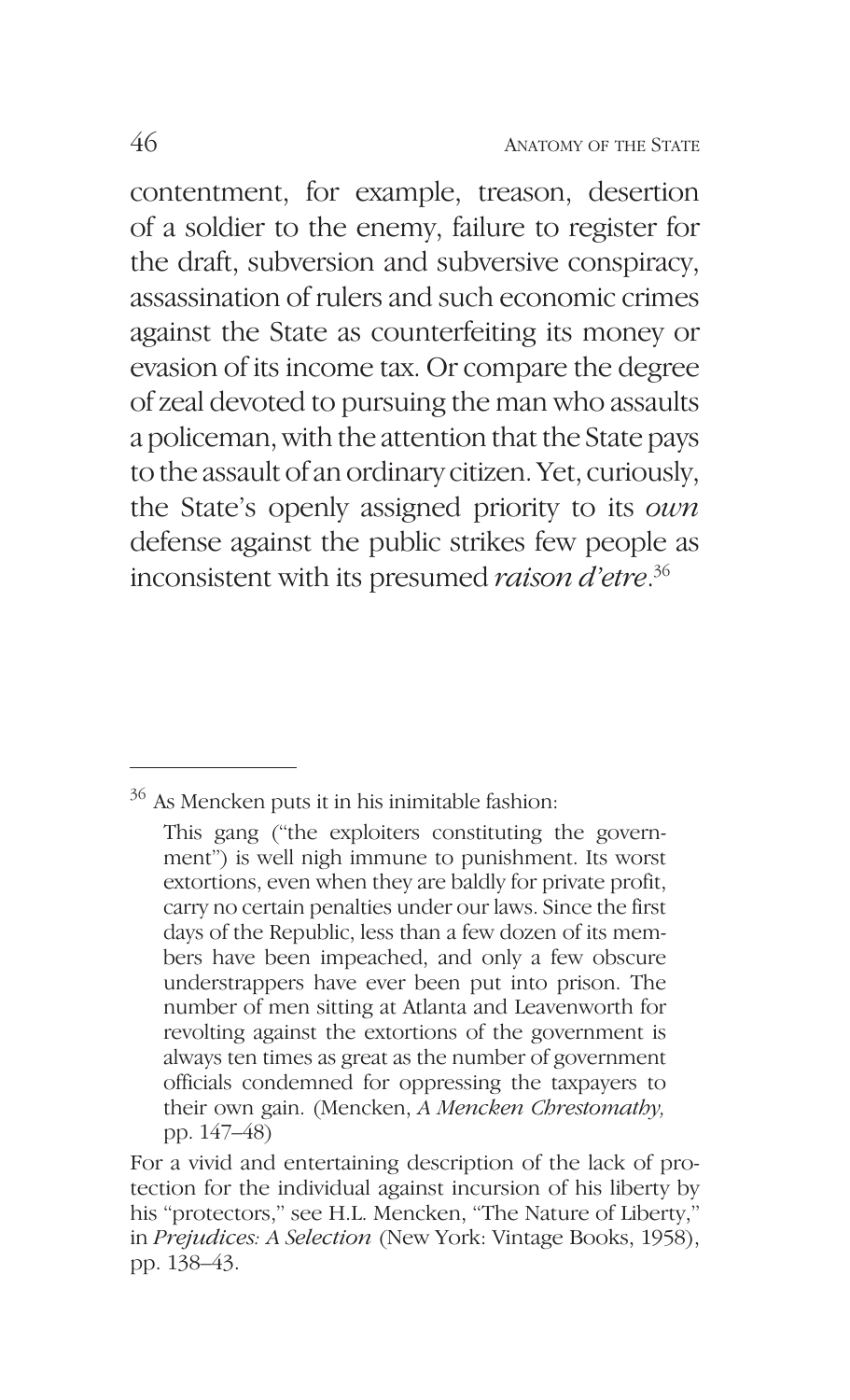contentment, for example, treason, desertion of a soldier to the enemy, failure to register for the draft, subversion and subversive conspiracy, assassination of rulers and such economic crimes against the State as counterfeiting its money or evasion of its income tax. Or compare the degree of zeal devoted to pursuing the man who assaults a policeman, with the attention that the State pays to the assault of an ordinary citizen. Yet, curiously, the State's openly assigned priority to its *own* defense against the public strikes few people as inconsistent with its presumed *raison d'etre*. 36

<sup>36</sup> As Mencken puts it in his inimitable fashion:

This gang ("the exploiters constituting the government") is well nigh immune to punishment. Its worst extortions, even when they are baldly for private profit, carry no certain penalties under our laws. Since the first days of the Republic, less than a few dozen of its members have been impeached, and only a few obscure understrappers have ever been put into prison. The number of men sitting at Atlanta and Leavenworth for revolting against the extortions of the government is always ten times as great as the number of government officials condemned for oppressing the taxpayers to their own gain. (Mencken, *A Mencken Chrestomathy,*  pp. 147–48)

For a vivid and entertaining description of the lack of protection for the individual against incursion of his liberty by his "protectors," see H.L. Mencken, "The Nature of Liberty," in *Prejudices: A Selection* (New York: Vintage Books, 1958), pp. 138–43.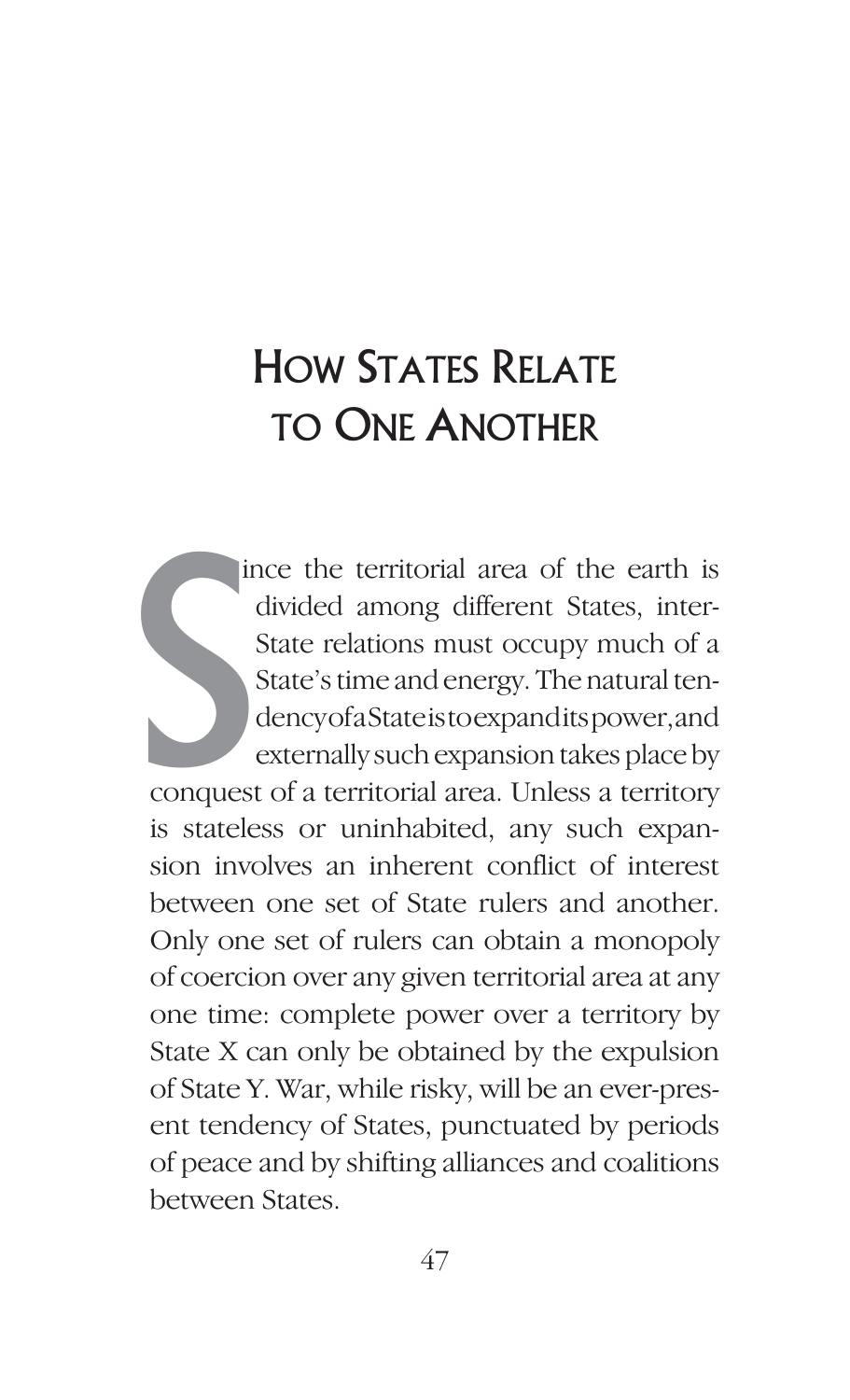# HOW STATES RELATE TO ONE ANOTHER

Since one of the Second Second Second Second Second Second Second Second Second Second Second Second Second Second Second Second Second Second Second Second Second Second Second Second Second Second Second Second Second Se ince the territorial area of the earth is divided among different States, inter-State relations must occupy much of a State's time and energy. The natural tendency of a State is to expand its power, and externally such expansion takes place by conquest of a territorial area. Unless a territory is stateless or uninhabited, any such expansion involves an inherent conflict of interest between one set of State rulers and another. Only one set of rulers can obtain a monopoly of coercion over any given territorial area at any one time: complete power over a territory by State X can only be obtained by the expulsion of State Y. War, while risky, will be an ever-present tendency of States, punctuated by periods of peace and by shifting alliances and coalitions between States.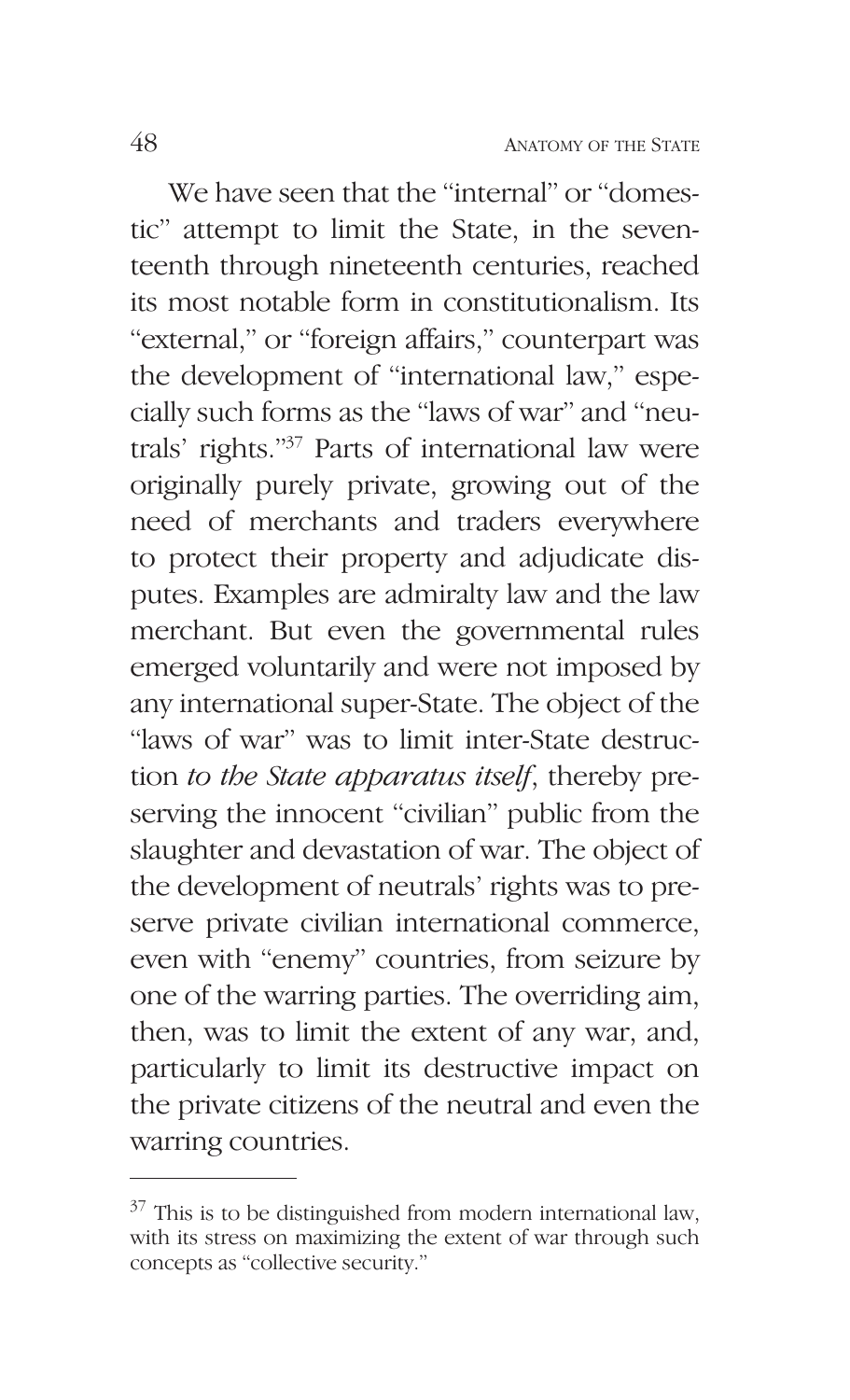We have seen that the "internal" or "domestic" attempt to limit the State, in the seventeenth through nineteenth centuries, reached its most notable form in constitutionalism. Its "external," or "foreign affairs," counterpart was the development of "international law," especially such forms as the "laws of war" and "neutrals' rights."37 Parts of international law were originally purely private, growing out of the need of merchants and traders everywhere to protect their property and adjudicate disputes. Examples are admiralty law and the law merchant. But even the governmental rules emerged voluntarily and were not imposed by any international super-State. The object of the "laws of war" was to limit inter-State destruction *to the State apparatus itself*, thereby preserving the innocent "civilian" public from the slaughter and devastation of war. The object of the development of neutrals' rights was to preserve private civilian international commerce, even with "enemy" countries, from seizure by one of the warring parties. The overriding aim, then, was to limit the extent of any war, and, particularly to limit its destructive impact on the private citizens of the neutral and even the warring countries.

 $37$  This is to be distinguished from modern international law, with its stress on maximizing the extent of war through such concepts as "collective security."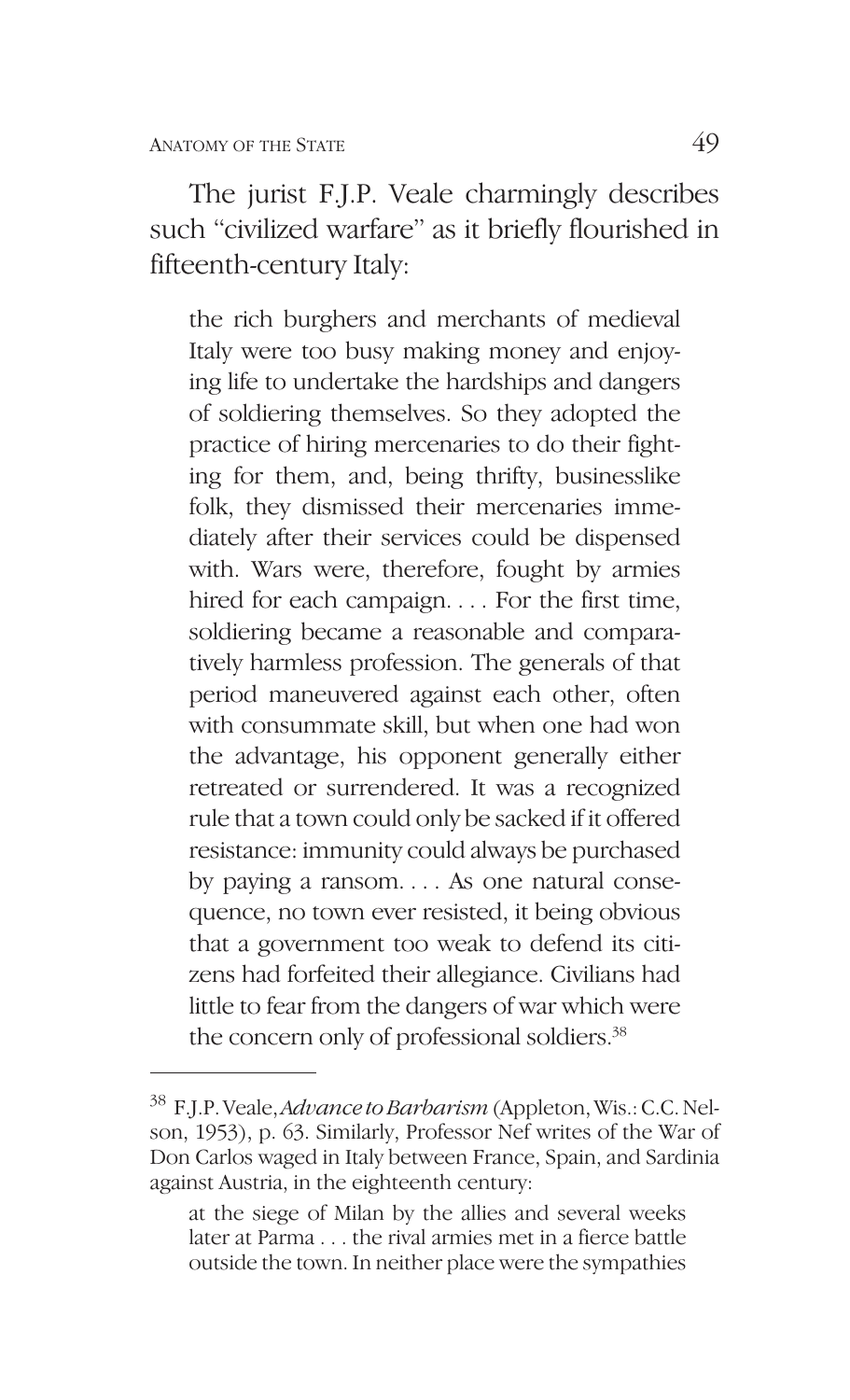The jurist F.J.P. Veale charmingly describes such "civilized warfare" as it briefly flourished in fifteenth-century Italy:

the rich burghers and merchants of medieval Italy were too busy making money and enjoying life to undertake the hardships and dangers of soldiering themselves. So they adopted the practice of hiring mercenaries to do their fighting for them, and, being thrifty, businesslike folk, they dismissed their mercenaries immediately after their services could be dispensed with. Wars were, therefore, fought by armies hired for each campaign. . . . For the first time, soldiering became a reasonable and comparatively harmless profession. The generals of that period maneuvered against each other, often with consummate skill, but when one had won the advantage, his opponent generally either retreated or surrendered. It was a recognized rule that a town could only be sacked if it offered resistance: immunity could always be purchased by paying a ransom. . . . As one natural consequence, no town ever resisted, it being obvious that a government too weak to defend its citizens had forfeited their allegiance. Civilians had little to fear from the dangers of war which were the concern only of professional soldiers.<sup>38</sup>

<sup>38</sup> F.J.P. Veale, *Advance to Barbarism* (Appleton, Wis.: C.C. Nelson, 1953), p. 63. Similarly, Professor Nef writes of the War of Don Carlos waged in Italy between France, Spain, and Sardinia against Austria, in the eighteenth century:

at the siege of Milan by the allies and several weeks later at Parma . . . the rival armies met in a fierce battle outside the town. In neither place were the sympathies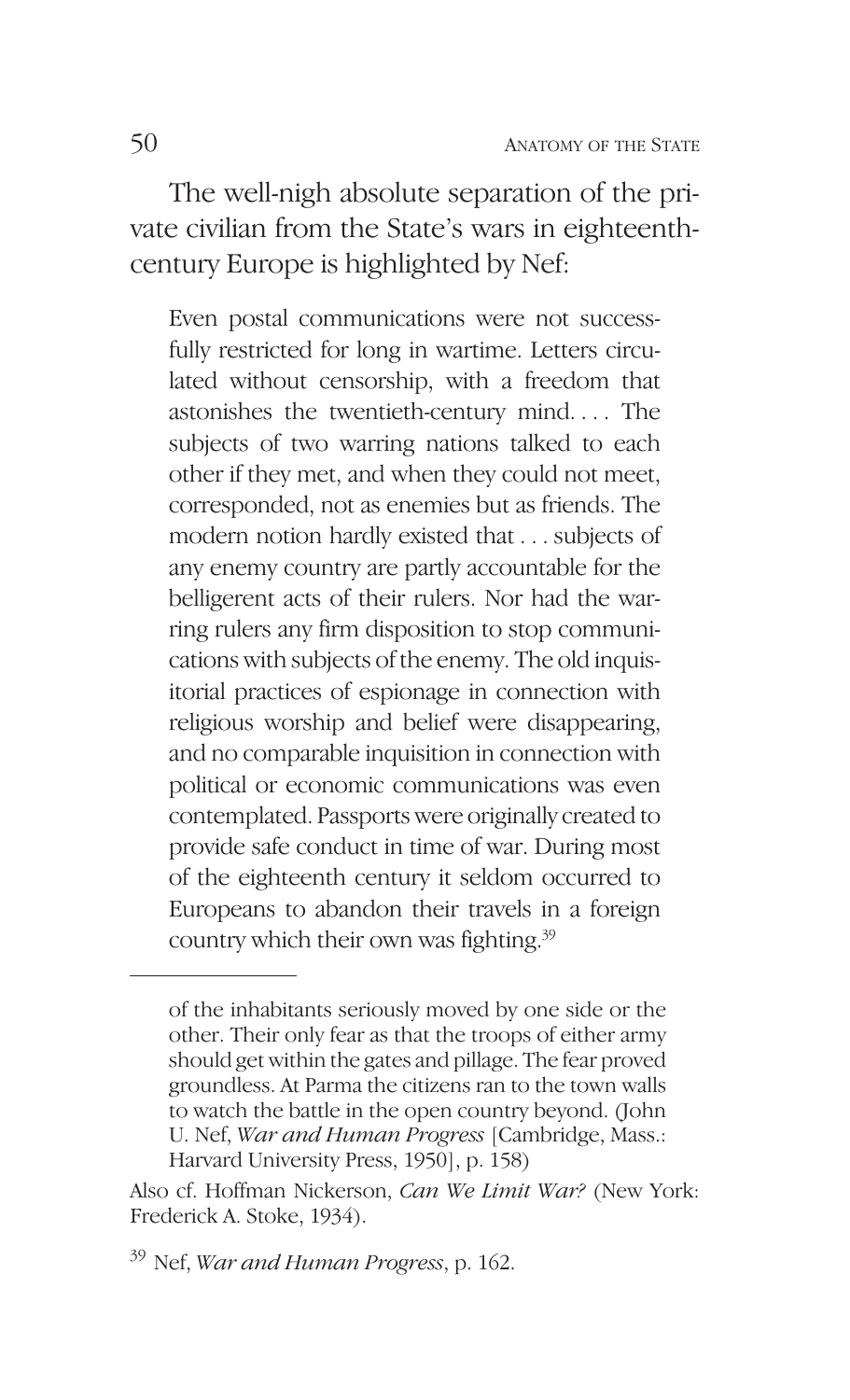The well-nigh absolute separation of the private civilian from the State's wars in eighteenthcentury Europe is highlighted by Nef:

Even postal communications were not successfully restricted for long in wartime. Letters circulated without censorship, with a freedom that astonishes the twentieth-century mind. . . . The subjects of two warring nations talked to each other if they met, and when they could not meet, corresponded, not as enemies but as friends. The modern notion hardly existed that . . . subjects of any enemy country are partly accountable for the belligerent acts of their rulers. Nor had the warring rulers any firm disposition to stop communications with subjects of the enemy. The old inquisitorial practices of espionage in connection with religious worship and belief were disappearing, and no comparable inquisition in connection with political or economic communications was even contemplated. Passports were originally created to provide safe conduct in time of war. During most of the eighteenth century it seldom occurred to Europeans to abandon their travels in a foreign country which their own was fighting.39

of the inhabitants seriously moved by one side or the other. Their only fear as that the troops of either army should get within the gates and pillage. The fear proved groundless. At Parma the citizens ran to the town walls to watch the battle in the open country beyond. (John U. Nef, *War and Human Progress* [Cambridge, Mass.: Harvard University Press, 1950], p. 158)

Also cf. Hoffman Nickerson, *Can We Limit War?* (New York: Frederick A. Stoke, 1934).

<sup>39</sup> Nef, *War and Human Progress*, p. 162.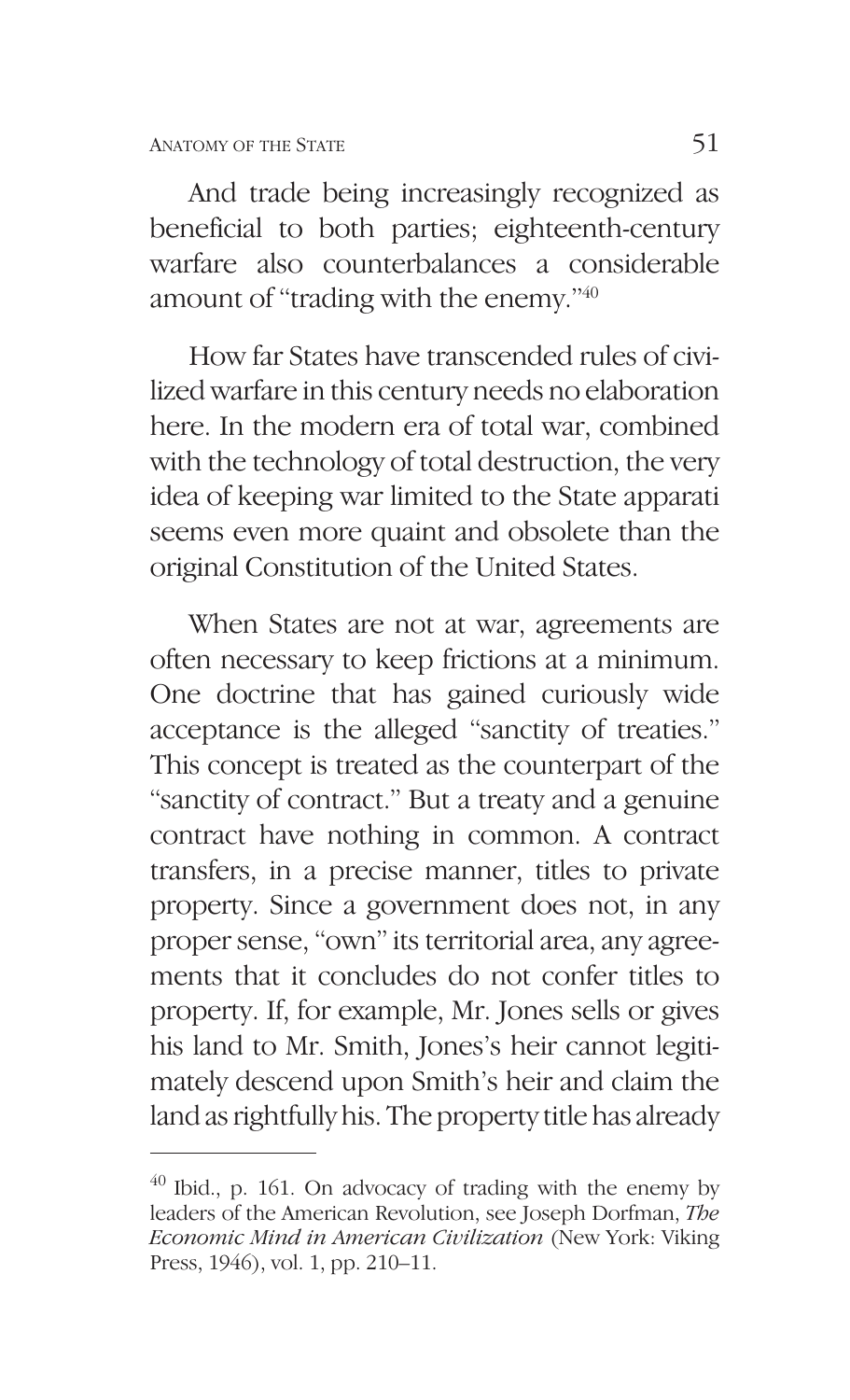And trade being increasingly recognized as beneficial to both parties; eighteenth-century warfare also counterbalances a considerable amount of "trading with the enemy."40

How far States have transcended rules of civilized warfare in this century needs no elaboration here. In the modern era of total war, combined with the technology of total destruction, the very idea of keeping war limited to the State apparati seems even more quaint and obsolete than the original Constitution of the United States.

When States are not at war, agreements are often necessary to keep frictions at a minimum. One doctrine that has gained curiously wide acceptance is the alleged "sanctity of treaties." This concept is treated as the counterpart of the "sanctity of contract." But a treaty and a genuine contract have nothing in common. A contract transfers, in a precise manner, titles to private property. Since a government does not, in any proper sense, "own" its territorial area, any agreements that it concludes do not confer titles to property. If, for example, Mr. Jones sells or gives his land to Mr. Smith, Jones's heir cannot legitimately descend upon Smith's heir and claim the land as rightfully his. The property title has already

 $40$  Ibid., p. 161. On advocacy of trading with the enemy by leaders of the American Revolution, see Joseph Dorfman, *The Economic Mind in American Civilization* (New York: Viking Press, 1946), vol. 1, pp. 210–11.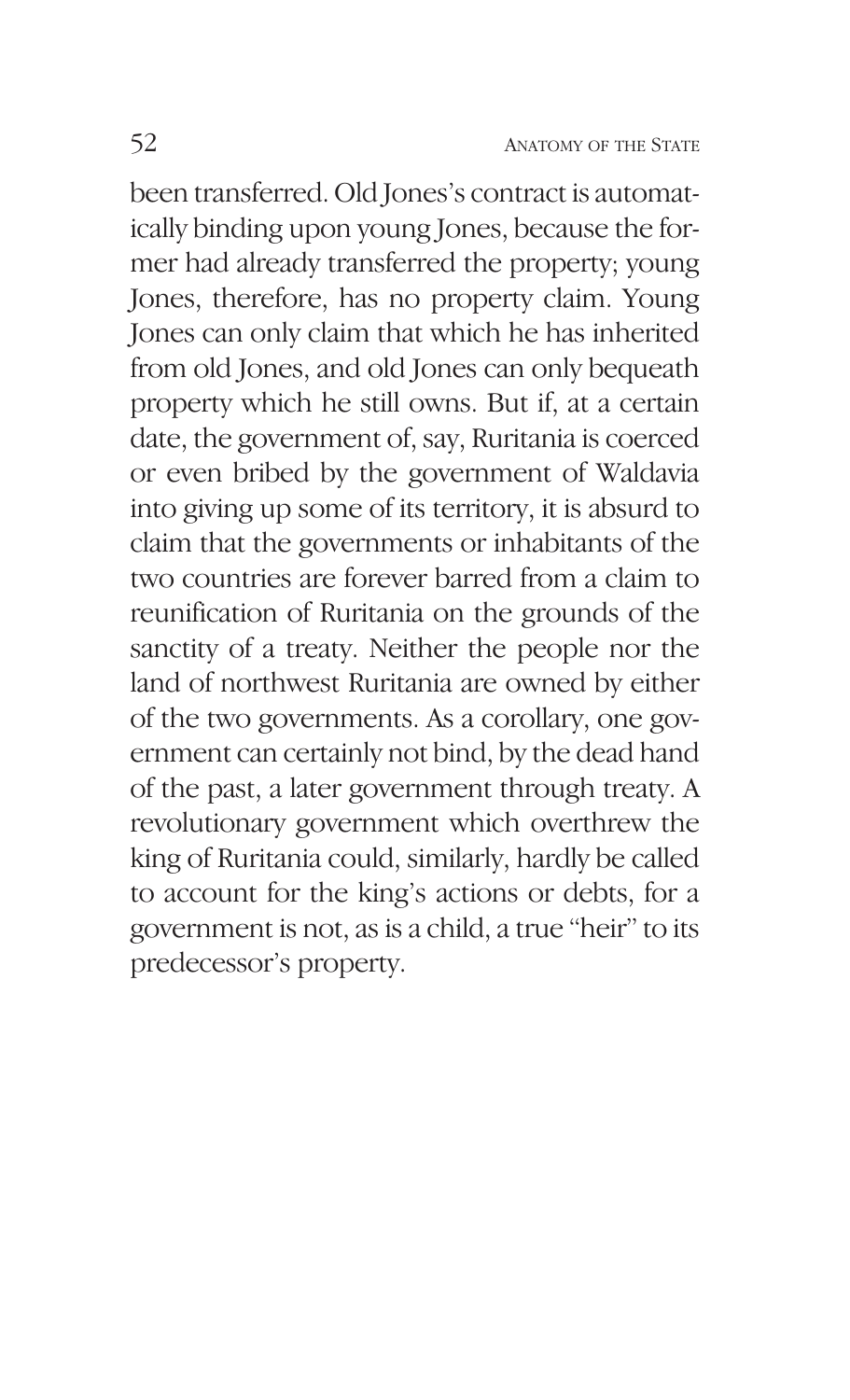been transferred. Old Jones's contract is automatically binding upon young Jones, because the former had already transferred the property; young Jones, therefore, has no property claim. Young Jones can only claim that which he has inherited from old Jones, and old Jones can only bequeath property which he still owns. But if, at a certain date, the government of, say, Ruritania is coerced or even bribed by the government of Waldavia into giving up some of its territory, it is absurd to claim that the governments or inhabitants of the two countries are forever barred from a claim to reunification of Ruritania on the grounds of the sanctity of a treaty. Neither the people nor the land of northwest Ruritania are owned by either of the two governments. As a corollary, one government can certainly not bind, by the dead hand of the past, a later government through treaty. A revolutionary government which overthrew the king of Ruritania could, similarly, hardly be called to account for the king's actions or debts, for a government is not, as is a child, a true "heir" to its predecessor's property.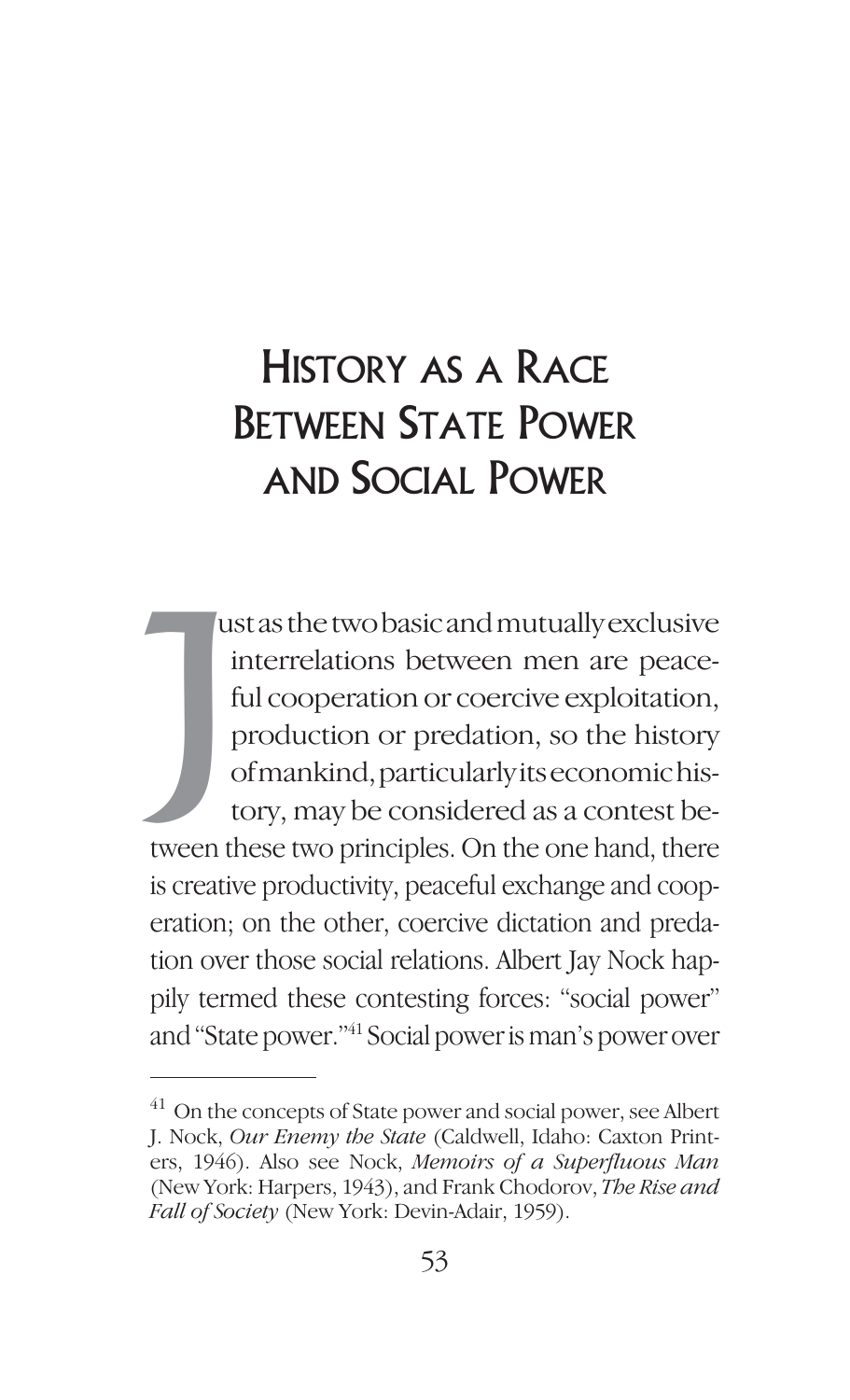# HISTORY AS A RACE BETWEEN STATE POWER AND SOCIAL POWER

 $\int_{\frac{1}{2}}^{\frac{1}{2}}$ ust as the two basic and mutually exclusive interrelations between men are peaceful cooperation or coercive exploitation, production or predation, so the history of mankind, particularly its economic history, may be considered as a contest between these two principles. On the one hand, there is creative productivity, peaceful exchange and cooperation; on the other, coercive dictation and predation over those social relations. Albert Jay Nock happily termed these contesting forces: "social power" and "State power."41 Social power is man's power over

 $41$  On the concepts of State power and social power, see Albert J. Nock, *Our Enemy the State* (Caldwell, Idaho: Caxton Printers, 1946). Also see Nock, *Memoirs of a Superfluous Man*  (New York: Harpers, 1943), and Frank Chodorov, *The Rise and Fall of Society* (New York: Devin-Adair, 1959).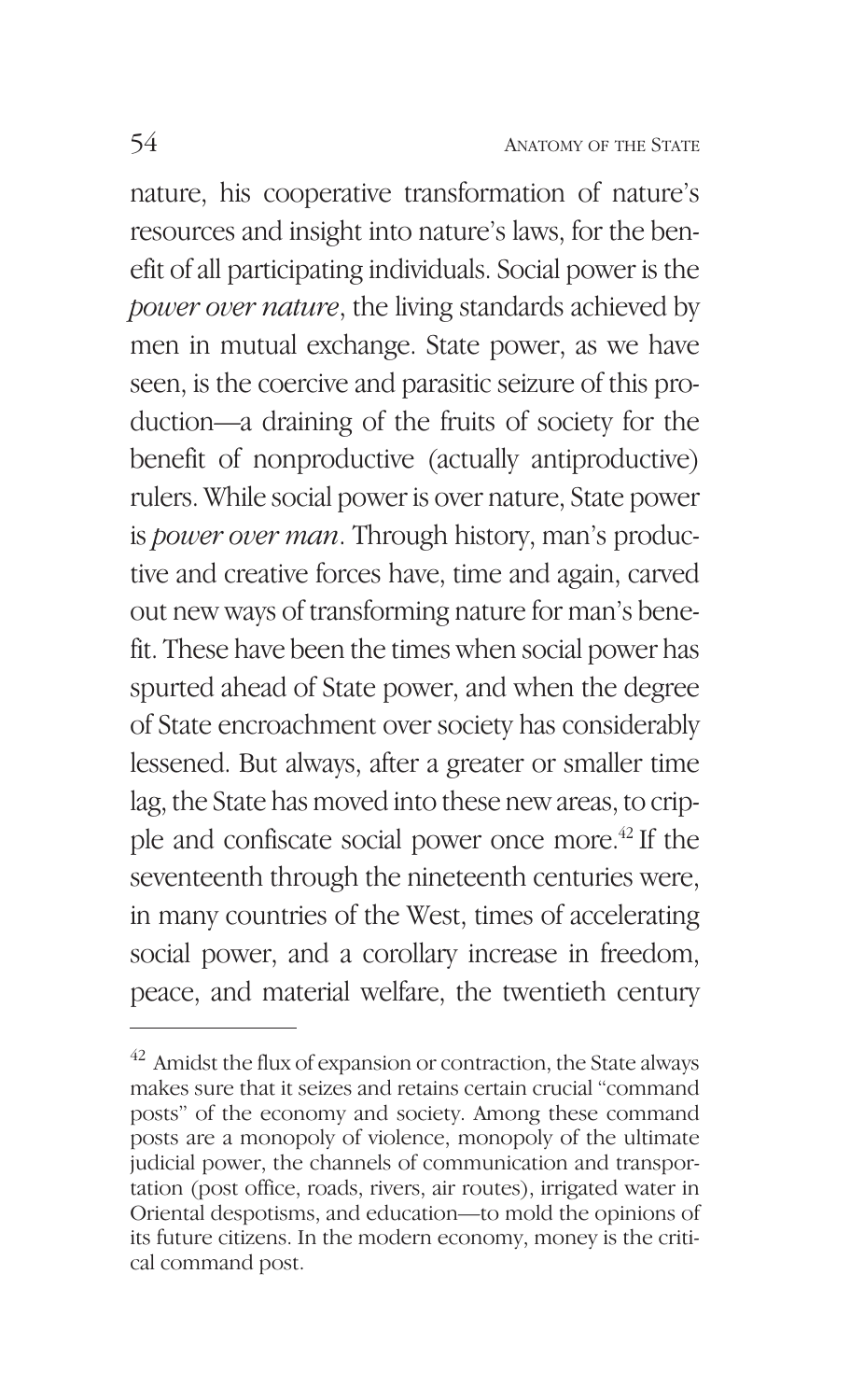nature, his cooperative transformation of nature's resources and insight into nature's laws, for the benefit of all participating individuals. Social power is the *power over nature*, the living standards achieved by men in mutual exchange. State power, as we have seen, is the coercive and parasitic seizure of this production—a draining of the fruits of society for the benefit of nonproductive (actually antiproductive) rulers. While social power is over nature, State power is *power over man*. Through history, man's productive and creative forces have, time and again, carved out new ways of transforming nature for man's benefit. These have been the times when social power has spurted ahead of State power, and when the degree of State encroachment over society has considerably lessened. But always, after a greater or smaller time lag, the State has moved into these new areas, to cripple and confiscate social power once more.42 If the seventeenth through the nineteenth centuries were, in many countries of the West, times of accelerating social power, and a corollary increase in freedom, peace, and material welfare, the twentieth century

 $42$  Amidst the flux of expansion or contraction, the State always makes sure that it seizes and retains certain crucial "command posts" of the economy and society. Among these command posts are a monopoly of violence, monopoly of the ultimate judicial power, the channels of communication and transportation (post office, roads, rivers, air routes), irrigated water in Oriental despotisms, and education—to mold the opinions of its future citizens. In the modern economy, money is the critical command post.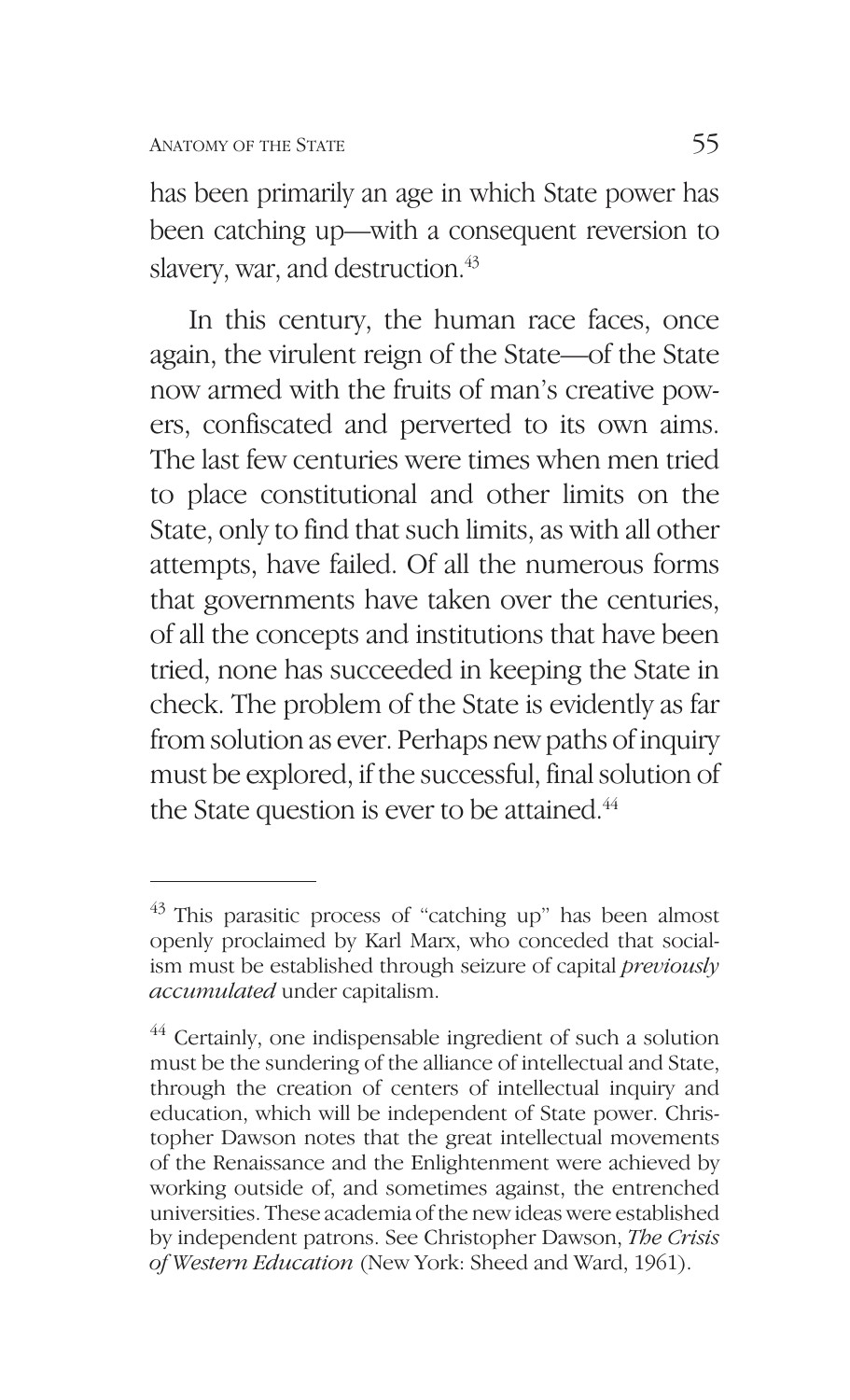has been primarily an age in which State power has been catching up—with a consequent reversion to slavery, war, and destruction.<sup>43</sup>

In this century, the human race faces, once again, the virulent reign of the State—of the State now armed with the fruits of man's creative powers, confiscated and perverted to its own aims. The last few centuries were times when men tried to place constitutional and other limits on the State, only to find that such limits, as with all other attempts, have failed. Of all the numerous forms that governments have taken over the centuries, of all the concepts and institutions that have been tried, none has succeeded in keeping the State in check. The problem of the State is evidently as far from solution as ever. Perhaps new paths of inquiry must be explored, if the successful, final solution of the State question is ever to be attained.<sup>44</sup>

<sup>43</sup> This parasitic process of "catching up" has been almost openly proclaimed by Karl Marx, who conceded that socialism must be established through seizure of capital *previously accumulated* under capitalism.

<sup>&</sup>lt;sup>44</sup> Certainly, one indispensable ingredient of such a solution must be the sundering of the alliance of intellectual and State, through the creation of centers of intellectual inquiry and education, which will be independent of State power. Christopher Dawson notes that the great intellectual movements of the Renaissance and the Enlightenment were achieved by working outside of, and sometimes against, the entrenched universities . These academia of the new ideas were established by independent patrons. See Christopher Dawson, *The Crisis of Western Education* (New York: Sheed and Ward, 1961).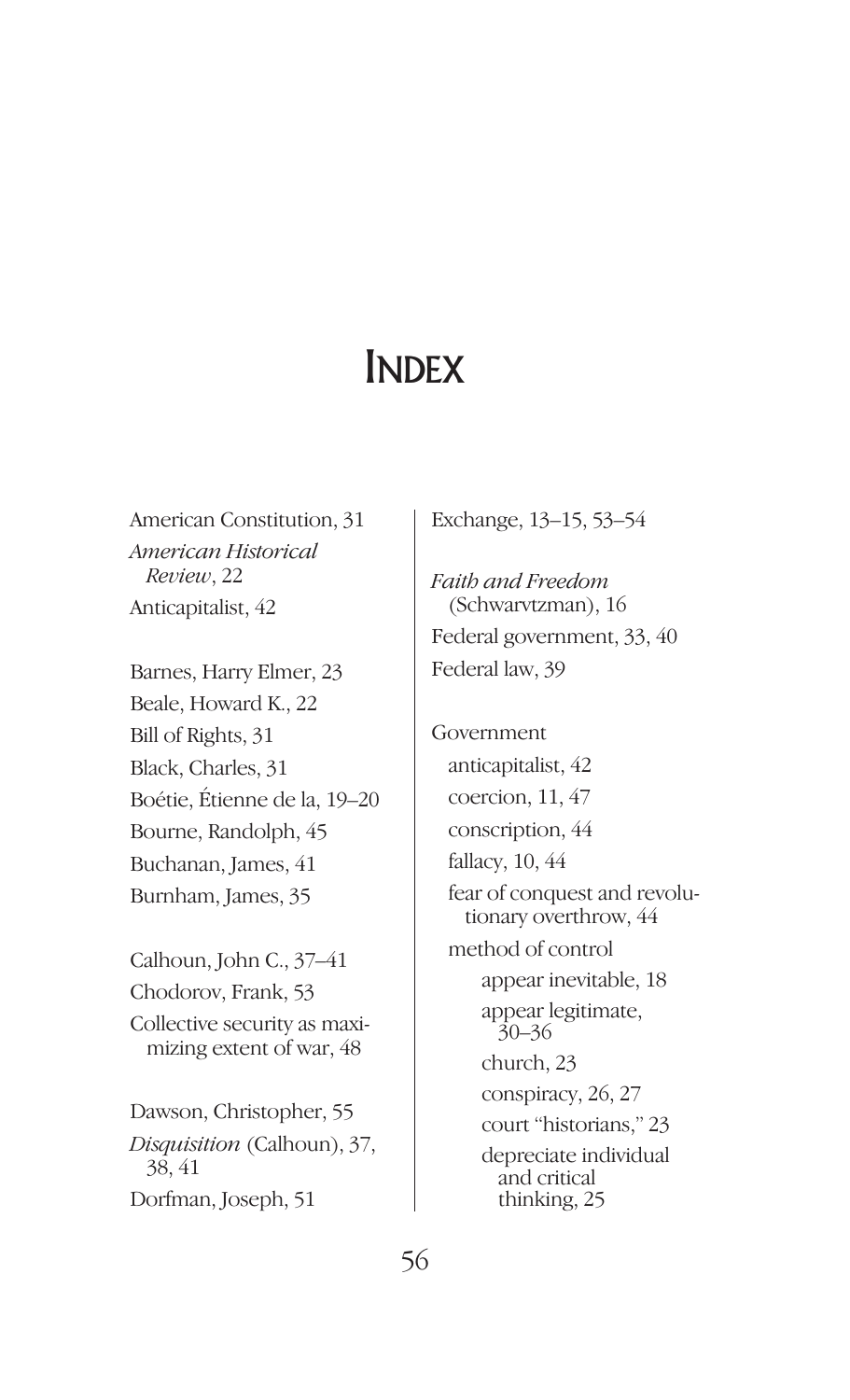#### **INDEX**

American Constitution, 31 *American Historical Review*, 22 Anticapitalist, 42

Barnes, Harry Elmer, 23 Beale, Howard K., 22 Bill of Rights, 31 Black, Charles, 31 Boétie, Étienne de la, 19–20 Bourne, Randolph, 45 Buchanan, James, 41 Burnham, James, 35

Calhoun, John C., 37–41 Chodorov, Frank, 53 Collective security as maximizing extent of war, 48

Dawson, Christopher, 55 *Disquisition* (Calhoun), 37, 38, 41 Dorfman, Joseph, 51

Exchange, 13–15, 53–54

*Faith and Freedom*  (Schwarvtzman), 16 Federal government, 33, 40 Federal law, 39

Government anticapitalist, 42 coercion, 11, 47 conscription, 44 fallacy, 10, 44 fear of conquest and revolutionary overthrow, 44 method of control appear inevitable, 18 appear legitimate, 30–36 church, 23 conspiracy, 26, 27 court "historians," 23 depreciate individual and critical thinking, 25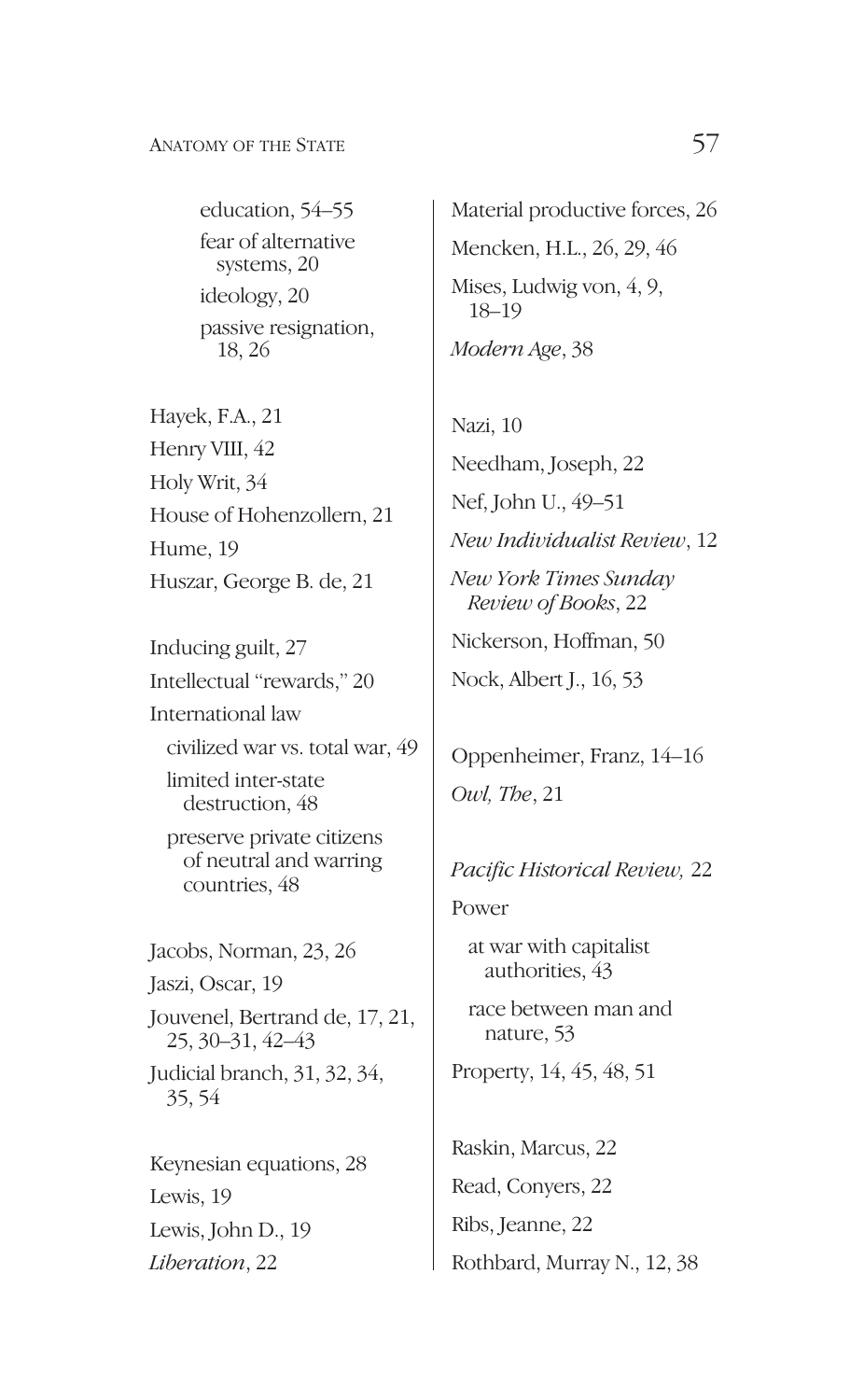education, 54–55 fear of alternative systems, 20 ideology, 20 passive resignation, 18, 26

Hayek, F.A., 21 Henry VIII, 42 Holy Writ, 34 House of Hohenzollern, 21 Hume, 19 Huszar, George B. de, 21

Inducing guilt, 27 Intellectual "rewards," 20 International law civilized war vs. total war, 49 limited inter-state destruction, 48 preserve private citizens of neutral and warring countries, 48 Jacobs, Norman, 23, 26 Jaszi, Oscar, 19 Jouvenel, Bertrand de, 17, 21, 25, 30–31, 42–43 Judicial branch, 31, 32, 34, 35, 54 Keynesian equations, 28 Lewis, 19 Lewis, John D., 19

*Liberation*, 22

Material productive forces, 26 Mencken, H.L., 26, 29, 46 Mises, Ludwig von, 4, 9, 18–19 *Modern Age*, 38

Nazi, 10 Needham, Joseph, 22 Nef, John U., 49–51 *New Individualist Review*, 12 *New York Times Sunday Review of Books*, 22 Nickerson, Hoffman, 50 Nock, Albert J., 16, 53

Oppenheimer, Franz, 14–16 *Owl, The*, 21

*Pacific Historical Review,* 22 Power at war with capitalist authorities, 43

race between man and nature, 53

Property, 14, 45, 48, 51

Raskin, Marcus, 22 Read, Conyers, 22 Ribs, Jeanne, 22 Rothbard, Murray N., 12, 38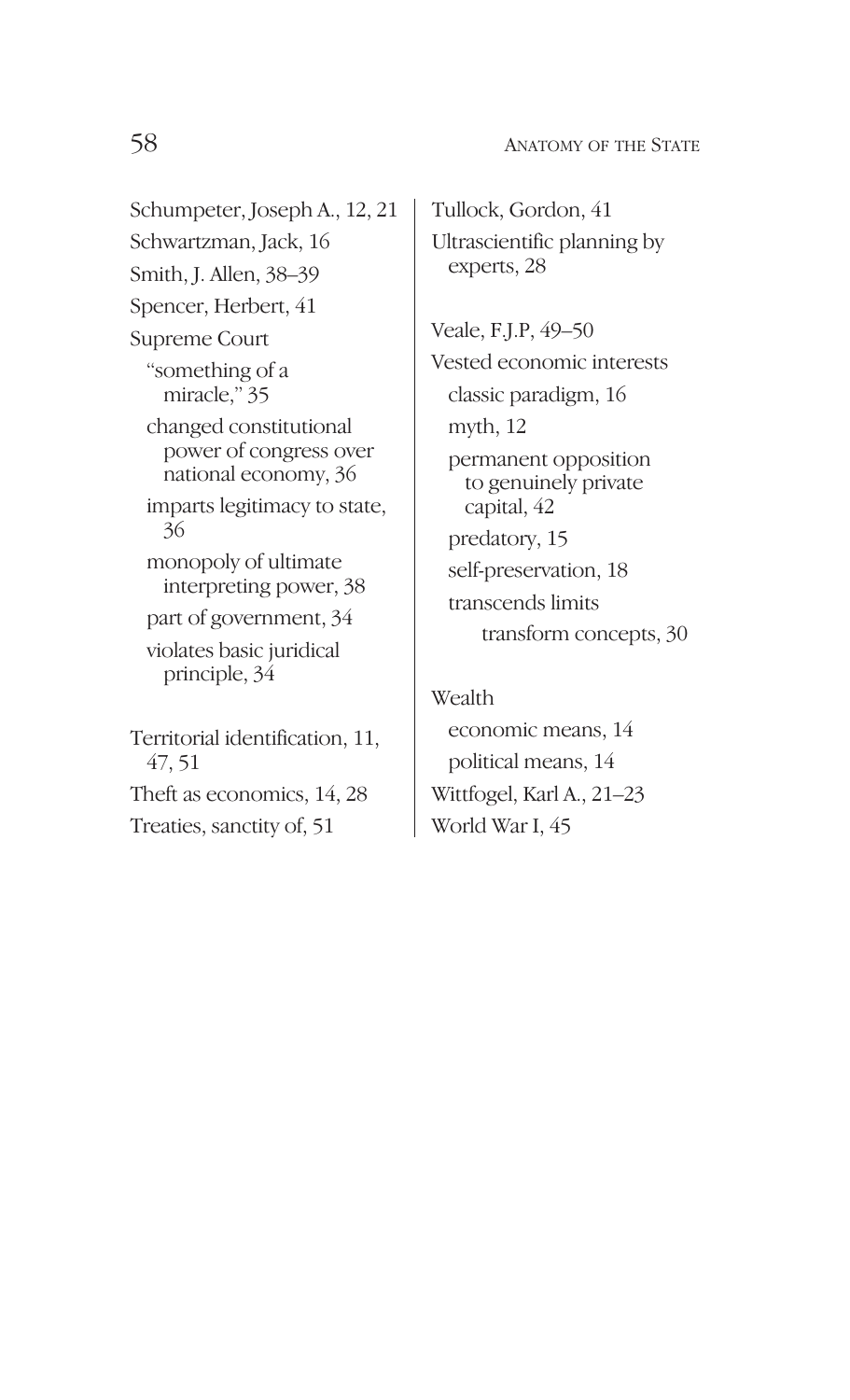Schumpeter, Joseph A., 12, 21 Schwartzman, Jack, 16 Smith, J. Allen, 38–39 Spencer, Herbert, 41 Supreme Court "something of a miracle," 35 changed constitutional power of congress over national economy, 36 imparts legitimacy to state, 36 monopoly of ultimate interpreting power, 38 part of government, 34 violates basic juridical principle, 34 Territorial identification, 11, 47, 51 Theft as economics, 14, 28

Treaties, sanctity of, 51

Tullock, Gordon, 41 Ultrascientific planning by experts, 28 Veale, F.J.P, 49–50 Vested economic interests classic paradigm, 16 myth, 12 permanent opposition to genuinely private capital, 42 predatory, 15 self-preservation, 18 transcends limits transform concepts, 30 Wealth

economic means, 14 political means, 14 Wittfogel, Karl A., 21–23 World War I, 45